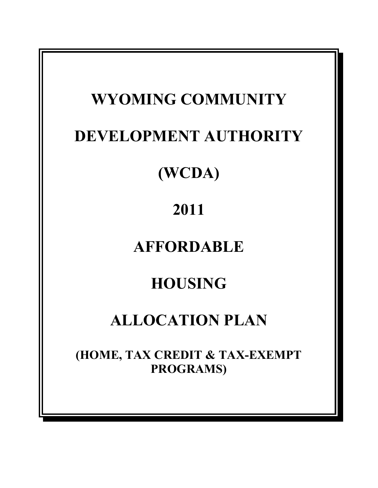# **WYOMING COMMUNITY DEVELOPMENT AUTHORITY (WCDA) 2011 AFFORDABLE HOUSING ALLOCATION PLAN (HOME, TAX CREDIT & TAX-EXEMPT PROGRAMS)**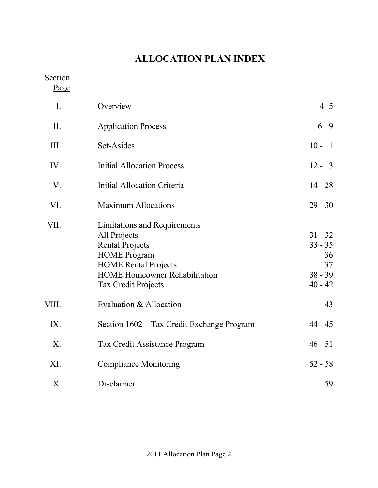# **ALLOCATION PLAN INDEX**

Section

Page

| I.    | Overview                                                                                                                                                                                           | $4 - 5$                                                      |
|-------|----------------------------------------------------------------------------------------------------------------------------------------------------------------------------------------------------|--------------------------------------------------------------|
| II.   | <b>Application Process</b>                                                                                                                                                                         | $6 - 9$                                                      |
| III.  | Set-Asides                                                                                                                                                                                         | $10 - 11$                                                    |
| IV.   | <b>Initial Allocation Process</b>                                                                                                                                                                  | $12 - 13$                                                    |
| V.    | <b>Initial Allocation Criteria</b>                                                                                                                                                                 | $14 - 28$                                                    |
| VI.   | <b>Maximum Allocations</b>                                                                                                                                                                         | $29 - 30$                                                    |
| VII.  | Limitations and Requirements<br>All Projects<br><b>Rental Projects</b><br><b>HOME</b> Program<br><b>HOME Rental Projects</b><br><b>HOME Homeowner Rehabilitation</b><br><b>Tax Credit Projects</b> | $31 - 32$<br>$33 - 35$<br>36<br>37<br>$38 - 39$<br>$40 - 42$ |
| VIII. | Evaluation & Allocation                                                                                                                                                                            | 43                                                           |
| IX.   | Section 1602 – Tax Credit Exchange Program                                                                                                                                                         | $44 - 45$                                                    |
| X.    | Tax Credit Assistance Program                                                                                                                                                                      | $46 - 51$                                                    |
| XI.   | <b>Compliance Monitoring</b>                                                                                                                                                                       | $52 - 58$                                                    |
| Χ.    | Disclaimer                                                                                                                                                                                         | 59                                                           |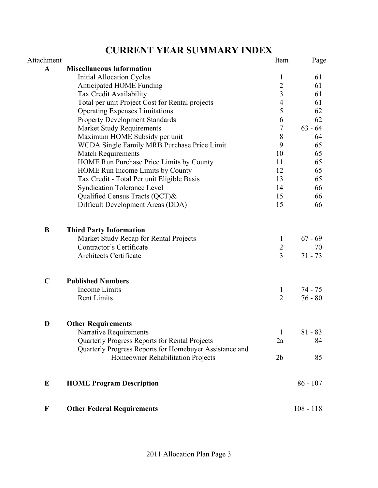# **CURRENT YEAR SUMMARY INDEX**

| Attachment   |                                                         | Item             | Page        |
|--------------|---------------------------------------------------------|------------------|-------------|
| $\mathbf{A}$ | <b>Miscellaneous Information</b>                        |                  |             |
|              | <b>Initial Allocation Cycles</b>                        | $\mathbf{1}$     | 61          |
|              | Anticipated HOME Funding                                | $\overline{2}$   | 61          |
|              | Tax Credit Availability                                 | $\overline{3}$   | 61          |
|              | Total per unit Project Cost for Rental projects         | $\overline{4}$   | 61          |
|              | <b>Operating Expenses Limitations</b>                   | 5                | 62          |
|              | <b>Property Development Standards</b>                   | 6                | 62          |
|              | <b>Market Study Requirements</b>                        | $\boldsymbol{7}$ | $63 - 64$   |
|              | Maximum HOME Subsidy per unit                           | 8                | 64          |
|              | <b>WCDA Single Family MRB Purchase Price Limit</b>      | 9                | 65          |
|              | <b>Match Requirements</b>                               | 10               | 65          |
|              | HOME Run Purchase Price Limits by County                | 11               | 65          |
|              | HOME Run Income Limits by County                        | 12               | 65          |
|              | Tax Credit - Total Per unit Eligible Basis              | 13               | 65          |
|              | <b>Syndication Tolerance Level</b>                      | 14               | 66          |
|              | Qualified Census Tracts (QCT)&                          | 15               | 66          |
|              | Difficult Development Areas (DDA)                       | 15               | 66          |
| B            | <b>Third Party Information</b>                          |                  |             |
|              | Market Study Recap for Rental Projects                  | $\mathbf{1}$     | $67 - 69$   |
|              | Contractor's Certificate                                | $\overline{2}$   | 70          |
|              | Architects Certificate                                  | $\overline{3}$   | $71 - 73$   |
| $\mathbf C$  | <b>Published Numbers</b>                                |                  |             |
|              | Income Limits                                           | $\perp$          | 74 - 75     |
|              | <b>Rent Limits</b>                                      | $\overline{2}$   | $76 - 80$   |
|              |                                                         |                  |             |
| D            | <b>Other Requirements</b>                               |                  |             |
|              | Narrative Requirements                                  | $\mathbf{1}$     | $81 - 83$   |
|              | Quarterly Progress Reports for Rental Projects          | 2a               | 84          |
|              | Quarterly Progress Reports for Homebuyer Assistance and |                  |             |
|              | Homeowner Rehabilitation Projects                       | 2 <sub>b</sub>   | 85          |
| ${\bf E}$    | <b>HOME Program Description</b>                         |                  | $86 - 107$  |
| $\mathbf F$  | <b>Other Federal Requirements</b>                       |                  | $108 - 118$ |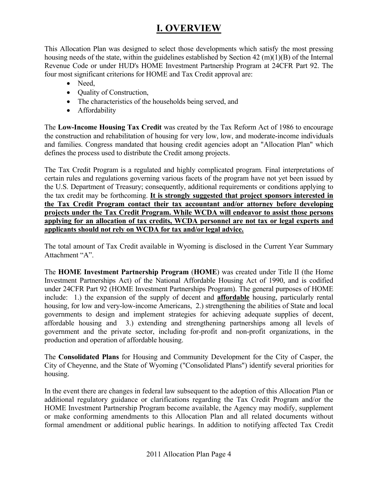## **I. OVERVIEW**

This Allocation Plan was designed to select those developments which satisfy the most pressing housing needs of the state, within the guidelines established by Section 42 (m)(1)(B) of the Internal Revenue Code or under HUD's HOME Investment Partnership Program at 24CFR Part 92. The four most significant criterions for HOME and Tax Credit approval are:

- Need,
- Quality of Construction,
- The characteristics of the households being served, and
- Affordability

The **Low-Income Housing Tax Credit** was created by the Tax Reform Act of 1986 to encourage the construction and rehabilitation of housing for very low, low, and moderate-income individuals and families. Congress mandated that housing credit agencies adopt an "Allocation Plan" which defines the process used to distribute the Credit among projects.

The Tax Credit Program is a regulated and highly complicated program. Final interpretations of certain rules and regulations governing various facets of the program have not yet been issued by the U.S. Department of Treasury; consequently, additional requirements or conditions applying to the tax credit may be forthcoming. **It is strongly suggested that project sponsors interested in the Tax Credit Program contact their tax accountant and/or attorney before developing projects under the Tax Credit Program. While WCDA will endeavor to assist those persons applying for an allocation of tax credits, WCDA personnel are not tax or legal experts and applicants should not rely on WCDA for tax and/or legal advice.**

The total amount of Tax Credit available in Wyoming is disclosed in the Current Year Summary Attachment "A".

The **HOME Investment Partnership Program** (**HOME**) was created under Title II (the Home Investment Partnerships Act) of the National Affordable Housing Act of 1990, and is codified under 24CFR Part 92 (HOME Investment Partnerships Program). The general purposes of HOME include: 1.) the expansion of the supply of decent and **affordable** housing, particularly rental housing, for low and very-low-income Americans, 2.) strengthening the abilities of State and local governments to design and implement strategies for achieving adequate supplies of decent, affordable housing and 3.) extending and strengthening partnerships among all levels of government and the private sector, including for-profit and non-profit organizations, in the production and operation of affordable housing.

The **Consolidated Plans** for Housing and Community Development for the City of Casper, the City of Cheyenne, and the State of Wyoming ("Consolidated Plans") identify several priorities for housing.

In the event there are changes in federal law subsequent to the adoption of this Allocation Plan or additional regulatory guidance or clarifications regarding the Tax Credit Program and/or the HOME Investment Partnership Program become available, the Agency may modify, supplement or make conforming amendments to this Allocation Plan and all related documents without formal amendment or additional public hearings. In addition to notifying affected Tax Credit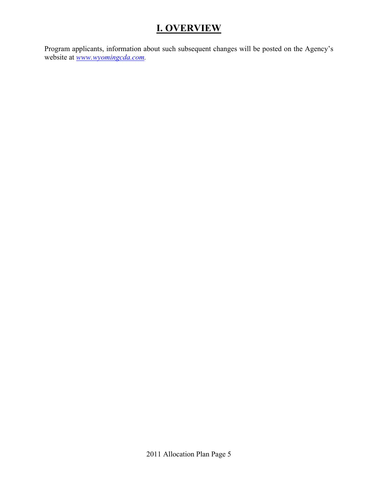# **I. OVERVIEW**

Program applicants, information about such subsequent changes will be posted on the Agency's website at *www.wyomingcda.com.*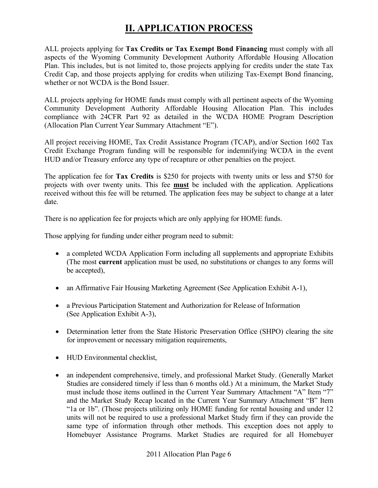## **II. APPLICATION PROCESS**

ALL projects applying for **Tax Credits or Tax Exempt Bond Financing** must comply with all aspects of the Wyoming Community Development Authority Affordable Housing Allocation Plan. This includes, but is not limited to, those projects applying for credits under the state Tax Credit Cap, and those projects applying for credits when utilizing Tax-Exempt Bond financing, whether or not WCDA is the Bond Issuer.

ALL projects applying for HOME funds must comply with all pertinent aspects of the Wyoming Community Development Authority Affordable Housing Allocation Plan. This includes compliance with 24CFR Part 92 as detailed in the WCDA HOME Program Description (Allocation Plan Current Year Summary Attachment "E").

All project receiving HOME, Tax Credit Assistance Program (TCAP), and/or Section 1602 Tax Credit Exchange Program funding will be responsible for indemnifying WCDA in the event HUD and/or Treasury enforce any type of recapture or other penalties on the project.

The application fee for **Tax Credits** is \$250 for projects with twenty units or less and \$750 for projects with over twenty units. This fee **must** be included with the application. Applications received without this fee will be returned. The application fees may be subject to change at a later date.

There is no application fee for projects which are only applying for HOME funds.

Those applying for funding under either program need to submit:

- a completed WCDA Application Form including all supplements and appropriate Exhibits (The most **current** application must be used, no substitutions or changes to any forms will be accepted),
- an Affirmative Fair Housing Marketing Agreement (See Application Exhibit A-1),
- a Previous Participation Statement and Authorization for Release of Information (See Application Exhibit A-3),
- Determination letter from the State Historic Preservation Office (SHPO) clearing the site for improvement or necessary mitigation requirements,
- HUD Environmental checklist,
- an independent comprehensive, timely, and professional Market Study. (Generally Market Studies are considered timely if less than 6 months old.) At a minimum, the Market Study must include those items outlined in the Current Year Summary Attachment "A" Item "7" and the Market Study Recap located in the Current Year Summary Attachment "B" Item "1a or 1b". (Those projects utilizing only HOME funding for rental housing and under 12 units will not be required to use a professional Market Study firm if they can provide the same type of information through other methods. This exception does not apply to Homebuyer Assistance Programs. Market Studies are required for all Homebuyer

2011 Allocation Plan Page 6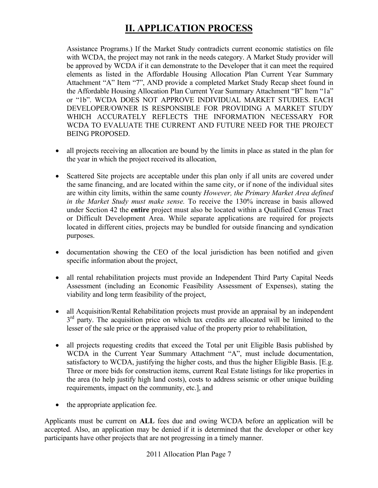# **II. APPLICATION PROCESS**

Assistance Programs.) If the Market Study contradicts current economic statistics on file with WCDA, the project may not rank in the needs category. A Market Study provider will be approved by WCDA if it can demonstrate to the Developer that it can meet the required elements as listed in the Affordable Housing Allocation Plan Current Year Summary Attachment "A" Item "7", AND provide a completed Market Study Recap sheet found in the Affordable Housing Allocation Plan Current Year Summary Attachment "B" Item "1a" or "1b". WCDA DOES NOT APPROVE INDIVIDUAL MARKET STUDIES. EACH DEVELOPER/OWNER IS RESPONSIBLE FOR PROVIDING A MARKET STUDY WHICH ACCURATELY REFLECTS THE INFORMATION NECESSARY FOR WCDA TO EVALUATE THE CURRENT AND FUTURE NEED FOR THE PROJECT BEING PROPOSED.

- all projects receiving an allocation are bound by the limits in place as stated in the plan for the year in which the project received its allocation,
- Scattered Site projects are acceptable under this plan only if all units are covered under the same financing, and are located within the same city, or if none of the individual sites are within city limits, within the same county *However, the Primary Market Area defined in the Market Study must make sense.* To receive the 130% increase in basis allowed under Section 42 the **entire** project must also be located within a Qualified Census Tract or Difficult Development Area. While separate applications are required for projects located in different cities, projects may be bundled for outside financing and syndication purposes.
- documentation showing the CEO of the local jurisdiction has been notified and given specific information about the project,
- all rental rehabilitation projects must provide an Independent Third Party Capital Needs Assessment (including an Economic Feasibility Assessment of Expenses), stating the viability and long term feasibility of the project,
- all Acquisition/Rental Rehabilitation projects must provide an appraisal by an independent  $3<sup>rd</sup>$  party. The acquisition price on which tax credits are allocated will be limited to the lesser of the sale price or the appraised value of the property prior to rehabilitation,
- all projects requesting credits that exceed the Total per unit Eligible Basis published by WCDA in the Current Year Summary Attachment "A", must include documentation, satisfactory to WCDA, justifying the higher costs, and thus the higher Eligible Basis. [E.g. Three or more bids for construction items, current Real Estate listings for like properties in the area (to help justify high land costs), costs to address seismic or other unique building requirements, impact on the community, etc.], and
- the appropriate application fee.

Applicants must be current on **ALL** fees due and owing WCDA before an application will be accepted. Also, an application may be denied if it is determined that the developer or other key participants have other projects that are not progressing in a timely manner.

2011 Allocation Plan Page 7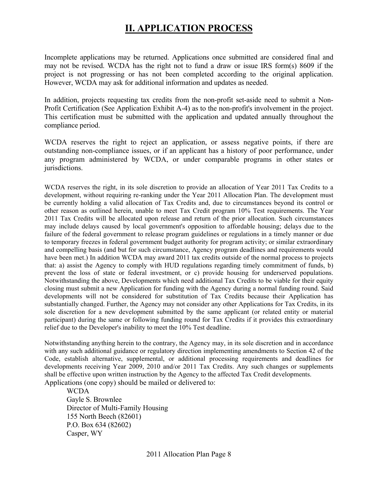## **II. APPLICATION PROCESS**

Incomplete applications may be returned. Applications once submitted are considered final and may not be revised. WCDA has the right not to fund a draw or issue IRS form(s) 8609 if the project is not progressing or has not been completed according to the original application. However, WCDA may ask for additional information and updates as needed.

In addition, projects requesting tax credits from the non-profit set-aside need to submit a Non-Profit Certification (See Application Exhibit A-4) as to the non-profit's involvement in the project. This certification must be submitted with the application and updated annually throughout the compliance period.

WCDA reserves the right to reject an application, or assess negative points, if there are outstanding non-compliance issues, or if an applicant has a history of poor performance, under any program administered by WCDA, or under comparable programs in other states or jurisdictions.

WCDA reserves the right, in its sole discretion to provide an allocation of Year 2011 Tax Credits to a development, without requiring re-ranking under the Year 2011 Allocation Plan. The development must be currently holding a valid allocation of Tax Credits and, due to circumstances beyond its control or other reason as outlined herein, unable to meet Tax Credit program 10% Test requirements. The Year 2011 Tax Credits will be allocated upon release and return of the prior allocation. Such circumstances may include delays caused by local government's opposition to affordable housing; delays due to the failure of the federal government to release program guidelines or regulations in a timely manner or due to temporary freezes in federal government budget authority for program activity; or similar extraordinary and compelling basis (and but for such circumstance, Agency program deadlines and requirements would have been met.) In addition WCDA may award 2011 tax credits outside of the normal process to projects that: a) assist the Agency to comply with HUD regulations regarding timely commitment of funds, b) prevent the loss of state or federal investment, or c) provide housing for underserved populations. Notwithstanding the above, Developments which need additional Tax Credits to be viable for their equity closing must submit a new Application for funding with the Agency during a normal funding round. Said developments will not be considered for substitution of Tax Credits because their Application has substantially changed. Further, the Agency may not consider any other Applications for Tax Credits, in its sole discretion for a new development submitted by the same applicant (or related entity or material participant) during the same or following funding round for Tax Credits if it provides this extraordinary relief due to the Developer's inability to meet the 10% Test deadline.

Notwithstanding anything herein to the contrary, the Agency may, in its sole discretion and in accordance with any such additional guidance or regulatory direction implementing amendments to Section 42 of the Code, establish alternative, supplemental, or additional processing requirements and deadlines for developments receiving Year 2009, 2010 and/or 2011 Tax Credits. Any such changes or supplements shall be effective upon written instruction by the Agency to the affected Tax Credit developments. Applications (one copy) should be mailed or delivered to:

**WCDA**  Gayle S. Brownlee Director of Multi-Family Housing 155 North Beech (82601) P.O. Box 634 (82602) Casper, WY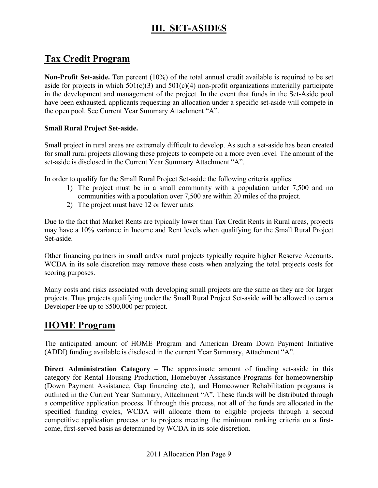# **III. SET-ASIDES**

## **Tax Credit Program**

**Non-Profit Set-aside.** Ten percent (10%) of the total annual credit available is required to be set aside for projects in which  $501(c)(3)$  and  $501(c)(4)$  non-profit organizations materially participate in the development and management of the project. In the event that funds in the Set-Aside pool have been exhausted, applicants requesting an allocation under a specific set-aside will compete in the open pool. See Current Year Summary Attachment "A".

#### **Small Rural Project Set-aside.**

Small project in rural areas are extremely difficult to develop. As such a set-aside has been created for small rural projects allowing these projects to compete on a more even level. The amount of the set-aside is disclosed in the Current Year Summary Attachment "A".

In order to qualify for the Small Rural Project Set-aside the following criteria applies:

- 1) The project must be in a small community with a population under 7,500 and no communities with a population over 7,500 are within 20 miles of the project.
- 2) The project must have 12 or fewer units

Due to the fact that Market Rents are typically lower than Tax Credit Rents in Rural areas, projects may have a 10% variance in Income and Rent levels when qualifying for the Small Rural Project Set-aside.

Other financing partners in small and/or rural projects typically require higher Reserve Accounts. WCDA in its sole discretion may remove these costs when analyzing the total projects costs for scoring purposes.

Many costs and risks associated with developing small projects are the same as they are for larger projects. Thus projects qualifying under the Small Rural Project Set-aside will be allowed to earn a Developer Fee up to \$500,000 per project.

### **HOME Program**

The anticipated amount of HOME Program and American Dream Down Payment Initiative (ADDI) funding available is disclosed in the current Year Summary, Attachment "A".

**Direct Administration Category** – The approximate amount of funding set-aside in this category for Rental Housing Production, Homebuyer Assistance Programs for homeownership (Down Payment Assistance, Gap financing etc.), and Homeowner Rehabilitation programs is outlined in the Current Year Summary, Attachment "A". These funds will be distributed through a competitive application process. If through this process, not all of the funds are allocated in the specified funding cycles, WCDA will allocate them to eligible projects through a second competitive application process or to projects meeting the minimum ranking criteria on a firstcome, first-served basis as determined by WCDA in its sole discretion.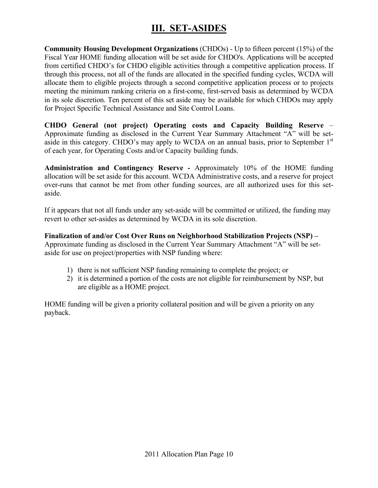# **III. SET-ASIDES**

**Community Housing Development Organizations** (CHDOs) - Up to fifteen percent (15%) of the Fiscal Year HOME funding allocation will be set aside for CHDO's. Applications will be accepted from certified CHDO's for CHDO eligible activities through a competitive application process. If through this process, not all of the funds are allocated in the specified funding cycles, WCDA will allocate them to eligible projects through a second competitive application process or to projects meeting the minimum ranking criteria on a first-come, first-served basis as determined by WCDA in its sole discretion. Ten percent of this set aside may be available for which CHDOs may apply for Project Specific Technical Assistance and Site Control Loans.

**CHDO General (not project) Operating costs and Capacity Building Reserve** – Approximate funding as disclosed in the Current Year Summary Attachment "A" will be setaside in this category. CHDO's may apply to WCDA on an annual basis, prior to September 1<sup>st</sup> of each year, for Operating Costs and/or Capacity building funds.

**Administration and Contingency Reserve -** Approximately 10% of the HOME funding allocation will be set aside for this account. WCDA Administrative costs, and a reserve for project over-runs that cannot be met from other funding sources, are all authorized uses for this setaside.

If it appears that not all funds under any set-aside will be committed or utilized, the funding may revert to other set-asides as determined by WCDA in its sole discretion.

**Finalization of and/or Cost Over Runs on Neighborhood Stabilization Projects (NSP) –**  Approximate funding as disclosed in the Current Year Summary Attachment "A" will be setaside for use on project/properties with NSP funding where:

- 1) there is not sufficient NSP funding remaining to complete the project; or
- 2) it is determined a portion of the costs are not eligible for reimbursement by NSP, but are eligible as a HOME project.

HOME funding will be given a priority collateral position and will be given a priority on any payback.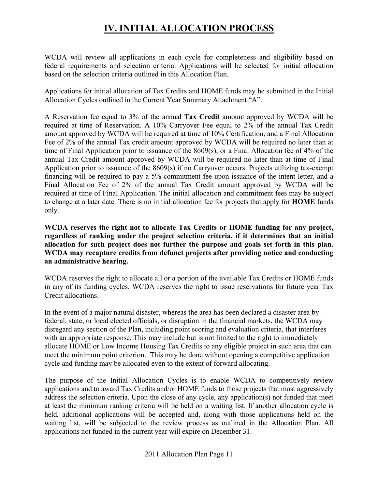# **IV. INITIAL ALLOCATION PROCESS**

WCDA will review all applications in each cycle for completeness and eligibility based on federal requirements and selection criteria. Applications will be selected for initial allocation based on the selection criteria outlined in this Allocation Plan.

Applications for initial allocation of Tax Credits and HOME funds may be submitted in the Initial Allocation Cycles outlined in the Current Year Summary Attachment "A".

A Reservation fee equal to 3% of the annual **Tax Credit** amount approved by WCDA will be required at time of Reservation. A 10% Carryover Fee equal to 2% of the annual Tax Credit amount approved by WCDA will be required at time of 10% Certification, and a Final Allocation Fee of 2% of the annual Tax credit amount approved by WCDA will be required no later than at time of Final Application prior to issuance of the 8609(s), or a Final Allocation fee of 4% of the annual Tax Credit amount approved by WCDA will be required no later than at time of Final Application prior to issuance of the 8609(s) if no Carryover occurs. Projects utilizing tax-exempt financing will be required to pay a 5% commitment fee upon issuance of the intent letter, and a Final Allocation Fee of 2% of the annual Tax Credit amount approved by WCDA will be required at time of Final Application. The initial allocation and commitment fees may be subject to change at a later date. There is no initial allocation fee for projects that apply for **HOME** funds only.

**WCDA reserves the right not to allocate Tax Credits or HOME funding for any project, regardless of ranking under the project selection criteria, if it determines that an initial allocation for such project does not further the purpose and goals set forth in this plan. WCDA may recapture credits from defunct projects after providing notice and conducting an administrative hearing.** 

WCDA reserves the right to allocate all or a portion of the available Tax Credits or HOME funds in any of its funding cycles. WCDA reserves the right to issue reservations for future year Tax Credit allocations.

In the event of a major natural disaster, whereas the area has been declared a disaster area by federal, state, or local elected officials, or disruption in the financial markets, the WCDA may disregard any section of the Plan, including point scoring and evaluation criteria, that interferes with an appropriate response. This may include but is not limited to the right to immediately allocate HOME or Low Income Housing Tax Credits to any eligible project in such area that can meet the minimum point criterion. This may be done without opening a competitive application cycle and funding may be allocated even to the extent of forward allocating.

The purpose of the Initial Allocation Cycles is to enable WCDA to competitively review applications and to award Tax Credits and/or HOME funds to those projects that most aggressively address the selection criteria. Upon the close of any cycle, any application(s) not funded that meet at least the minimum ranking criteria will be held on a waiting list. If another allocation cycle is held, additional applications will be accepted and, along with those applications held on the waiting list, will be subjected to the review process as outlined in the Allocation Plan. All applications not funded in the current year will expire on December 31.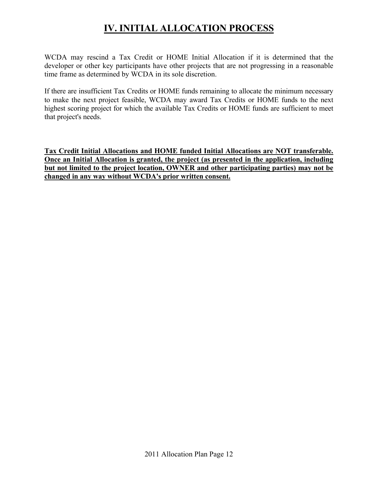# **IV. INITIAL ALLOCATION PROCESS**

WCDA may rescind a Tax Credit or HOME Initial Allocation if it is determined that the developer or other key participants have other projects that are not progressing in a reasonable time frame as determined by WCDA in its sole discretion.

If there are insufficient Tax Credits or HOME funds remaining to allocate the minimum necessary to make the next project feasible, WCDA may award Tax Credits or HOME funds to the next highest scoring project for which the available Tax Credits or HOME funds are sufficient to meet that project's needs.

**Tax Credit Initial Allocations and HOME funded Initial Allocations are NOT transferable. Once an Initial Allocation is granted, the project (as presented in the application, including but not limited to the project location, OWNER and other participating parties) may not be changed in any way without WCDA's prior written consent.**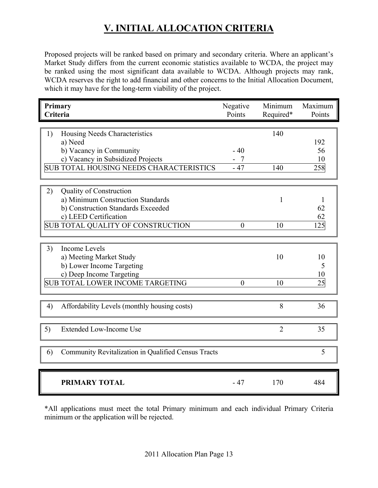Proposed projects will be ranked based on primary and secondary criteria. Where an applicant's Market Study differs from the current economic statistics available to WCDA, the project may be ranked using the most significant data available to WCDA. Although projects may rank, WCDA reserves the right to add financial and other concerns to the Initial Allocation Document, which it may have for the long-term viability of the project.

| Primary<br>Criteria                                       | Negative<br>Points | Minimum<br>Required* | Maximum<br>Points |
|-----------------------------------------------------------|--------------------|----------------------|-------------------|
|                                                           |                    |                      |                   |
| Housing Needs Characteristics<br>1)                       |                    | 140                  |                   |
| a) Need                                                   |                    |                      | 192               |
| b) Vacancy in Community                                   | $-40$              |                      | 56                |
| c) Vacancy in Subsidized Projects                         | $-7$               |                      | 10                |
| <b>SUB TOTAL HOUSING NEEDS CHARACTERISTICS</b>            | $-47$              | 140                  | 258               |
|                                                           |                    |                      |                   |
|                                                           |                    |                      |                   |
| 2)<br><b>Quality of Construction</b>                      |                    |                      |                   |
| a) Minimum Construction Standards                         |                    | 1                    |                   |
| b) Construction Standards Exceeded                        |                    |                      | 62                |
| c) LEED Certification                                     |                    |                      | 62                |
| SUB TOTAL QUALITY OF CONSTRUCTION                         | $\overline{0}$     | 10                   | 125               |
|                                                           |                    |                      |                   |
| <b>Income Levels</b><br>3)                                |                    |                      |                   |
| a) Meeting Market Study                                   |                    | 10                   | 10                |
| b) Lower Income Targeting                                 |                    |                      | 5                 |
| c) Deep Income Targeting                                  |                    |                      | 10                |
| <b>SUB TOTAL LOWER INCOME TARGETING</b>                   | $\theta$           | 10                   | 25                |
|                                                           |                    |                      |                   |
| Affordability Levels (monthly housing costs)<br>4)        |                    | 8                    | 36                |
|                                                           |                    |                      |                   |
|                                                           |                    |                      |                   |
| 5)<br><b>Extended Low-Income Use</b>                      |                    | $\overline{2}$       | 35                |
|                                                           |                    |                      | 5                 |
| Community Revitalization in Qualified Census Tracts<br>6) |                    |                      |                   |
|                                                           |                    |                      |                   |
| <b>PRIMARY TOTAL</b>                                      | $-47$              | 170                  | 484               |

\*All applications must meet the total Primary minimum and each individual Primary Criteria minimum or the application will be rejected.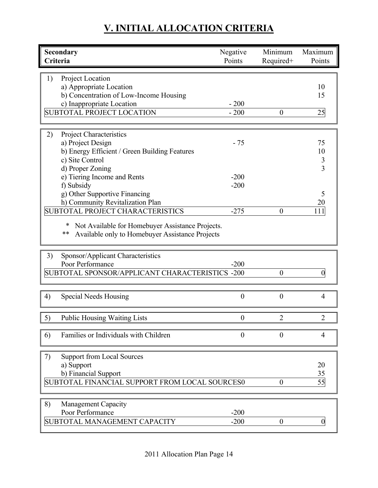| Secondary<br>Criteria                                 | Negative<br>Points | Minimum<br>Required+ | Maximum<br>Points   |
|-------------------------------------------------------|--------------------|----------------------|---------------------|
|                                                       |                    |                      |                     |
| 1)<br>Project Location                                |                    |                      |                     |
| a) Appropriate Location                               |                    |                      | 10                  |
| b) Concentration of Low-Income Housing                |                    |                      | 15                  |
| c) Inappropriate Location                             | $-200$             |                      |                     |
| <b>SUBTOTAL PROJECT LOCATION</b>                      | $-200$             | $\boldsymbol{0}$     | 25                  |
|                                                       |                    |                      |                     |
| <b>Project Characteristics</b><br>2)                  |                    |                      |                     |
| a) Project Design                                     | $-75$              |                      | 75                  |
| b) Energy Efficient / Green Building Features         |                    |                      | 10                  |
| c) Site Control                                       |                    |                      | 3<br>$\overline{3}$ |
| d) Proper Zoning                                      | $-200$             |                      |                     |
| e) Tiering Income and Rents<br>f) Subsidy             | $-200$             |                      |                     |
| g) Other Supportive Financing                         |                    |                      | 5                   |
| h) Community Revitalization Plan                      |                    |                      | 20                  |
| SUBTOTAL PROJECT CHARACTERISTICS                      | $-275$             | $\overline{0}$       | 111                 |
|                                                       |                    |                      |                     |
| Not Available for Homebuyer Assistance Projects.<br>∗ |                    |                      |                     |
| Available only to Homebuyer Assistance Projects<br>** |                    |                      |                     |
|                                                       |                    |                      |                     |
| 3)<br>Sponsor/Applicant Characteristics               |                    |                      |                     |
| Poor Performance                                      | $-200$             |                      |                     |
| SUBTOTAL SPONSOR/APPLICANT CHARACTERISTICS -200       |                    | $\boldsymbol{0}$     | $\overline{0}$      |
|                                                       |                    |                      |                     |
| <b>Special Needs Housing</b><br>4)                    | $\boldsymbol{0}$   | $\boldsymbol{0}$     | 4                   |
|                                                       |                    |                      |                     |
| 5)<br><b>Public Housing Waiting Lists</b>             | $\boldsymbol{0}$   | 2                    | $\overline{2}$      |
|                                                       |                    |                      |                     |
| Families or Individuals with Children<br>6)           | $\overline{0}$     | $\theta$             | 4                   |
|                                                       |                    |                      |                     |
| <b>Support from Local Sources</b><br>7)               |                    |                      |                     |
| a) Support                                            |                    |                      | 20                  |
| b) Financial Support                                  |                    |                      | 35                  |
| SUBTOTAL FINANCIAL SUPPORT FROM LOCAL SOURCES0        |                    | $\boldsymbol{0}$     | 55                  |
|                                                       |                    |                      |                     |
| 8)<br><b>Management Capacity</b>                      |                    |                      |                     |
| Poor Performance                                      | $-200$             |                      |                     |
| SUBTOTAL MANAGEMENT CAPACITY                          | $-200$             | $\boldsymbol{0}$     | 0                   |
|                                                       |                    |                      |                     |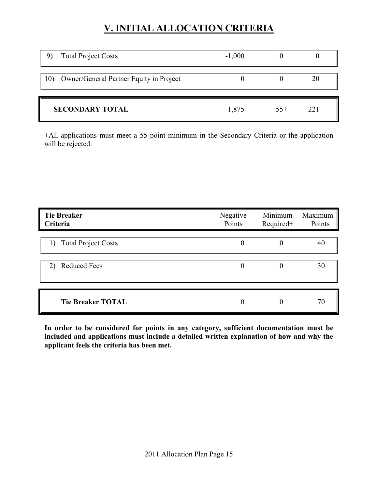| <b>Total Project Costs</b>                  | $-1,000$ |       |      |
|---------------------------------------------|----------|-------|------|
| 10) Owner/General Partner Equity in Project |          |       |      |
| <b>SECONDARY TOTAL</b>                      | $-1,875$ | $55+$ | 22.1 |

+All applications must meet a 55 point minimum in the Secondary Criteria or the application will be rejected.

| <b>Tie Breaker</b><br>Criteria | Negative<br>Points | Minimum<br>Required+ | Maximum<br>Points |
|--------------------------------|--------------------|----------------------|-------------------|
| 1) Total Project Costs         |                    |                      | 40                |
| <b>Reduced Fees</b><br>2)      |                    |                      | 30                |
| <b>Tie Breaker TOTAL</b>       |                    |                      | 70                |

**In order to be considered for points in any category, sufficient documentation must be included and applications must include a detailed written explanation of how and why the applicant feels the criteria has been met.**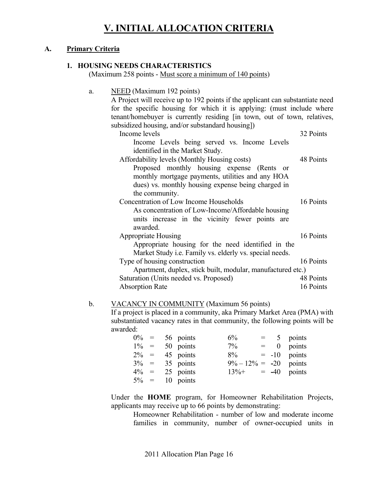#### **A. Primary Criteria**

#### **1. HOUSING NEEDS CHARACTERISTICS**

(Maximum 258 points - Must score a minimum of 140 points)

| a. | NEED (Maximum 192 points)<br>A Project will receive up to 192 points if the applicant can substantiate need                                        |           |
|----|----------------------------------------------------------------------------------------------------------------------------------------------------|-----------|
|    | for the specific housing for which it is applying: (must include where<br>tenant/homebuyer is currently residing [in town, out of town, relatives, |           |
|    | subsidized housing, and/or substandard housing])                                                                                                   |           |
|    | Income levels                                                                                                                                      | 32 Points |
|    | Income Levels being served vs. Income Levels                                                                                                       |           |
|    | identified in the Market Study.                                                                                                                    |           |
|    | Affordability levels (Monthly Housing costs)                                                                                                       | 48 Points |
|    | Proposed monthly housing expense (Rents<br><sub>or</sub>                                                                                           |           |
|    | monthly mortgage payments, utilities and any HOA                                                                                                   |           |
|    | dues) vs. monthly housing expense being charged in                                                                                                 |           |
|    | the community.                                                                                                                                     |           |
|    | Concentration of Low Income Households                                                                                                             | 16 Points |
|    | As concentration of Low-Income/Affordable housing                                                                                                  |           |
|    | units increase in the vicinity fewer points are                                                                                                    |           |
|    | awarded.                                                                                                                                           |           |
|    | <b>Appropriate Housing</b>                                                                                                                         | 16 Points |
|    | Appropriate housing for the need identified in the                                                                                                 |           |
|    | Market Study <i>i.e.</i> Family vs. elderly vs. special needs.                                                                                     |           |
|    | Type of housing construction                                                                                                                       | 16 Points |
|    |                                                                                                                                                    |           |
|    | Apartment, duplex, stick built, modular, manufactured etc.)                                                                                        |           |
|    | Saturation (Units needed vs. Proposed)                                                                                                             | 48 Points |
|    | <b>Absorption Rate</b>                                                                                                                             | 16 Points |
|    |                                                                                                                                                    |           |

#### b. VACANCY IN COMMUNITY (Maximum 56 points)

If a project is placed in a community, aka Primary Market Area (PMA) with substantiated vacancy rates in that community, the following points will be awarded:

|         |  | $0\% = 56$ points | 6%                        |  | $= 5$ points |
|---------|--|-------------------|---------------------------|--|--------------|
| $1\% =$ |  | 50 points         | $7\%$                     |  | $= 0$ points |
| $2\% =$ |  | 45 points         | $8\% = -10$ points        |  |              |
|         |  | $3\% = 35$ points | $9\% - 12\% = -20$ points |  |              |
| $4\% =$ |  | 25 points         | $13\% + = -40$ points     |  |              |
|         |  | $5\% = 10$ points |                           |  |              |

Under the **HOME** program, for Homeowner Rehabilitation Projects, applicants may receive up to 66 points by demonstrating:

 Homeowner Rehabilitation - number of low and moderate income families in community, number of owner-occupied units in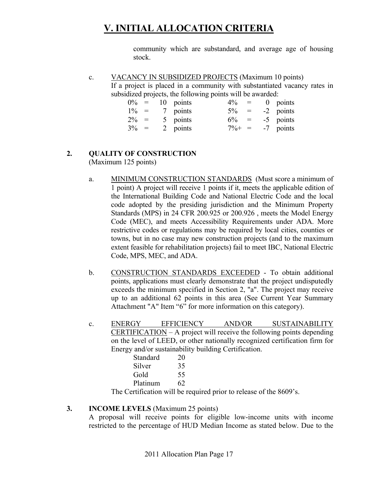community which are substandard, and average age of housing stock.

c. VACANCY IN SUBSIDIZED PROJECTS (Maximum 10 points) If a project is placed in a community with substantiated vacancy rates in subsidized projects, the following points will be awarded:

| $0\% =$ |  | 10 points | $4\%$     | $\alpha = 1$ , $\alpha$ | $0$ points |
|---------|--|-----------|-----------|-------------------------|------------|
|         |  |           |           |                         |            |
| $1\% =$ |  | 7 points  | $5\% =$   |                         | -2 points  |
| $2\% =$ |  | 5 points  | $6\% =$   |                         | -5 points  |
| $3\% =$ |  | 2 points  | $7\% + =$ |                         | -7 points  |

#### **2. QUALITY OF CONSTRUCTION**

(Maximum 125 points)

- a. MINIMUM CONSTRUCTION STANDARDS (Must score a minimum of 1 point) A project will receive 1 points if it, meets the applicable edition of the International Building Code and National Electric Code and the local code adopted by the presiding jurisdiction and the Minimum Property Standards (MPS) in 24 CFR 200.925 or 200.926 , meets the Model Energy Code (MEC), and meets Accessibility Requirements under ADA. More restrictive codes or regulations may be required by local cities, counties or towns, but in no case may new construction projects (and to the maximum extent feasible for rehabilitation projects) fail to meet IBC, National Electric Code, MPS, MEC, and ADA.
- b. CONSTRUCTION STANDARDS EXCEEDED To obtain additional points, applications must clearly demonstrate that the project undisputedly exceeds the minimum specified in Section 2, "a". The project may receive up to an additional 62 points in this area (See Current Year Summary Attachment "A" Item "6" for more information on this category).
- c. ENERGY EFFICIENCY AND/OR SUSTAINABILITY CERTIFICATION – A project will receive the following points depending on the level of LEED, or other nationally recognized certification firm for Energy and/or sustainability building Certification.

|   | Standard | 20 |
|---|----------|----|
|   | Silver   | 35 |
|   | Gold     | 55 |
|   | Platinum | 62 |
| m | $\cdots$ |    |

The Certification will be required prior to release of the 8609's.

#### **3. INCOME LEVELS** (Maximum 25 points)

A proposal will receive points for eligible low-income units with income restricted to the percentage of HUD Median Income as stated below. Due to the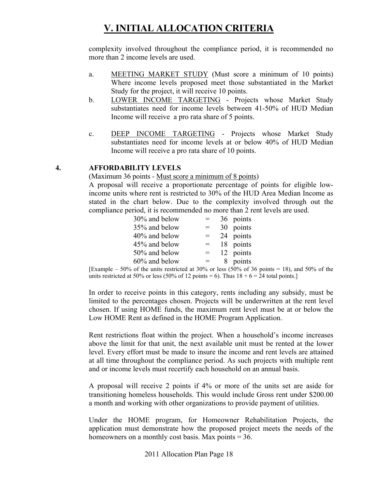complexity involved throughout the compliance period, it is recommended no more than 2 income levels are used.

- a. MEETING MARKET STUDY (Must score a minimum of 10 points) Where income levels proposed meet those substantiated in the Market Study for the project, it will receive 10 points.
- b. LOWER INCOME TARGETING Projects whose Market Study substantiates need for income levels between 41-50% of HUD Median Income will receive a pro rata share of 5 points.
- c. DEEP INCOME TARGETING Projects whose Market Study substantiates need for income levels at or below 40% of HUD Median Income will receive a pro rata share of 10 points.

#### **4. AFFORDABILITY LEVELS**

(Maximum 36 points - Must score a minimum of 8 points)

A proposal will receive a proportionate percentage of points for eligible lowincome units where rent is restricted to 30% of the HUD Area Median Income as stated in the chart below. Due to the complexity involved through out the compliance period, it is recommended no more than 2 rent levels are used.

| 30% and below |     | 36 points |
|---------------|-----|-----------|
| 35% and below | $=$ | 30 points |
| 40% and below | $=$ | 24 points |
| 45% and below | $=$ | 18 points |
| 50% and below | $=$ | 12 points |
| 60% and below |     | 8 points  |

[Example – 50% of the units restricted at 30% or less (50% of 36 points = 18), and 50% of the units restricted at 50% or less (50% of 12 points = 6). Thus  $18 + 6 = 24$  total points.]

In order to receive points in this category, rents including any subsidy, must be limited to the percentages chosen. Projects will be underwritten at the rent level chosen. If using HOME funds, the maximum rent level must be at or below the Low HOME Rent as defined in the HOME Program Application.

Rent restrictions float within the project. When a household's income increases above the limit for that unit, the next available unit must be rented at the lower level. Every effort must be made to insure the income and rent levels are attained at all time throughout the compliance period. As such projects with multiple rent and or income levels must recertify each household on an annual basis.

A proposal will receive 2 points if 4% or more of the units set are aside for transitioning homeless households. This would include Gross rent under \$200.00 a month and working with other organizations to provide payment of utilities.

Under the HOME program, for Homeowner Rehabilitation Projects, the application must demonstrate how the proposed project meets the needs of the homeowners on a monthly cost basis. Max points  $= 36$ .

2011 Allocation Plan Page 18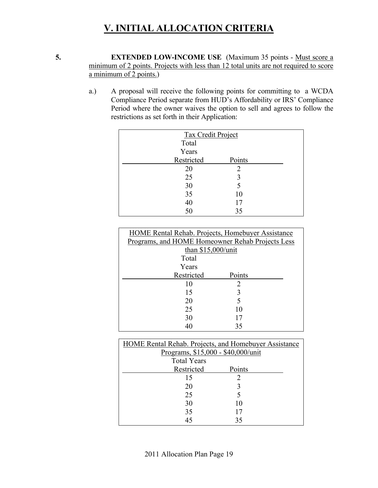**5. EXTENDED LOW-INCOME USE** (Maximum 35 points - Must score a minimum of 2 points. Projects with less than 12 total units are not required to score a minimum of 2 points.)

> a.) A proposal will receive the following points for committing to a WCDA Compliance Period separate from HUD's Affordability or IRS' Compliance Period where the owner waives the option to sell and agrees to follow the restrictions as set forth in their Application:

| Tax Credit Project |        |  |  |  |
|--------------------|--------|--|--|--|
| Total              |        |  |  |  |
| Years              |        |  |  |  |
| Restricted         | Points |  |  |  |
| 20                 | 2      |  |  |  |
| 25                 | 3      |  |  |  |
| 30                 | 5      |  |  |  |
| 35                 | 10     |  |  |  |
| 40                 | 17     |  |  |  |
| 50                 | 35     |  |  |  |

| HOME Rental Rehab. Projects, Homebuyer Assistance |        |  |  |
|---------------------------------------------------|--------|--|--|
| Programs, and HOME Homeowner Rehab Projects Less  |        |  |  |
| than $$15,000/$ unit                              |        |  |  |
| Total                                             |        |  |  |
| Years                                             |        |  |  |
| Restricted                                        | Points |  |  |
| 10                                                | 2      |  |  |
| 15                                                | 3      |  |  |
| 20                                                | 5      |  |  |
| 25<br>10                                          |        |  |  |
| 30                                                | 17     |  |  |
|                                                   | 35     |  |  |

| <b>HOME Rental Rehab. Projects, and Homebuyer Assistance</b> |        |  |
|--------------------------------------------------------------|--------|--|
| Programs, \$15,000 - \$40,000/unit                           |        |  |
| <b>Total Years</b>                                           |        |  |
| Restricted                                                   | Points |  |
| 15                                                           |        |  |
| 20                                                           |        |  |
| 25                                                           |        |  |
| 30                                                           | 10     |  |
| 35                                                           |        |  |
| 45                                                           | 35     |  |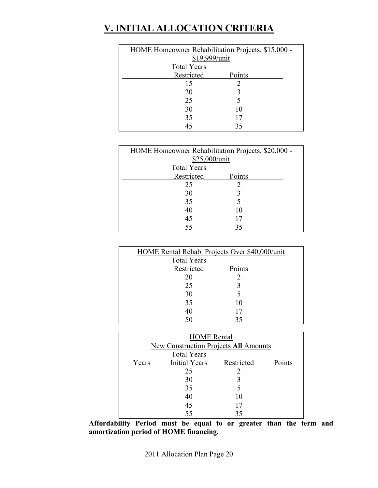| HOME Homeowner Rehabilitation Projects, \$15,000 - |        |  |
|----------------------------------------------------|--------|--|
| \$19,999/unit                                      |        |  |
| <b>Total Years</b>                                 |        |  |
| Restricted                                         | Points |  |
| 15                                                 |        |  |
| 20                                                 |        |  |
| 25                                                 |        |  |
| 30                                                 | 10     |  |
| 35                                                 | 17     |  |
| 45                                                 | 35     |  |

| HOME Homeowner Rehabilitation Projects, \$20,000 - |        |  |
|----------------------------------------------------|--------|--|
| \$25,000/unit                                      |        |  |
| <b>Total Years</b>                                 |        |  |
| Restricted                                         | Points |  |
| 25                                                 |        |  |
| 30                                                 |        |  |
| 35                                                 |        |  |
| 40                                                 | 10     |  |
| 45                                                 |        |  |
| 55                                                 | 35     |  |

| HOME Rental Rehab. Projects Over \$40,000/unit |        |  |
|------------------------------------------------|--------|--|
| <b>Total Years</b>                             |        |  |
| Restricted                                     | Points |  |
| 20                                             |        |  |
| 25                                             |        |  |
| 30                                             |        |  |
| 35                                             | 10     |  |
| 40                                             | 17     |  |
| 50                                             | 35     |  |

| <b>HOME</b> Rental |                                              |            |        |  |
|--------------------|----------------------------------------------|------------|--------|--|
|                    | <b>New Construction Projects All Amounts</b> |            |        |  |
|                    | <b>Total Years</b>                           |            |        |  |
| Years              | <b>Initial Years</b>                         | Restricted | Points |  |
|                    | 25                                           |            |        |  |
|                    | 30                                           |            |        |  |
|                    | 35                                           |            |        |  |
|                    | 40                                           | 10         |        |  |
|                    | 45                                           |            |        |  |
|                    | 55                                           |            |        |  |

**Affordability Period must be equal to or greater than the term and amortization period of HOME financing.**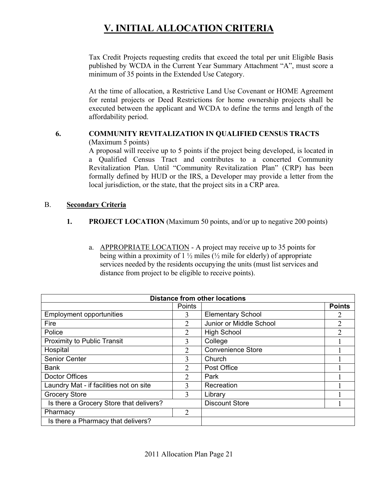Tax Credit Projects requesting credits that exceed the total per unit Eligible Basis published by WCDA in the Current Year Summary Attachment "A", must score a minimum of 35 points in the Extended Use Category.

At the time of allocation, a Restrictive Land Use Covenant or HOME Agreement for rental projects or Deed Restrictions for home ownership projects shall be executed between the applicant and WCDA to define the terms and length of the affordability period.

#### **6. COMMUNITY REVITALIZATION IN QUALIFIED CENSUS TRACTS**  (Maximum 5 points)

A proposal will receive up to 5 points if the project being developed, is located in a Qualified Census Tract and contributes to a concerted Community Revitalization Plan. Until "Community Revitalization Plan" (CRP) has been formally defined by HUD or the IRS, a Developer may provide a letter from the local jurisdiction, or the state, that the project sits in a CRP area.

#### B. **Secondary Criteria**

#### **1. PROJECT LOCATION** (Maximum 50 points, and/or up to negative 200 points)

a. APPROPRIATE LOCATION - A project may receive up to 35 points for being within a proximity of  $1\frac{1}{2}$  miles ( $\frac{1}{2}$  mile for elderly) of appropriate services needed by the residents occupying the units (must list services and distance from project to be eligible to receive points).

| <b>Distance from other locations</b>    |                             |                          |               |
|-----------------------------------------|-----------------------------|--------------------------|---------------|
|                                         | Points                      |                          | <b>Points</b> |
| <b>Employment opportunities</b>         | 3                           | <b>Elementary School</b> |               |
| Fire                                    | $\mathfrak{D}$              | Junior or Middle School  | 2             |
| Police                                  | 2                           | <b>High School</b>       |               |
| <b>Proximity to Public Transit</b>      | 3                           | College                  |               |
| Hospital                                | $\mathcal{D}_{\mathcal{L}}$ | <b>Convenience Store</b> |               |
| Senior Center                           | 3                           | Church                   |               |
| <b>Bank</b>                             | $\mathfrak{D}$              | Post Office              |               |
| Doctor Offices                          | $\mathcal{L}$               | Park                     |               |
| Laundry Mat - if facilities not on site | 3                           | Recreation               |               |
| <b>Grocery Store</b>                    | $\mathcal{E}$               | Library                  |               |
| Is there a Grocery Store that delivers? |                             | <b>Discount Store</b>    |               |
| Pharmacy                                | 2                           |                          |               |
| Is there a Pharmacy that delivers?      |                             |                          |               |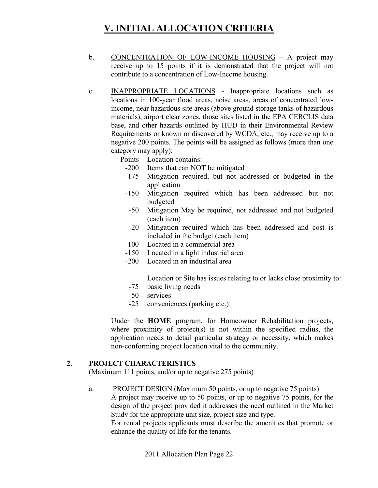- b. CONCENTRATION OF LOW-INCOME HOUSING A project may receive up to 15 points if it is demonstrated that the project will not contribute to a concentration of Low-Income housing.
- c. INAPPROPRIATE LOCATIONS Inappropriate locations such as locations in 100-year flood areas, noise areas, areas of concentrated lowincome, near hazardous site areas (above ground storage tanks of hazardous materials), airport clear zones, those sites listed in the EPA CERCLIS data base, and other hazards outlined by HUD in their Environmental Review Requirements or known or discovered by WCDA, etc., may receive up to a negative 200 points. The points will be assigned as follows (more than one category may apply):
	- Points Location contains:
		- -200 Items that can NOT be mitigated
		- -175 Mitigation required, but not addressed or budgeted in the application
		- -150 Mitigation required which has been addressed but not budgeted
		- -50 Mitigation May be required, not addressed and not budgeted (each item)
		- -20 Mitigation required which has been addressed and cost is included in the budget (each item)
		- -100 Located in a commercial area
		- -150 Located in a light industrial area
		- -200 Located in an industrial area

Location or Site has issues relating to or lacks close proximity to:

- -75 basic living needs
- -50 services
- -25 conveniences (parking etc.)

Under the **HOME** program, for Homeowner Rehabilitation projects, where proximity of project(s) is not within the specified radius, the application needs to detail particular strategy or necessity, which makes non-conforming project location vital to the community.

#### **2. PROJECT CHARACTERISTICS**

(Maximum 111 points, and/or up to negative 275 points)

a. PROJECT DESIGN (Maximum 50 points, or up to negative 75 points)

A project may receive up to 50 points, or up to negative 75 points, for the design of the project provided it addresses the need outlined in the Market Study for the appropriate unit size, project size and type.

For rental projects applicants must describe the amenities that promote or enhance the quality of life for the tenants.

2011 Allocation Plan Page 22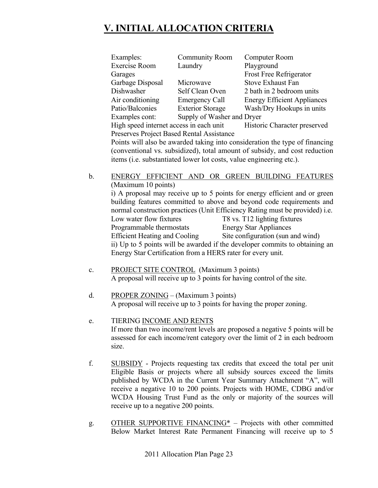| Examples:                                                                   | <b>Community Room</b>      | Computer Room                      |  |  |
|-----------------------------------------------------------------------------|----------------------------|------------------------------------|--|--|
| <b>Exercise Room</b>                                                        | Laundry                    | Playground                         |  |  |
| Garages                                                                     |                            | <b>Frost Free Refrigerator</b>     |  |  |
| Garbage Disposal                                                            | Microwave                  | <b>Stove Exhaust Fan</b>           |  |  |
| Dishwasher                                                                  | Self Clean Oven            | 2 bath in 2 bedroom units          |  |  |
| Air conditioning                                                            | <b>Emergency Call</b>      | <b>Energy Efficient Appliances</b> |  |  |
| Patio/Balconies                                                             | <b>Exterior Storage</b>    | Wash/Dry Hookups in units          |  |  |
| Examples cont:                                                              | Supply of Washer and Dryer |                                    |  |  |
| High speed internet access in each unit<br>Historic Character preserved     |                            |                                    |  |  |
| <b>Preserves Project Based Rental Assistance</b>                            |                            |                                    |  |  |
| Points will also be awarded taking into consideration the type of financing |                            |                                    |  |  |

(conventional vs. subsidized), total amount of subsidy, and cost reduction items (i.e. substantiated lower lot costs, value engineering etc.).

#### b. ENERGY EFFICIENT AND OR GREEN BUILDING FEATURES (Maximum 10 points)

i) A proposal may receive up to 5 points for energy efficient and or green building features committed to above and beyond code requirements and normal construction practices (Unit Efficiency Rating must be provided) i.e. Low water flow fixtures T8 vs. T12 lighting fixtures Programmable thermostats Energy Star Appliances Efficient Heating and Cooling Site configuration (sun and wind) ii) Up to 5 points will be awarded if the developer commits to obtaining an

c. PROJECT SITE CONTROL (Maximum 3 points) A proposal will receive up to 3 points for having control of the site.

Energy Star Certification from a HERS rater for every unit.

- d. PROPER ZONING (Maximum 3 points) A proposal will receive up to 3 points for having the proper zoning.
- e. TIERING INCOME AND RENTS If more than two income/rent levels are proposed a negative 5 points will be assessed for each income/rent category over the limit of 2 in each bedroom size.
- f. SUBSIDY Projects requesting tax credits that exceed the total per unit Eligible Basis or projects where all subsidy sources exceed the limits published by WCDA in the Current Year Summary Attachment "A", will receive a negative 10 to 200 points. Projects with HOME, CDBG and/or WCDA Housing Trust Fund as the only or majority of the sources will receive up to a negative 200 points.
- g. OTHER SUPPORTIVE FINANCING $*$  Projects with other committed Below Market Interest Rate Permanent Financing will receive up to 5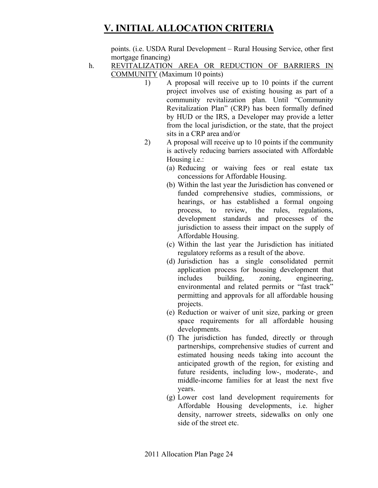points. (i.e. USDA Rural Development – Rural Housing Service, other first mortgage financing)

- h. REVITALIZATION AREA OR REDUCTION OF BARRIERS IN COMMUNITY (Maximum 10 points)
	- 1) A proposal will receive up to 10 points if the current project involves use of existing housing as part of a community revitalization plan. Until "Community Revitalization Plan" (CRP) has been formally defined by HUD or the IRS, a Developer may provide a letter from the local jurisdiction, or the state, that the project sits in a CRP area and/or
	- 2) A proposal will receive up to 10 points if the community is actively reducing barriers associated with Affordable Housing i.e.:
		- (a) Reducing or waiving fees or real estate tax concessions for Affordable Housing.
		- (b) Within the last year the Jurisdiction has convened or funded comprehensive studies, commissions, or hearings, or has established a formal ongoing process, to review, the rules, regulations, development standards and processes of the jurisdiction to assess their impact on the supply of Affordable Housing.
		- (c) Within the last year the Jurisdiction has initiated regulatory reforms as a result of the above.
		- (d) Jurisdiction has a single consolidated permit application process for housing development that includes building, zoning, engineering, environmental and related permits or "fast track" permitting and approvals for all affordable housing projects.
		- (e) Reduction or waiver of unit size, parking or green space requirements for all affordable housing developments.
		- (f) The jurisdiction has funded, directly or through partnerships, comprehensive studies of current and estimated housing needs taking into account the anticipated growth of the region, for existing and future residents, including low-, moderate-, and middle-income families for at least the next five years.
		- (g) Lower cost land development requirements for Affordable Housing developments, i.e. higher density, narrower streets, sidewalks on only one side of the street etc.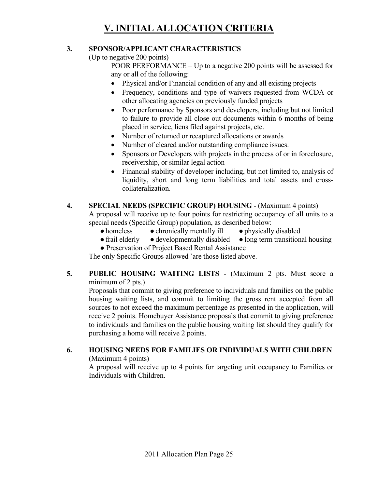#### **3. SPONSOR/APPLICANT CHARACTERISTICS**

(Up to negative 200 points)

 POOR PERFORMANCE – Up to a negative 200 points will be assessed for any or all of the following:

- Physical and/or Financial condition of any and all existing projects
- Frequency, conditions and type of waivers requested from WCDA or other allocating agencies on previously funded projects
- Poor performance by Sponsors and developers, including but not limited to failure to provide all close out documents within 6 months of being placed in service, liens filed against projects, etc.
- Number of returned or recaptured allocations or awards
- Number of cleared and/or outstanding compliance issues.
- Sponsors or Developers with projects in the process of or in foreclosure, receivership, or similar legal action
- Financial stability of developer including, but not limited to, analysis of liquidity, short and long term liabilities and total assets and crosscollateralization.

#### **4. SPECIAL NEEDS (SPECIFIC GROUP) HOUSING** - (Maximum 4 points)

A proposal will receive up to four points for restricting occupancy of all units to a special needs (Specific Group) population, as described below:

- homeless chronically mentally ill physically disabled
- frail elderly developmentally disabled long term transitional housing
- Preservation of Project Based Rental Assistance

The only Specific Groups allowed `are those listed above.

#### **5. PUBLIC HOUSING WAITING LISTS** - (Maximum 2 pts. Must score a minimum of 2 pts.)

Proposals that commit to giving preference to individuals and families on the public housing waiting lists, and commit to limiting the gross rent accepted from all sources to not exceed the maximum percentage as presented in the application, will receive 2 points. Homebuyer Assistance proposals that commit to giving preference to individuals and families on the public housing waiting list should they qualify for purchasing a home will receive 2 points.

#### **6. HOUSING NEEDS FOR FAMILIES OR INDIVIDUALS WITH CHILDREN** (Maximum 4 points)

A proposal will receive up to 4 points for targeting unit occupancy to Families or Individuals with Children.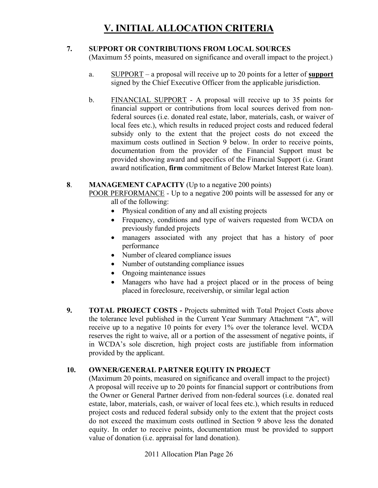#### **7. SUPPORT OR CONTRIBUTIONS FROM LOCAL SOURCES**

(Maximum 55 points, measured on significance and overall impact to the project.)

- a. SUPPORT a proposal will receive up to 20 points for a letter of **support** signed by the Chief Executive Officer from the applicable jurisdiction.
- b. FINANCIAL SUPPORT A proposal will receive up to 35 points for financial support or contributions from local sources derived from nonfederal sources (i.e. donated real estate, labor, materials, cash, or waiver of local fees etc.), which results in reduced project costs and reduced federal subsidy only to the extent that the project costs do not exceed the maximum costs outlined in Section 9 below. In order to receive points, documentation from the provider of the Financial Support must be provided showing award and specifics of the Financial Support (i.e. Grant award notification, **firm** commitment of Below Market Interest Rate loan).

#### **8**. **MANAGEMENT CAPACITY** (Up to a negative 200 points)

POOR PERFORMANCE - Up to a negative 200 points will be assessed for any or all of the following:

- Physical condition of any and all existing projects
- Frequency, conditions and type of waivers requested from WCDA on previously funded projects
- managers associated with any project that has a history of poor performance
- Number of cleared compliance issues
- Number of outstanding compliance issues
- Ongoing maintenance issues
- Managers who have had a project placed or in the process of being placed in foreclosure, receivership, or similar legal action
- **9. TOTAL PROJECT COSTS** Projects submitted with Total Project Costs above the tolerance level published in the Current Year Summary Attachment "A", will receive up to a negative 10 points for every 1% over the tolerance level. WCDA reserves the right to waive, all or a portion of the assessment of negative points, if in WCDA's sole discretion, high project costs are justifiable from information provided by the applicant.

#### **10. OWNER/GENERAL PARTNER EQUITY IN PROJECT**

(Maximum 20 points, measured on significance and overall impact to the project) A proposal will receive up to 20 points for financial support or contributions from the Owner or General Partner derived from non-federal sources (i.e. donated real estate, labor, materials, cash, or waiver of local fees etc.), which results in reduced project costs and reduced federal subsidy only to the extent that the project costs do not exceed the maximum costs outlined in Section 9 above less the donated equity. In order to receive points, documentation must be provided to support value of donation (i.e. appraisal for land donation).

2011 Allocation Plan Page 26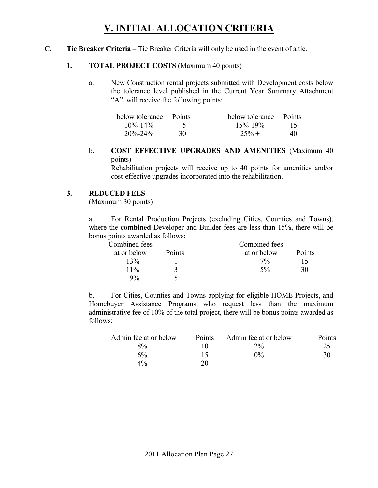#### **C. Tie Breaker Criteria –** Tie Breaker Criteria will only be used in the event of a tie.

#### **1. TOTAL PROJECT COSTS** (Maximum 40 points)

a. New Construction rental projects submitted with Development costs below the tolerance level published in the Current Year Summary Attachment "A", will receive the following points:

| below tolerance Points |    | below tolerance Points |    |
|------------------------|----|------------------------|----|
| $10\% - 14\%$          |    | $15\% - 19\%$          | 15 |
| $20\% - 24\%$          | 30 | $25% +$                | 40 |

b. **COST EFFECTIVE UPGRADES AND AMENITIES** (Maximum 40 points)

 Rehabilitation projects will receive up to 40 points for amenities and/or cost-effective upgrades incorporated into the rehabilitation.

#### **3. REDUCED FEES**

(Maximum 30 points)

a. For Rental Production Projects (excluding Cities, Counties and Towns), where the **combined** Developer and Builder fees are less than 15%, there will be bonus points awarded as follows:

| Combined fees |        | Combined fees |        |
|---------------|--------|---------------|--------|
| at or below   | Points | at or below   | Points |
| 13%           |        | $7\%$         | 15     |
| $11\%$        |        | $5\%$         | 30     |
| 9%            |        |               |        |

b. For Cities, Counties and Towns applying for eligible HOME Projects, and Homebuyer Assistance Programs who request less than the maximum administrative fee of 10% of the total project, there will be bonus points awarded as follows:

| Admin fee at or below | <b>Points</b> | Admin fee at or below | Points |
|-----------------------|---------------|-----------------------|--------|
| $8\%$                 |               | $2\%$                 | 25     |
| 6%                    | 15            | $0\%$                 | 30     |
| $4\%$                 | 20.           |                       |        |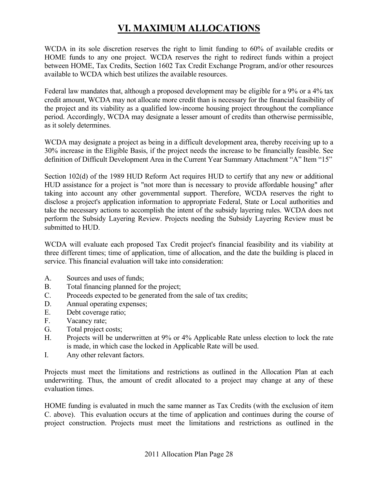# **VI. MAXIMUM ALLOCATIONS**

WCDA in its sole discretion reserves the right to limit funding to 60% of available credits or HOME funds to any one project. WCDA reserves the right to redirect funds within a project between HOME, Tax Credits, Section 1602 Tax Credit Exchange Program, and/or other resources available to WCDA which best utilizes the available resources.

Federal law mandates that, although a proposed development may be eligible for a 9% or a 4% tax credit amount, WCDA may not allocate more credit than is necessary for the financial feasibility of the project and its viability as a qualified low-income housing project throughout the compliance period. Accordingly, WCDA may designate a lesser amount of credits than otherwise permissible, as it solely determines.

WCDA may designate a project as being in a difficult development area, thereby receiving up to a 30% increase in the Eligible Basis, if the project needs the increase to be financially feasible. See definition of Difficult Development Area in the Current Year Summary Attachment "A" Item "15"

Section 102(d) of the 1989 HUD Reform Act requires HUD to certify that any new or additional HUD assistance for a project is "not more than is necessary to provide affordable housing" after taking into account any other governmental support. Therefore, WCDA reserves the right to disclose a project's application information to appropriate Federal, State or Local authorities and take the necessary actions to accomplish the intent of the subsidy layering rules. WCDA does not perform the Subsidy Layering Review. Projects needing the Subsidy Layering Review must be submitted to HUD.

WCDA will evaluate each proposed Tax Credit project's financial feasibility and its viability at three different times; time of application, time of allocation, and the date the building is placed in service. This financial evaluation will take into consideration:

- A. Sources and uses of funds;
- B. Total financing planned for the project;
- C. Proceeds expected to be generated from the sale of tax credits;
- D. Annual operating expenses;
- E. Debt coverage ratio;
- F. Vacancy rate;
- G. Total project costs;
- H. Projects will be underwritten at 9% or 4% Applicable Rate unless election to lock the rate is made, in which case the locked in Applicable Rate will be used.
- I. Any other relevant factors.

Projects must meet the limitations and restrictions as outlined in the Allocation Plan at each underwriting. Thus, the amount of credit allocated to a project may change at any of these evaluation times.

HOME funding is evaluated in much the same manner as Tax Credits (with the exclusion of item C. above). This evaluation occurs at the time of application and continues during the course of project construction. Projects must meet the limitations and restrictions as outlined in the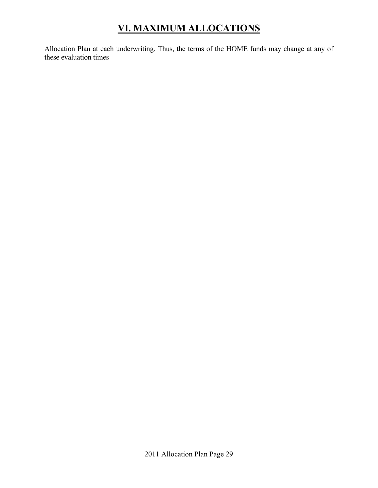# **VI. MAXIMUM ALLOCATIONS**

Allocation Plan at each underwriting. Thus, the terms of the HOME funds may change at any of these evaluation times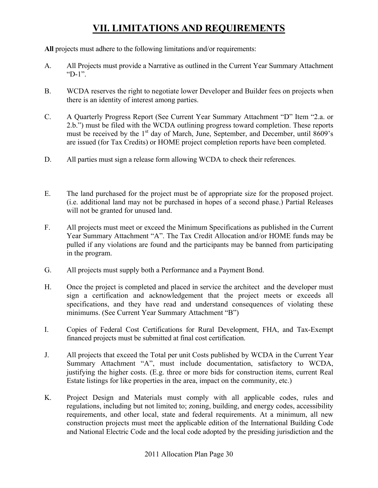**All** projects must adhere to the following limitations and/or requirements:

- A. All Projects must provide a Narrative as outlined in the Current Year Summary Attachment "D-1".
- B. WCDA reserves the right to negotiate lower Developer and Builder fees on projects when there is an identity of interest among parties.
- C. A Quarterly Progress Report (See Current Year Summary Attachment "D" Item "2.a. or 2.b.") must be filed with the WCDA outlining progress toward completion. These reports must be received by the  $1<sup>st</sup>$  day of March, June, September, and December, until  $8609$ 's are issued (for Tax Credits) or HOME project completion reports have been completed.
- D. All parties must sign a release form allowing WCDA to check their references.
- E. The land purchased for the project must be of appropriate size for the proposed project. (i.e. additional land may not be purchased in hopes of a second phase.) Partial Releases will not be granted for unused land.
- F. All projects must meet or exceed the Minimum Specifications as published in the Current Year Summary Attachment "A". The Tax Credit Allocation and/or HOME funds may be pulled if any violations are found and the participants may be banned from participating in the program.
- G. All projects must supply both a Performance and a Payment Bond.
- H. Once the project is completed and placed in service the architect and the developer must sign a certification and acknowledgement that the project meets or exceeds all specifications, and they have read and understand consequences of violating these minimums. (See Current Year Summary Attachment "B")
- I. Copies of Federal Cost Certifications for Rural Development, FHA, and Tax-Exempt financed projects must be submitted at final cost certification.
- J. All projects that exceed the Total per unit Costs published by WCDA in the Current Year Summary Attachment "A", must include documentation, satisfactory to WCDA, justifying the higher costs. (E.g. three or more bids for construction items, current Real Estate listings for like properties in the area, impact on the community, etc.)
- K. Project Design and Materials must comply with all applicable codes, rules and regulations, including but not limited to; zoning, building, and energy codes, accessibility requirements, and other local, state and federal requirements. At a minimum, all new construction projects must meet the applicable edition of the International Building Code and National Electric Code and the local code adopted by the presiding jurisdiction and the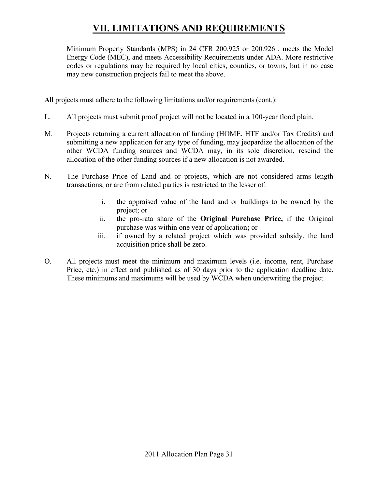Minimum Property Standards (MPS) in 24 CFR 200.925 or 200.926 , meets the Model Energy Code (MEC), and meets Accessibility Requirements under ADA. More restrictive codes or regulations may be required by local cities, counties, or towns, but in no case may new construction projects fail to meet the above.

**All** projects must adhere to the following limitations and/or requirements (cont.):

- L. All projects must submit proof project will not be located in a 100-year flood plain.
- M. Projects returning a current allocation of funding (HOME, HTF and/or Tax Credits) and submitting a new application for any type of funding, may jeopardize the allocation of the other WCDA funding sources and WCDA may, in its sole discretion, rescind the allocation of the other funding sources if a new allocation is not awarded.
- N. The Purchase Price of Land and or projects, which are not considered arms length transactions, or are from related parties is restricted to the lesser of:
	- i. the appraised value of the land and or buildings to be owned by the project; or
	- ii. the pro-rata share of the **Original Purchase Price,** if the Original purchase was within one year of application**;** or
	- iii. if owned by a related project which was provided subsidy, the land acquisition price shall be zero.
- O. All projects must meet the minimum and maximum levels (i.e. income, rent, Purchase Price, etc.) in effect and published as of 30 days prior to the application deadline date. These minimums and maximums will be used by WCDA when underwriting the project.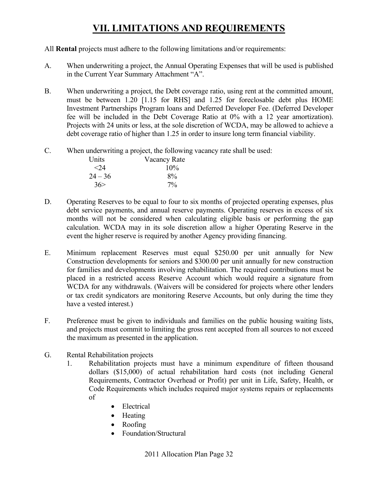#### All **Rental** projects must adhere to the following limitations and/or requirements:

- A. When underwriting a project, the Annual Operating Expenses that will be used is published in the Current Year Summary Attachment "A".
- B. When underwriting a project, the Debt coverage ratio, using rent at the committed amount, must be between 1.20 [1.15 for RHS] and 1.25 for foreclosable debt plus HOME Investment Partnerships Program loans and Deferred Developer Fee. (Deferred Developer fee will be included in the Debt Coverage Ratio at 0% with a 12 year amortization). Projects with 24 units or less, at the sole discretion of WCDA, may be allowed to achieve a debt coverage ratio of higher than 1.25 in order to insure long term financial viability.
- C. When underwriting a project, the following vacancy rate shall be used:

| Units     | Vacancy Rate |
|-----------|--------------|
| $<$ 24    | $10\%$       |
| $24 - 36$ | 8%           |
| 36 >      | $7\%$        |

- D. Operating Reserves to be equal to four to six months of projected operating expenses, plus debt service payments, and annual reserve payments. Operating reserves in excess of six months will not be considered when calculating eligible basis or performing the gap calculation. WCDA may in its sole discretion allow a higher Operating Reserve in the event the higher reserve is required by another Agency providing financing.
- E. Minimum replacement Reserves must equal \$250.00 per unit annually for New Construction developments for seniors and \$300.00 per unit annually for new construction for families and developments involving rehabilitation. The required contributions must be placed in a restricted access Reserve Account which would require a signature from WCDA for any withdrawals. (Waivers will be considered for projects where other lenders or tax credit syndicators are monitoring Reserve Accounts, but only during the time they have a vested interest.)
- F. Preference must be given to individuals and families on the public housing waiting lists, and projects must commit to limiting the gross rent accepted from all sources to not exceed the maximum as presented in the application.
- G. Rental Rehabilitation projects
	- 1. Rehabilitation projects must have a minimum expenditure of fifteen thousand dollars (\$15,000) of actual rehabilitation hard costs (not including General Requirements, Contractor Overhead or Profit) per unit in Life, Safety, Health, or Code Requirements which includes required major systems repairs or replacements of
		- Electrical
		- Heating
		- Roofing
		- Foundation/Structural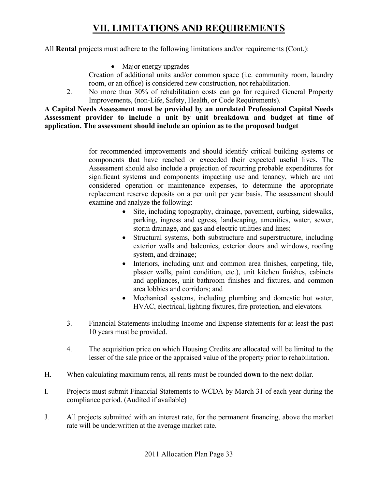All **Rental** projects must adhere to the following limitations and/or requirements (Cont.):

• Major energy upgrades

Creation of additional units and/or common space (i.e. community room, laundry room, or an office) is considered new construction, not rehabilitation.

2. No more than 30% of rehabilitation costs can go for required General Property Improvements, (non-Life, Safety, Health, or Code Requirements).

**A Capital Needs Assessment must be provided by an unrelated Professional Capital Needs Assessment provider to include a unit by unit breakdown and budget at time of application. The assessment should include an opinion as to the proposed budget** 

> for recommended improvements and should identify critical building systems or components that have reached or exceeded their expected useful lives. The Assessment should also include a projection of recurring probable expenditures for significant systems and components impacting use and tenancy, which are not considered operation or maintenance expenses, to determine the appropriate replacement reserve deposits on a per unit per year basis. The assessment should examine and analyze the following:

- Site, including topography, drainage, pavement, curbing, sidewalks, parking, ingress and egress, landscaping, amenities, water, sewer, storm drainage, and gas and electric utilities and lines;
- Structural systems, both substructure and superstructure, including exterior walls and balconies, exterior doors and windows, roofing system, and drainage;
- Interiors, including unit and common area finishes, carpeting, tile, plaster walls, paint condition, etc.), unit kitchen finishes, cabinets and appliances, unit bathroom finishes and fixtures, and common area lobbies and corridors; and
- Mechanical systems, including plumbing and domestic hot water, HVAC, electrical, lighting fixtures, fire protection, and elevators.
- 3. Financial Statements including Income and Expense statements for at least the past 10 years must be provided.
- 4. The acquisition price on which Housing Credits are allocated will be limited to the lesser of the sale price or the appraised value of the property prior to rehabilitation.
- H. When calculating maximum rents, all rents must be rounded **down** to the next dollar.
- I. Projects must submit Financial Statements to WCDA by March 31 of each year during the compliance period. (Audited if available)
- J. All projects submitted with an interest rate, for the permanent financing, above the market rate will be underwritten at the average market rate.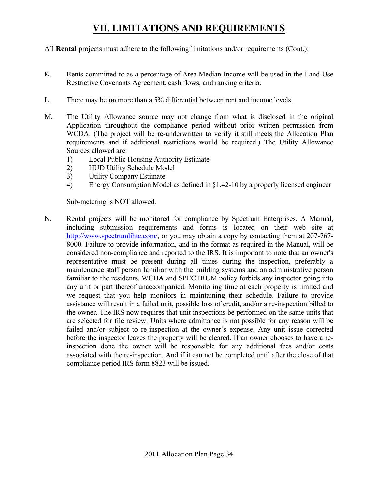All **Rental** projects must adhere to the following limitations and/or requirements (Cont.):

- K. Rents committed to as a percentage of Area Median Income will be used in the Land Use Restrictive Covenants Agreement, cash flows, and ranking criteria.
- L. There may be **no** more than a 5% differential between rent and income levels.
- M. The Utility Allowance source may not change from what is disclosed in the original Application throughout the compliance period without prior written permission from WCDA. (The project will be re-underwritten to verify it still meets the Allocation Plan requirements and if additional restrictions would be required.) The Utility Allowance Sources allowed are:
	- 1) Local Public Housing Authority Estimate
	- 2) HUD Utility Schedule Model
	- 3) Utility Company Estimate
	- 4) Energy Consumption Model as defined in §1.42-10 by a properly licensed engineer

Sub-metering is NOT allowed.

N. Rental projects will be monitored for compliance by Spectrum Enterprises. A Manual, including submission requirements and forms is located on their web site at http://www.spectrumlihtc.com/, or you may obtain a copy by contacting them at 207-767-8000. Failure to provide information, and in the format as required in the Manual, will be considered non-compliance and reported to the IRS. It is important to note that an owner's representative must be present during all times during the inspection, preferably a maintenance staff person familiar with the building systems and an administrative person familiar to the residents. WCDA and SPECTRUM policy forbids any inspector going into any unit or part thereof unaccompanied. Monitoring time at each property is limited and we request that you help monitors in maintaining their schedule. Failure to provide assistance will result in a failed unit, possible loss of credit, and/or a re-inspection billed to the owner. The IRS now requires that unit inspections be performed on the same units that are selected for file review. Units where admittance is not possible for any reason will be failed and/or subject to re-inspection at the owner's expense. Any unit issue corrected before the inspector leaves the property will be cleared. If an owner chooses to have a reinspection done the owner will be responsible for any additional fees and/or costs associated with the re-inspection. And if it can not be completed until after the close of that compliance period IRS form 8823 will be issued.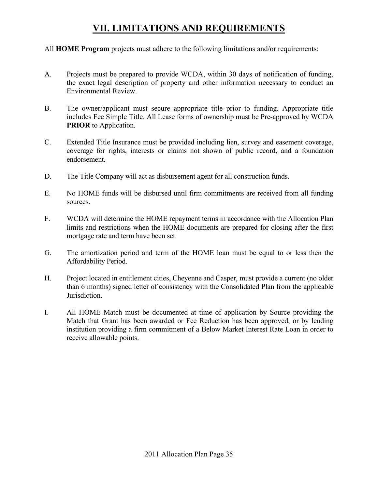All **HOME Program** projects must adhere to the following limitations and/or requirements:

- A. Projects must be prepared to provide WCDA, within 30 days of notification of funding, the exact legal description of property and other information necessary to conduct an Environmental Review.
- B. The owner/applicant must secure appropriate title prior to funding. Appropriate title includes Fee Simple Title. All Lease forms of ownership must be Pre-approved by WCDA **PRIOR** to Application.
- C. Extended Title Insurance must be provided including lien, survey and easement coverage, coverage for rights, interests or claims not shown of public record, and a foundation endorsement.
- D. The Title Company will act as disbursement agent for all construction funds.
- E. No HOME funds will be disbursed until firm commitments are received from all funding sources.
- F. WCDA will determine the HOME repayment terms in accordance with the Allocation Plan limits and restrictions when the HOME documents are prepared for closing after the first mortgage rate and term have been set.
- G. The amortization period and term of the HOME loan must be equal to or less then the Affordability Period.
- H. Project located in entitlement cities, Cheyenne and Casper, must provide a current (no older than 6 months) signed letter of consistency with the Consolidated Plan from the applicable Jurisdiction.
- I. All HOME Match must be documented at time of application by Source providing the Match that Grant has been awarded or Fee Reduction has been approved, or by lending institution providing a firm commitment of a Below Market Interest Rate Loan in order to receive allowable points.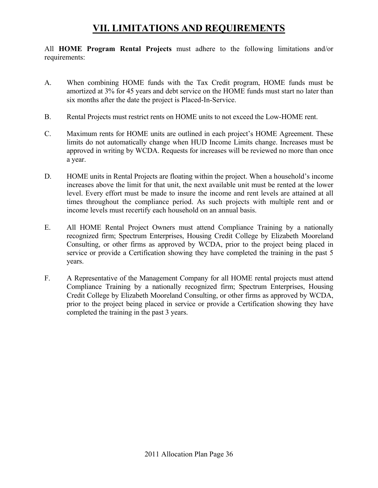All **HOME Program Rental Projects** must adhere to the following limitations and/or requirements:

- A. When combining HOME funds with the Tax Credit program, HOME funds must be amortized at 3% for 45 years and debt service on the HOME funds must start no later than six months after the date the project is Placed-In-Service.
- B. Rental Projects must restrict rents on HOME units to not exceed the Low-HOME rent.
- C. Maximum rents for HOME units are outlined in each project's HOME Agreement. These limits do not automatically change when HUD Income Limits change. Increases must be approved in writing by WCDA. Requests for increases will be reviewed no more than once a year.
- D. HOME units in Rental Projects are floating within the project. When a household's income increases above the limit for that unit, the next available unit must be rented at the lower level. Every effort must be made to insure the income and rent levels are attained at all times throughout the compliance period. As such projects with multiple rent and or income levels must recertify each household on an annual basis.
- E. All HOME Rental Project Owners must attend Compliance Training by a nationally recognized firm; Spectrum Enterprises, Housing Credit College by Elizabeth Mooreland Consulting, or other firms as approved by WCDA, prior to the project being placed in service or provide a Certification showing they have completed the training in the past 5 years.
- F. A Representative of the Management Company for all HOME rental projects must attend Compliance Training by a nationally recognized firm; Spectrum Enterprises, Housing Credit College by Elizabeth Mooreland Consulting, or other firms as approved by WCDA, prior to the project being placed in service or provide a Certification showing they have completed the training in the past 3 years.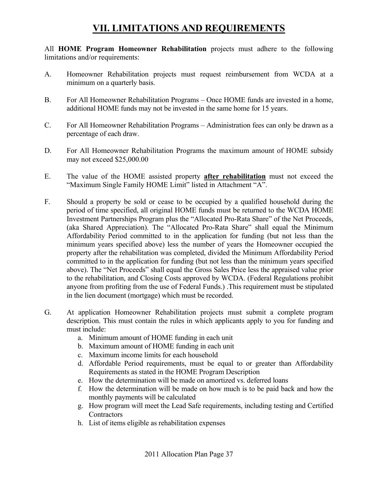All **HOME Program Homeowner Rehabilitation** projects must adhere to the following limitations and/or requirements:

- A. Homeowner Rehabilitation projects must request reimbursement from WCDA at a minimum on a quarterly basis.
- B. For All Homeowner Rehabilitation Programs Once HOME funds are invested in a home, additional HOME funds may not be invested in the same home for 15 years.
- C. For All Homeowner Rehabilitation Programs Administration fees can only be drawn as a percentage of each draw.
- D. For All Homeowner Rehabilitation Programs the maximum amount of HOME subsidy may not exceed \$25,000.00
- E. The value of the HOME assisted property **after rehabilitation** must not exceed the "Maximum Single Family HOME Limit" listed in Attachment "A".
- F. Should a property be sold or cease to be occupied by a qualified household during the period of time specified, all original HOME funds must be returned to the WCDA HOME Investment Partnerships Program plus the "Allocated Pro-Rata Share" of the Net Proceeds, (aka Shared Appreciation). The "Allocated Pro-Rata Share" shall equal the Minimum Affordability Period committed to in the application for funding (but not less than the minimum years specified above) less the number of years the Homeowner occupied the property after the rehabilitation was completed, divided the Minimum Affordability Period committed to in the application for funding (but not less than the minimum years specified above). The "Net Proceeds" shall equal the Gross Sales Price less the appraised value prior to the rehabilitation, and Closing Costs approved by WCDA. (Federal Regulations prohibit anyone from profiting from the use of Federal Funds.) .This requirement must be stipulated in the lien document (mortgage) which must be recorded.
- G. At application Homeowner Rehabilitation projects must submit a complete program description. This must contain the rules in which applicants apply to you for funding and must include:
	- a. Minimum amount of HOME funding in each unit
	- b. Maximum amount of HOME funding in each unit
	- c. Maximum income limits for each household
	- d. Affordable Period requirements, must be equal to or greater than Affordability Requirements as stated in the HOME Program Description
	- e. How the determination will be made on amortized vs. deferred loans
	- f. How the determination will be made on how much is to be paid back and how the monthly payments will be calculated
	- g. How program will meet the Lead Safe requirements, including testing and Certified **Contractors**
	- h. List of items eligible as rehabilitation expenses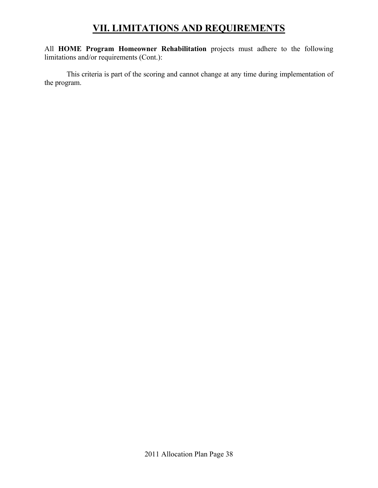All **HOME Program Homeowner Rehabilitation** projects must adhere to the following limitations and/or requirements (Cont.):

 This criteria is part of the scoring and cannot change at any time during implementation of the program.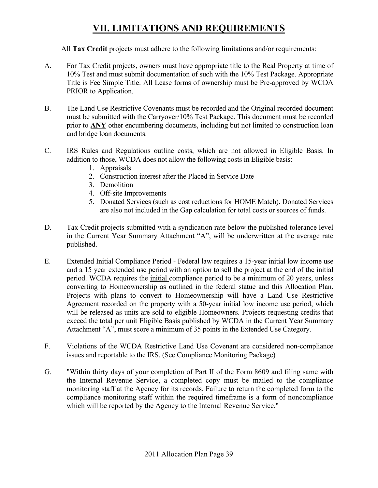All **Tax Credit** projects must adhere to the following limitations and/or requirements:

- A. For Tax Credit projects, owners must have appropriate title to the Real Property at time of 10% Test and must submit documentation of such with the 10% Test Package. Appropriate Title is Fee Simple Title. All Lease forms of ownership must be Pre-approved by WCDA PRIOR to Application.
- B. The Land Use Restrictive Covenants must be recorded and the Original recorded document must be submitted with the Carryover/10% Test Package. This document must be recorded prior to **ANY** other encumbering documents, including but not limited to construction loan and bridge loan documents.
- C. IRS Rules and Regulations outline costs, which are not allowed in Eligible Basis. In addition to those, WCDA does not allow the following costs in Eligible basis:
	- 1. Appraisals
	- 2. Construction interest after the Placed in Service Date
	- 3. Demolition
	- 4. Off-site Improvements
	- 5. Donated Services (such as cost reductions for HOME Match). Donated Services are also not included in the Gap calculation for total costs or sources of funds.
- D. Tax Credit projects submitted with a syndication rate below the published tolerance level in the Current Year Summary Attachment "A", will be underwritten at the average rate published.
- E. Extended Initial Compliance Period Federal law requires a 15-year initial low income use and a 15 year extended use period with an option to sell the project at the end of the initial period. WCDA requires the initial compliance period to be a minimum of 20 years, unless converting to Homeownership as outlined in the federal statue and this Allocation Plan. Projects with plans to convert to Homeownership will have a Land Use Restrictive Agreement recorded on the property with a 50-year initial low income use period, which will be released as units are sold to eligible Homeowners. Projects requesting credits that exceed the total per unit Eligible Basis published by WCDA in the Current Year Summary Attachment "A", must score a minimum of 35 points in the Extended Use Category.
- F. Violations of the WCDA Restrictive Land Use Covenant are considered non-compliance issues and reportable to the IRS. (See Compliance Monitoring Package)
- G. "Within thirty days of your completion of Part II of the Form 8609 and filing same with the Internal Revenue Service, a completed copy must be mailed to the compliance monitoring staff at the Agency for its records. Failure to return the completed form to the compliance monitoring staff within the required timeframe is a form of noncompliance which will be reported by the Agency to the Internal Revenue Service."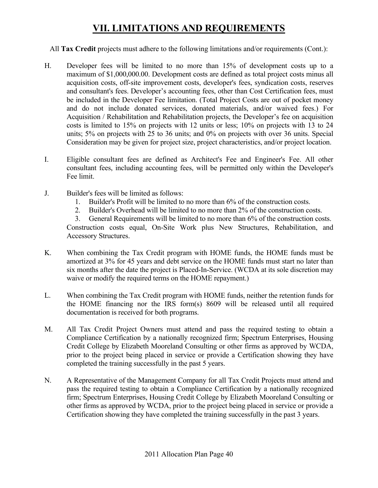#### All **Tax Credit** projects must adhere to the following limitations and/or requirements (Cont.):

- H. Developer fees will be limited to no more than 15% of development costs up to a maximum of \$1,000,000.00. Development costs are defined as total project costs minus all acquisition costs, off-site improvement costs, developer's fees, syndication costs, reserves and consultant's fees. Developer's accounting fees, other than Cost Certification fees, must be included in the Developer Fee limitation. (Total Project Costs are out of pocket money and do not include donated services, donated materials, and/or waived fees.) For Acquisition / Rehabilitation and Rehabilitation projects, the Developer's fee on acquisition costs is limited to 15% on projects with 12 units or less; 10% on projects with 13 to 24 units; 5% on projects with 25 to 36 units; and 0% on projects with over 36 units. Special Consideration may be given for project size, project characteristics, and/or project location.
- I. Eligible consultant fees are defined as Architect's Fee and Engineer's Fee. All other consultant fees, including accounting fees, will be permitted only within the Developer's Fee limit.
- J. Builder's fees will be limited as follows:
	- 1. Builder's Profit will be limited to no more than 6% of the construction costs.
	- 2. Builder's Overhead will be limited to no more than 2% of the construction costs.

3. General Requirements will be limited to no more than 6% of the construction costs. Construction costs equal, On-Site Work plus New Structures, Rehabilitation, and Accessory Structures.

- K. When combining the Tax Credit program with HOME funds, the HOME funds must be amortized at 3% for 45 years and debt service on the HOME funds must start no later than six months after the date the project is Placed-In-Service. (WCDA at its sole discretion may waive or modify the required terms on the HOME repayment.)
- L. When combining the Tax Credit program with HOME funds, neither the retention funds for the HOME financing nor the IRS form(s) 8609 will be released until all required documentation is received for both programs.
- M. All Tax Credit Project Owners must attend and pass the required testing to obtain a Compliance Certification by a nationally recognized firm; Spectrum Enterprises, Housing Credit College by Elizabeth Mooreland Consulting or other firms as approved by WCDA, prior to the project being placed in service or provide a Certification showing they have completed the training successfully in the past 5 years.
- N. A Representative of the Management Company for all Tax Credit Projects must attend and pass the required testing to obtain a Compliance Certification by a nationally recognized firm; Spectrum Enterprises, Housing Credit College by Elizabeth Mooreland Consulting or other firms as approved by WCDA, prior to the project being placed in service or provide a Certification showing they have completed the training successfully in the past 3 years.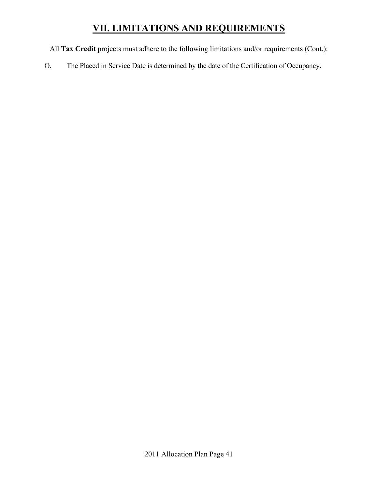All **Tax Credit** projects must adhere to the following limitations and/or requirements (Cont.):

O. The Placed in Service Date is determined by the date of the Certification of Occupancy.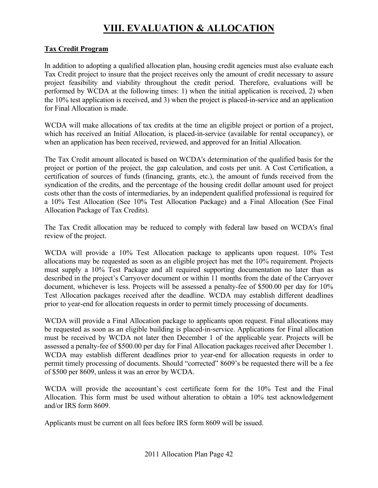# **VIII. EVALUATION & ALLOCATION**

#### **Tax Credit Program**

In addition to adopting a qualified allocation plan, housing credit agencies must also evaluate each Tax Credit project to insure that the project receives only the amount of credit necessary to assure project feasibility and viability throughout the credit period. Therefore, evaluations will be performed by WCDA at the following times: 1) when the initial application is received, 2) when the 10% test application is received, and 3) when the project is placed-in-service and an application for Final Allocation is made.

WCDA will make allocations of tax credits at the time an eligible project or portion of a project, which has received an Initial Allocation, is placed-in-service (available for rental occupancy), or when an application has been received, reviewed, and approved for an Initial Allocation.

The Tax Credit amount allocated is based on WCDA's determination of the qualified basis for the project or portion of the project, the gap calculation, and costs per unit. A Cost Certification, a certification of sources of funds (financing, grants, etc.), the amount of funds received from the syndication of the credits, and the percentage of the housing credit dollar amount used for project costs other than the costs of intermediaries, by an independent qualified professional is required for a 10% Test Allocation (See 10% Test Allocation Package) and a Final Allocation (See Final Allocation Package of Tax Credits).

The Tax Credit allocation may be reduced to comply with federal law based on WCDA's final review of the project.

WCDA will provide a 10% Test Allocation package to applicants upon request. 10% Test allocations may be requested as soon as an eligible project has met the 10% requirement. Projects must supply a 10% Test Package and all required supporting documentation no later than as described in the project's Carryover document or within 11 months from the date of the Carryover document, whichever is less. Projects will be assessed a penalty-fee of \$500.00 per day for 10% Test Allocation packages received after the deadline. WCDA may establish different deadlines prior to year-end for allocation requests in order to permit timely processing of documents.

WCDA will provide a Final Allocation package to applicants upon request. Final allocations may be requested as soon as an eligible building is placed-in-service. Applications for Final allocation must be received by WCDA not later then December 1 of the applicable year. Projects will be assessed a penalty-fee of \$500.00 per day for Final Allocation packages received after December 1. WCDA may establish different deadlines prior to year-end for allocation requests in order to permit timely processing of documents. Should "corrected" 8609's be requested there will be a fee of \$500 per 8609, unless it was an error by WCDA.

WCDA will provide the accountant's cost certificate form for the 10% Test and the Final Allocation. This form must be used without alteration to obtain a 10% test acknowledgement and/or IRS form 8609.

Applicants must be current on all fees before IRS form 8609 will be issued.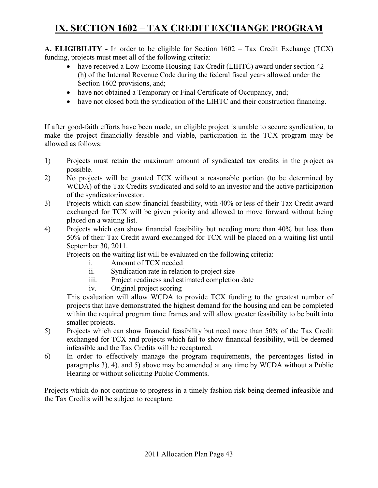# **IX. SECTION 1602 – TAX CREDIT EXCHANGE PROGRAM**

**A. ELIGIBILITY -** In order to be eligible for Section 1602 – Tax Credit Exchange (TCX) funding, projects must meet all of the following criteria:

- have received a Low-Income Housing Tax Credit (LIHTC) award under section 42 (h) of the Internal Revenue Code during the federal fiscal years allowed under the Section 1602 provisions, and;
- have not obtained a Temporary or Final Certificate of Occupancy, and;
- have not closed both the syndication of the LIHTC and their construction financing.

If after good-faith efforts have been made, an eligible project is unable to secure syndication, to make the project financially feasible and viable, participation in the TCX program may be allowed as follows:

- 1) Projects must retain the maximum amount of syndicated tax credits in the project as possible.
- 2) No projects will be granted TCX without a reasonable portion (to be determined by WCDA) of the Tax Credits syndicated and sold to an investor and the active participation of the syndicator/investor.
- 3) Projects which can show financial feasibility, with 40% or less of their Tax Credit award exchanged for TCX will be given priority and allowed to move forward without being placed on a waiting list.
- 4) Projects which can show financial feasibility but needing more than 40% but less than 50% of their Tax Credit award exchanged for TCX will be placed on a waiting list until September 30, 2011.

Projects on the waiting list will be evaluated on the following criteria:

- i. Amount of TCX needed
- ii. Syndication rate in relation to project size
- iii. Project readiness and estimated completion date
- iv. Original project scoring

This evaluation will allow WCDA to provide TCX funding to the greatest number of projects that have demonstrated the highest demand for the housing and can be completed within the required program time frames and will allow greater feasibility to be built into smaller projects.

- 5) Projects which can show financial feasibility but need more than 50% of the Tax Credit exchanged for TCX and projects which fail to show financial feasibility, will be deemed infeasible and the Tax Credits will be recaptured.
- 6) In order to effectively manage the program requirements, the percentages listed in paragraphs 3), 4), and 5) above may be amended at any time by WCDA without a Public Hearing or without soliciting Public Comments.

Projects which do not continue to progress in a timely fashion risk being deemed infeasible and the Tax Credits will be subject to recapture.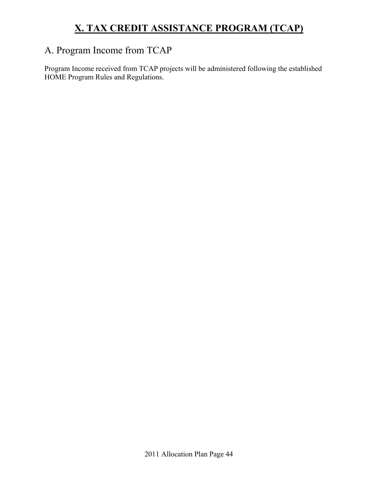# **X. TAX CREDIT ASSISTANCE PROGRAM (TCAP)**

### A. Program Income from TCAP

Program Income received from TCAP projects will be administered following the established HOME Program Rules and Regulations.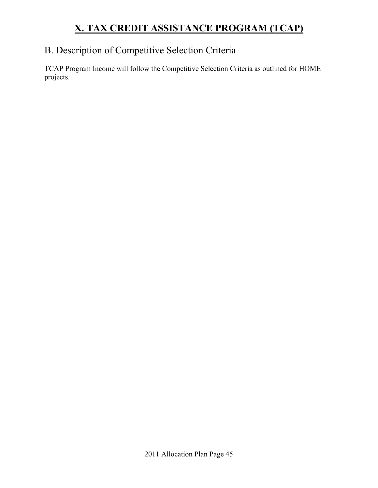# **X. TAX CREDIT ASSISTANCE PROGRAM (TCAP)**

### B. Description of Competitive Selection Criteria

TCAP Program Income will follow the Competitive Selection Criteria as outlined for HOME projects.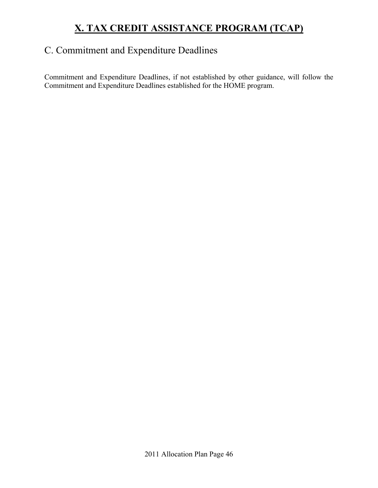# **X. TAX CREDIT ASSISTANCE PROGRAM (TCAP)**

### C. Commitment and Expenditure Deadlines

Commitment and Expenditure Deadlines, if not established by other guidance, will follow the Commitment and Expenditure Deadlines established for the HOME program.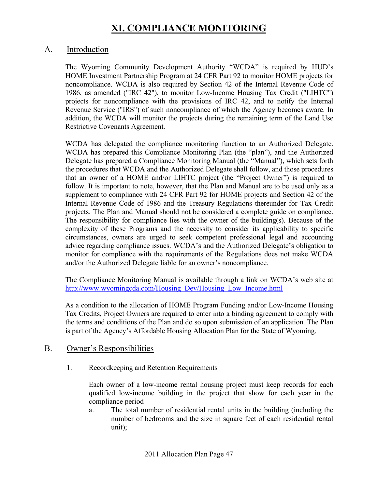#### A. Introduction

The Wyoming Community Development Authority "WCDA" is required by HUD's HOME Investment Partnership Program at 24 CFR Part 92 to monitor HOME projects for noncompliance. WCDA is also required by Section 42 of the Internal Revenue Code of 1986, as amended ("IRC 42"), to monitor Low-Income Housing Tax Credit ("LIHTC") projects for noncompliance with the provisions of IRC 42, and to notify the Internal Revenue Service ("IRS") of such noncompliance of which the Agency becomes aware. In addition, the WCDA will monitor the projects during the remaining term of the Land Use Restrictive Covenants Agreement.

WCDA has delegated the compliance monitoring function to an Authorized Delegate. WCDA has prepared this Compliance Monitoring Plan (the "plan"), and the Authorized Delegate has prepared a Compliance Monitoring Manual (the "Manual"), which sets forth the procedures that WCDA and the Authorized Delegate shall follow, and those procedures that an owner of a HOME and/or LIHTC project (the "Project Owner") is required to follow. It is important to note, however, that the Plan and Manual are to be used only as a supplement to compliance with 24 CFR Part 92 for HOME projects and Section 42 of the Internal Revenue Code of 1986 and the Treasury Regulations thereunder for Tax Credit projects. The Plan and Manual should not be considered a complete guide on compliance. The responsibility for compliance lies with the owner of the building(s). Because of the complexity of these Programs and the necessity to consider its applicability to specific circumstances, owners are urged to seek competent professional legal and accounting advice regarding compliance issues. WCDA's and the Authorized Delegate's obligation to monitor for compliance with the requirements of the Regulations does not make WCDA and/or the Authorized Delegate liable for an owner's noncompliance.

The Compliance Monitoring Manual is available through a link on WCDA's web site at http://www.wyomingcda.com/Housing\_Dev/Housing\_Low\_Income.html

As a condition to the allocation of HOME Program Funding and/or Low-Income Housing Tax Credits, Project Owners are required to enter into a binding agreement to comply with the terms and conditions of the Plan and do so upon submission of an application. The Plan is part of the Agency's Affordable Housing Allocation Plan for the State of Wyoming.

#### B. Owner's Responsibilities

1. Recordkeeping and Retention Requirements

Each owner of a low-income rental housing project must keep records for each qualified low-income building in the project that show for each year in the compliance period

a. The total number of residential rental units in the building (including the number of bedrooms and the size in square feet of each residential rental unit);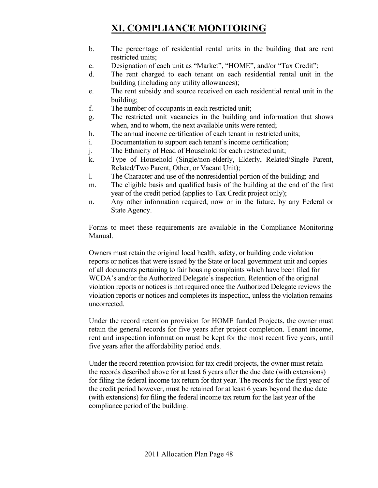- b. The percentage of residential rental units in the building that are rent restricted units;
- c. Designation of each unit as "Market", "HOME", and/or "Tax Credit";
- d. The rent charged to each tenant on each residential rental unit in the building (including any utility allowances);
- e. The rent subsidy and source received on each residential rental unit in the building;
- f. The number of occupants in each restricted unit;
- g. The restricted unit vacancies in the building and information that shows when, and to whom, the next available units were rented;
- h. The annual income certification of each tenant in restricted units;
- i. Documentation to support each tenant's income certification;
- j. The Ethnicity of Head of Household for each restricted unit;
- k. Type of Household (Single/non-elderly, Elderly, Related/Single Parent, Related/Two Parent, Other, or Vacant Unit);
- l. The Character and use of the nonresidential portion of the building; and
- m. The eligible basis and qualified basis of the building at the end of the first year of the credit period (applies to Tax Credit project only);
- n. Any other information required, now or in the future, by any Federal or State Agency.

Forms to meet these requirements are available in the Compliance Monitoring Manual.

Owners must retain the original local health, safety, or building code violation reports or notices that were issued by the State or local government unit and copies of all documents pertaining to fair housing complaints which have been filed for WCDA's and/or the Authorized Delegate's inspection. Retention of the original violation reports or notices is not required once the Authorized Delegate reviews the violation reports or notices and completes its inspection, unless the violation remains uncorrected.

Under the record retention provision for HOME funded Projects, the owner must retain the general records for five years after project completion. Tenant income, rent and inspection information must be kept for the most recent five years, until five years after the affordability period ends.

Under the record retention provision for tax credit projects, the owner must retain the records described above for at least 6 years after the due date (with extensions) for filing the federal income tax return for that year. The records for the first year of the credit period however, must be retained for at least 6 years beyond the due date (with extensions) for filing the federal income tax return for the last year of the compliance period of the building.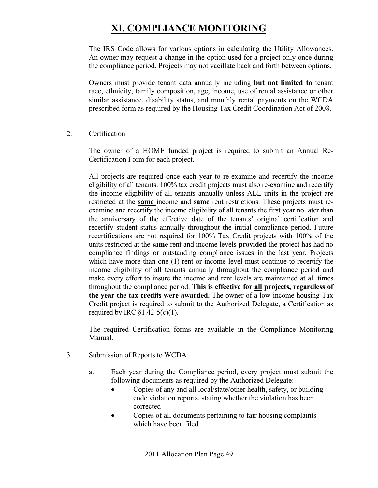The IRS Code allows for various options in calculating the Utility Allowances. An owner may request a change in the option used for a project only once during the compliance period. Projects may not vacillate back and forth between options.

Owners must provide tenant data annually including **but not limited to** tenant race, ethnicity, family composition, age, income, use of rental assistance or other similar assistance, disability status, and monthly rental payments on the WCDA prescribed form as required by the Housing Tax Credit Coordination Act of 2008.

2. Certification

 The owner of a HOME funded project is required to submit an Annual Re-Certification Form for each project.

 All projects are required once each year to re-examine and recertify the income eligibility of all tenants. 100% tax credit projects must also re-examine and recertify the income eligibility of all tenants annually unless ALL units in the project are restricted at the **same** income and **same** rent restrictions. These projects must reexamine and recertify the income eligibility of all tenants the first year no later than the anniversary of the effective date of the tenants' original certification and recertify student status annually throughout the initial compliance period. Future recertifications are not required for 100% Tax Credit projects with 100% of the units restricted at the **same** rent and income levels **provided** the project has had no compliance findings or outstanding compliance issues in the last year. Projects which have more than one (1) rent or income level must continue to recertify the income eligibility of all tenants annually throughout the compliance period and make every effort to insure the income and rent levels are maintained at all times throughout the compliance period. **This is effective for all projects, regardless of the year the tax credits were awarded.** The owner of a low-income housing Tax Credit project is required to submit to the Authorized Delegate, a Certification as required by IRC  $$1.42-5(c)(1)$ .

 The required Certification forms are available in the Compliance Monitoring Manual.

- 3. Submission of Reports to WCDA
	- a. Each year during the Compliance period, every project must submit the following documents as required by the Authorized Delegate:
		- Copies of any and all local/state/other health, safety, or building code violation reports, stating whether the violation has been corrected
		- Copies of all documents pertaining to fair housing complaints which have been filed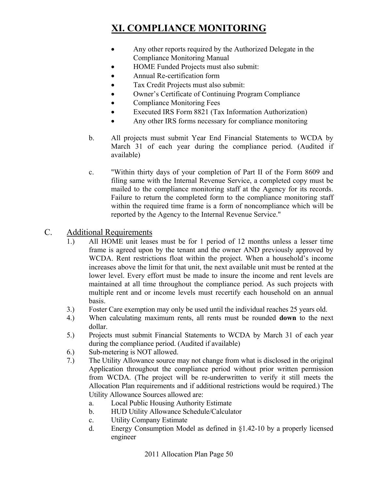- Any other reports required by the Authorized Delegate in the Compliance Monitoring Manual
- HOME Funded Projects must also submit:
- Annual Re-certification form
- Tax Credit Projects must also submit:
- Owner's Certificate of Continuing Program Compliance
- Compliance Monitoring Fees
- Executed IRS Form 8821 (Tax Information Authorization)
- Any other IRS forms necessary for compliance monitoring
- b. All projects must submit Year End Financial Statements to WCDA by March 31 of each year during the compliance period. (Audited if available)
- c. "Within thirty days of your completion of Part II of the Form 8609 and filing same with the Internal Revenue Service, a completed copy must be mailed to the compliance monitoring staff at the Agency for its records. Failure to return the completed form to the compliance monitoring staff within the required time frame is a form of noncompliance which will be reported by the Agency to the Internal Revenue Service."

#### C. Additional Requirements

- 1.) All HOME unit leases must be for 1 period of 12 months unless a lesser time frame is agreed upon by the tenant and the owner AND previously approved by WCDA. Rent restrictions float within the project. When a household's income increases above the limit for that unit, the next available unit must be rented at the lower level. Every effort must be made to insure the income and rent levels are maintained at all time throughout the compliance period. As such projects with multiple rent and or income levels must recertify each household on an annual basis.
- 3.) Foster Care exemption may only be used until the individual reaches 25 years old.
- 4.) When calculating maximum rents, all rents must be rounded **down** to the next dollar.
- 5.) Projects must submit Financial Statements to WCDA by March 31 of each year during the compliance period. (Audited if available)
- 6.) Sub-metering is NOT allowed.
- 7.) The Utility Allowance source may not change from what is disclosed in the original Application throughout the compliance period without prior written permission from WCDA. (The project will be re-underwritten to verify it still meets the Allocation Plan requirements and if additional restrictions would be required.) The Utility Allowance Sources allowed are:
	- a. Local Public Housing Authority Estimate
	- b. HUD Utility Allowance Schedule/Calculator
	- c. Utility Company Estimate
	- d. Energy Consumption Model as defined in §1.42-10 by a properly licensed engineer

2011 Allocation Plan Page 50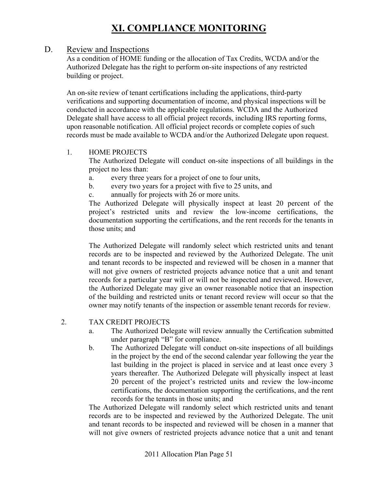#### D. Review and Inspections

As a condition of HOME funding or the allocation of Tax Credits, WCDA and/or the Authorized Delegate has the right to perform on-site inspections of any restricted building or project.

An on-site review of tenant certifications including the applications, third-party verifications and supporting documentation of income, and physical inspections will be conducted in accordance with the applicable regulations. WCDA and the Authorized Delegate shall have access to all official project records, including IRS reporting forms, upon reasonable notification. All official project records or complete copies of such records must be made available to WCDA and/or the Authorized Delegate upon request.

#### 1. HOME PROJECTS

The Authorized Delegate will conduct on-site inspections of all buildings in the project no less than:

- a. every three years for a project of one to four units,
- b. every two years for a project with five to 25 units, and
- c. annually for projects with 26 or more units.

The Authorized Delegate will physically inspect at least 20 percent of the project's restricted units and review the low-income certifications, the documentation supporting the certifications, and the rent records for the tenants in those units; and

The Authorized Delegate will randomly select which restricted units and tenant records are to be inspected and reviewed by the Authorized Delegate. The unit and tenant records to be inspected and reviewed will be chosen in a manner that will not give owners of restricted projects advance notice that a unit and tenant records for a particular year will or will not be inspected and reviewed. However, the Authorized Delegate may give an owner reasonable notice that an inspection of the building and restricted units or tenant record review will occur so that the owner may notify tenants of the inspection or assemble tenant records for review.

#### 2. TAX CREDIT PROJECTS

- a. The Authorized Delegate will review annually the Certification submitted under paragraph "B" for compliance.
- b. The Authorized Delegate will conduct on-site inspections of all buildings in the project by the end of the second calendar year following the year the last building in the project is placed in service and at least once every 3 years thereafter. The Authorized Delegate will physically inspect at least 20 percent of the project's restricted units and review the low-income certifications, the documentation supporting the certifications, and the rent records for the tenants in those units; and

The Authorized Delegate will randomly select which restricted units and tenant records are to be inspected and reviewed by the Authorized Delegate. The unit and tenant records to be inspected and reviewed will be chosen in a manner that will not give owners of restricted projects advance notice that a unit and tenant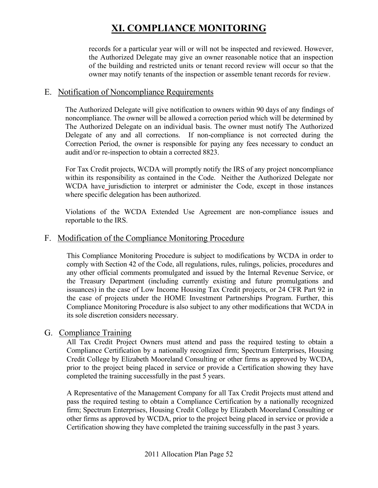records for a particular year will or will not be inspected and reviewed. However, the Authorized Delegate may give an owner reasonable notice that an inspection of the building and restricted units or tenant record review will occur so that the owner may notify tenants of the inspection or assemble tenant records for review.

#### E. Notification of Noncompliance Requirements

The Authorized Delegate will give notification to owners within 90 days of any findings of noncompliance. The owner will be allowed a correction period which will be determined by The Authorized Delegate on an individual basis. The owner must notify The Authorized Delegate of any and all corrections. If non-compliance is not corrected during the Correction Period, the owner is responsible for paying any fees necessary to conduct an audit and/or re-inspection to obtain a corrected 8823.

For Tax Credit projects, WCDA will promptly notify the IRS of any project noncompliance within its responsibility as contained in the Code. Neither the Authorized Delegate nor WCDA have jurisdiction to interpret or administer the Code, except in those instances where specific delegation has been authorized.

Violations of the WCDA Extended Use Agreement are non-compliance issues and reportable to the IRS.

#### F. Modification of the Compliance Monitoring Procedure

This Compliance Monitoring Procedure is subject to modifications by WCDA in order to comply with Section 42 of the Code, all regulations, rules, rulings, policies, procedures and any other official comments promulgated and issued by the Internal Revenue Service, or the Treasury Department (including currently existing and future promulgations and issuances) in the case of Low Income Housing Tax Credit projects, or 24 CFR Part 92 in the case of projects under the HOME Investment Partnerships Program. Further, this Compliance Monitoring Procedure is also subject to any other modifications that WCDA in its sole discretion considers necessary.

#### G. Compliance Training

All Tax Credit Project Owners must attend and pass the required testing to obtain a Compliance Certification by a nationally recognized firm; Spectrum Enterprises, Housing Credit College by Elizabeth Mooreland Consulting or other firms as approved by WCDA, prior to the project being placed in service or provide a Certification showing they have completed the training successfully in the past 5 years.

A Representative of the Management Company for all Tax Credit Projects must attend and pass the required testing to obtain a Compliance Certification by a nationally recognized firm; Spectrum Enterprises, Housing Credit College by Elizabeth Mooreland Consulting or other firms as approved by WCDA, prior to the project being placed in service or provide a Certification showing they have completed the training successfully in the past 3 years.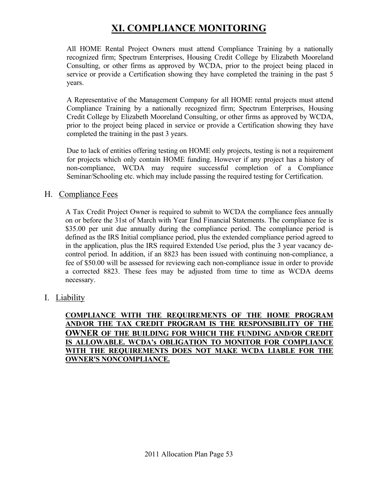All HOME Rental Project Owners must attend Compliance Training by a nationally recognized firm; Spectrum Enterprises, Housing Credit College by Elizabeth Mooreland Consulting, or other firms as approved by WCDA, prior to the project being placed in service or provide a Certification showing they have completed the training in the past 5 years.

A Representative of the Management Company for all HOME rental projects must attend Compliance Training by a nationally recognized firm; Spectrum Enterprises, Housing Credit College by Elizabeth Mooreland Consulting, or other firms as approved by WCDA, prior to the project being placed in service or provide a Certification showing they have completed the training in the past 3 years.

Due to lack of entities offering testing on HOME only projects, testing is not a requirement for projects which only contain HOME funding. However if any project has a history of non-compliance, WCDA may require successful completion of a Compliance Seminar/Schooling etc. which may include passing the required testing for Certification.

#### H. Compliance Fees

A Tax Credit Project Owner is required to submit to WCDA the compliance fees annually on or before the 31st of March with Year End Financial Statements. The compliance fee is \$35.00 per unit due annually during the compliance period. The compliance period is defined as the IRS Initial compliance period, plus the extended compliance period agreed to in the application, plus the IRS required Extended Use period, plus the 3 year vacancy decontrol period. In addition, if an 8823 has been issued with continuing non-compliance, a fee of \$50.00 will be assessed for reviewing each non-compliance issue in order to provide a corrected 8823. These fees may be adjusted from time to time as WCDA deems necessary.

I. Liability

#### **COMPLIANCE WITH THE REQUIREMENTS OF THE HOME PROGRAM AND/OR THE TAX CREDIT PROGRAM IS THE RESPONSIBILITY OF THE OWNER OF THE BUILDING FOR WHICH THE FUNDING AND/OR CREDIT IS ALLOWABLE. WCDA's OBLIGATION TO MONITOR FOR COMPLIANCE WITH THE REQUIREMENTS DOES NOT MAKE WCDA LIABLE FOR THE OWNER'S NONCOMPLIANCE.**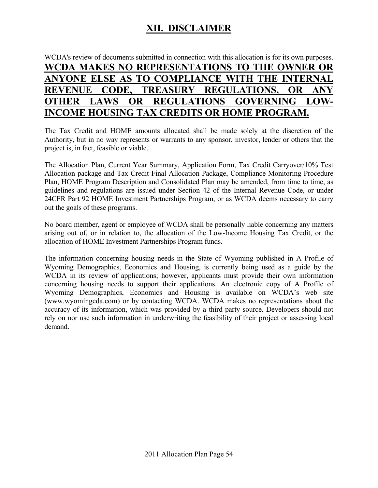### **XII. DISCLAIMER**

### WCDA's review of documents submitted in connection with this allocation is for its own purposes. **WCDA MAKES NO REPRESENTATIONS TO THE OWNER OR ANYONE ELSE AS TO COMPLIANCE WITH THE INTERNAL REVENUE CODE, TREASURY REGULATIONS, OR ANY OTHER LAWS OR REGULATIONS GOVERNING LOW-INCOME HOUSING TAX CREDITS OR HOME PROGRAM.**

The Tax Credit and HOME amounts allocated shall be made solely at the discretion of the Authority, but in no way represents or warrants to any sponsor, investor, lender or others that the project is, in fact, feasible or viable.

The Allocation Plan, Current Year Summary, Application Form, Tax Credit Carryover/10% Test Allocation package and Tax Credit Final Allocation Package, Compliance Monitoring Procedure Plan, HOME Program Description and Consolidated Plan may be amended, from time to time, as guidelines and regulations are issued under Section 42 of the Internal Revenue Code, or under 24CFR Part 92 HOME Investment Partnerships Program, or as WCDA deems necessary to carry out the goals of these programs.

No board member, agent or employee of WCDA shall be personally liable concerning any matters arising out of, or in relation to, the allocation of the Low-Income Housing Tax Credit, or the allocation of HOME Investment Partnerships Program funds.

The information concerning housing needs in the State of Wyoming published in A Profile of Wyoming Demographics, Economics and Housing, is currently being used as a guide by the WCDA in its review of applications; however, applicants must provide their own information concerning housing needs to support their applications. An electronic copy of A Profile of Wyoming Demographics, Economics and Housing is available on WCDA's web site (www.wyomingcda.com) or by contacting WCDA. WCDA makes no representations about the accuracy of its information, which was provided by a third party source. Developers should not rely on nor use such information in underwriting the feasibility of their project or assessing local demand.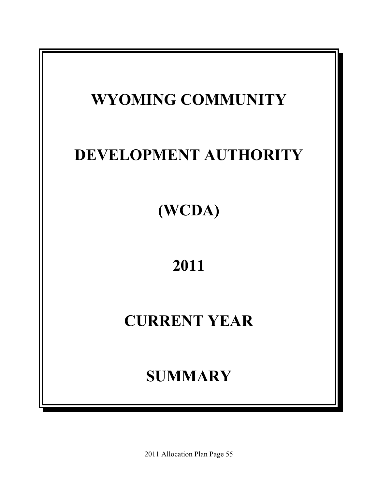

2011 Allocation Plan Page 55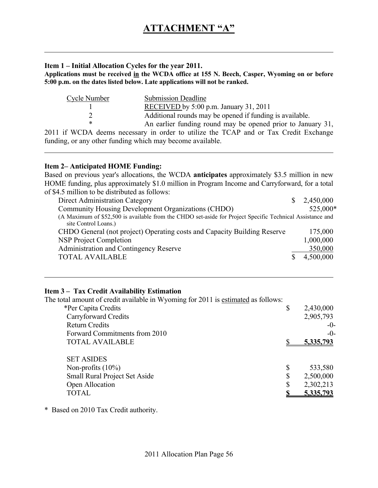#### **Item 1 – Initial Allocation Cycles for the year 2011.**

**Applications must be received in the WCDA office at 155 N. Beech, Casper, Wyoming on or before 5:00 p.m. on the dates listed below. Late applications will not be ranked.** 

| Cycle Number              | <b>Submission Deadline</b>                                                                                                                                                                                                                                                                                  |
|---------------------------|-------------------------------------------------------------------------------------------------------------------------------------------------------------------------------------------------------------------------------------------------------------------------------------------------------------|
|                           | RECEIVED by 5:00 p.m. January 31, 2011                                                                                                                                                                                                                                                                      |
|                           | Additional rounds may be opened if funding is available.                                                                                                                                                                                                                                                    |
|                           | An earlier funding round may be opened prior to January 31,                                                                                                                                                                                                                                                 |
| 0.011, 0.0000001, 1.00000 | $\mathbf{1}$ , $\mathbf{1}$ , $\mathbf{1}$ , $\mathbf{1}$ , $\mathbf{1}$ , $\mathbf{1}$ , $\mathbf{1}$ , $\mathbf{1}$ , $\mathbf{1}$ , $\mathbf{1}$ , $\mathbf{1}$ , $\mathbf{1}$ , $\mathbf{1}$ , $\mathbf{1}$ , $\mathbf{1}$ , $\mathbf{1}$ , $\mathbf{1}$ , $\mathbf{1}$ , $\mathbf{1}$ , $\mathbf{1}$ , |

2011 if WCDA deems necessary in order to utilize the TCAP and or Tax Credit Exchange funding, or any other funding which may become available.

#### **Item 2– Anticipated HOME Funding:**

Based on previous year's allocations, the WCDA **anticipates** approximately \$3.5 million in new HOME funding, plus approximately \$1.0 million in Program Income and Carryforward, for a total of \$4.5 million to be distributed as follows:

| Direct Administration Category                                                                                                    | 2,450,000 |
|-----------------------------------------------------------------------------------------------------------------------------------|-----------|
| Community Housing Development Organizations (CHDO)                                                                                | 525,000*  |
| (A Maximum of \$52,500 is available from the CHDO set-aside for Project Specific Technical Assistance and<br>site Control Loans.) |           |
| CHDO General (not project) Operating costs and Capacity Building Reserve                                                          | 175,000   |
| <b>NSP Project Completion</b>                                                                                                     | 1,000,000 |
| Administration and Contingency Reserve                                                                                            | 350,000   |
| <b>TOTAL AVAILABLE</b>                                                                                                            | 4,500,000 |

#### **Item 3 – Tax Credit Availability Estimation**

The total amount of credit available in Wyoming for 2011 is estimated as follows:

| *Per Capita Credits           | \$<br>2,430,000  |
|-------------------------------|------------------|
| Carryforward Credits          | 2,905,793        |
| <b>Return Credits</b>         | $-0-$            |
| Forward Commitments from 2010 | $-0-$            |
| <b>TOTAL AVAILABLE</b>        | <u>5,335,793</u> |
|                               |                  |
| <b>SET ASIDES</b>             |                  |
| Non-profits $(10\%)$          | \$<br>533,580    |
| Small Rural Project Set Aside | \$<br>2,500,000  |
| Open Allocation               | \$<br>2,302,213  |
| <b>TOTAL</b>                  | 5.335.793        |
|                               |                  |

\* Based on 2010 Tax Credit authority.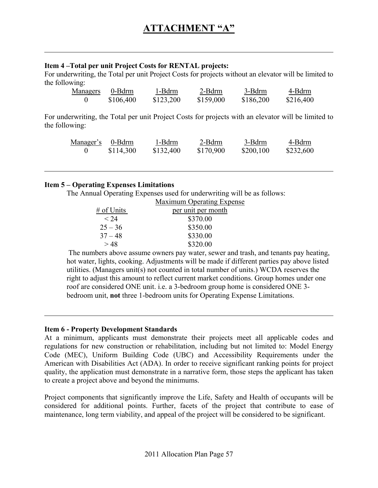#### **Item 4 –Total per unit Project Costs for RENTAL projects:**

For underwriting, the Total per unit Project Costs for projects without an elevator will be limited to the following:

| Managers | 0-Bdrm    | 1-Bdrm    | 2-Bdrm    | 3-Bdrm    | 4-Bdrm    |
|----------|-----------|-----------|-----------|-----------|-----------|
|          | \$106,400 | \$123,200 | \$159,000 | \$186,200 | \$216,400 |

For underwriting, the Total per unit Project Costs for projects with an elevator will be limited to the following:

| Manager's 0-Bdrm | 1-Bdrm    | 2-Bdrm    | 3-Bdrm    | 4-Bdrm    |
|------------------|-----------|-----------|-----------|-----------|
| \$114,300        | \$132,400 | \$170,900 | \$200,100 | \$232,600 |

#### **Item 5 – Operating Expenses Limitations**

The Annual Operating Expenses used for underwriting will be as follows:

|            | <b>Maximum Operating Expense</b> |
|------------|----------------------------------|
| # of Units | per unit per month               |
| < 24       | \$370.00                         |
| $25 - 36$  | \$350.00                         |
| $37 - 48$  | \$330.00                         |
| >48        | \$320.00                         |

 The numbers above assume owners pay water, sewer and trash, and tenants pay heating, hot water, lights, cooking. Adjustments will be made if different parties pay above listed utilities. (Managers unit(s) not counted in total number of units.) WCDA reserves the right to adjust this amount to reflect current market conditions. Group homes under one roof are considered ONE unit. i.e. a 3-bedroom group home is considered ONE 3 bedroom unit, **not** three 1-bedroom units for Operating Expense Limitations.

#### **Item 6 - Property Development Standards**

At a minimum, applicants must demonstrate their projects meet all applicable codes and regulations for new construction or rehabilitation, including but not limited to: Model Energy Code (MEC), Uniform Building Code (UBC) and Accessibility Requirements under the American with Disabilities Act (ADA). In order to receive significant ranking points for project quality, the application must demonstrate in a narrative form, those steps the applicant has taken to create a project above and beyond the minimums.

Project components that significantly improve the Life, Safety and Health of occupants will be considered for additional points. Further, facets of the project that contribute to ease of maintenance, long term viability, and appeal of the project will be considered to be significant.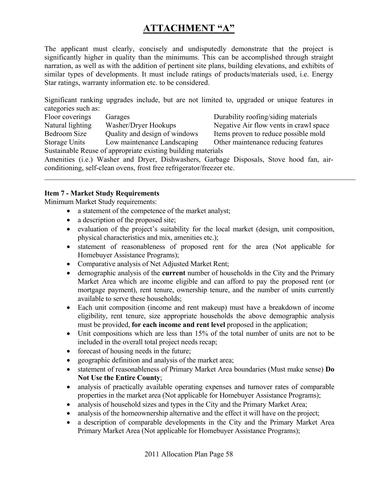### **ATTACHMENT "A"**

The applicant must clearly, concisely and undisputedly demonstrate that the project is significantly higher in quality than the minimums. This can be accomplished through straight narration, as well as with the addition of pertinent site plans, building elevations, and exhibits of similar types of developments. It must include ratings of products/materials used, i.e. Energy Star ratings, warranty information etc. to be considered.

Significant ranking upgrades include, but are not limited to, upgraded or unique features in categories such as:

Floor coverings Garages Garages Durability roofing/siding materials Natural lighting Washer/Dryer Hookups Negative Air flow vents in crawl space Bedroom Size Quality and design of windows Items proven to reduce possible mold Storage Units Low maintenance Landscaping Other maintenance reducing features Sustainable Reuse of appropriate existing building materials

Amenities (i.e.) Washer and Dryer, Dishwashers, Garbage Disposals, Stove hood fan, airconditioning, self-clean ovens, frost free refrigerator/freezer etc.

#### **Item 7 - Market Study Requirements**

Minimum Market Study requirements:

- a statement of the competence of the market analyst;
- a description of the proposed site;
- evaluation of the project's suitability for the local market (design, unit composition, physical characteristics and mix, amenities etc.);
- statement of reasonableness of proposed rent for the area (Not applicable for Homebuyer Assistance Programs);
- Comparative analysis of Net Adjusted Market Rent;
- demographic analysis of the **current** number of households in the City and the Primary Market Area which are income eligible and can afford to pay the proposed rent (or mortgage payment), rent tenure, ownership tenure, and the number of units currently available to serve these households;
- Each unit composition (income and rent makeup) must have a breakdown of income eligibility, rent tenure, size appropriate households the above demographic analysis must be provided, **for each income and rent level** proposed in the application;
- Unit compositions which are less than 15% of the total number of units are not to be included in the overall total project needs recap;
- forecast of housing needs in the future;
- geographic definition and analysis of the market area;
- statement of reasonableness of Primary Market Area boundaries (Must make sense) **Do Not Use the Entire County**;
- analysis of practically available operating expenses and turnover rates of comparable properties in the market area (Not applicable for Homebuyer Assistance Programs);
- analysis of household sizes and types in the City and the Primary Market Area;
- analysis of the homeownership alternative and the effect it will have on the project;
- a description of comparable developments in the City and the Primary Market Area Primary Market Area (Not applicable for Homebuyer Assistance Programs);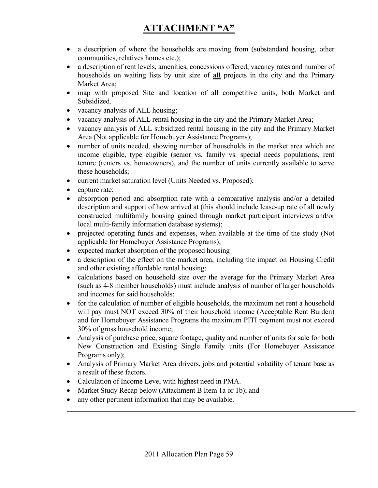# **ATTACHMENT "A"**

- a description of where the households are moving from (substandard housing, other communities, relatives homes etc.);
- a description of rent levels, amenities, concessions offered, vacancy rates and number of households on waiting lists by unit size of **all** projects in the city and the Primary Market Area;
- map with proposed Site and location of all competitive units, both Market and Subsidized.
- vacancy analysis of ALL housing;
- vacancy analysis of ALL rental housing in the city and the Primary Market Area;
- vacancy analysis of ALL subsidized rental housing in the city and the Primary Market Area (Not applicable for Homebuyer Assistance Programs);
- number of units needed, showing number of households in the market area which are income eligible, type eligible (senior vs. family vs. special needs populations, rent tenure (renters vs. homeowners), and the number of units currently available to serve these households;
- current market saturation level (Units Needed vs. Proposed);
- capture rate;

 $\overline{a}$ 

- absorption period and absorption rate with a comparative analysis and/or a detailed description and support of how arrived at (this should include lease-up rate of all newly constructed multifamily housing gained through market participant interviews and/or local multi-family information database systems);
- projected operating funds and expenses, when available at the time of the study (Not applicable for Homebuyer Assistance Programs);
- expected market absorption of the proposed housing
- a description of the effect on the market area, including the impact on Housing Credit and other existing affordable rental housing;
- calculations based on household size over the average for the Primary Market Area (such as 4-8 member households) must include analysis of number of larger households and incomes for said households;
- for the calculation of number of eligible households, the maximum net rent a household will pay must NOT exceed 30% of their household income (Acceptable Rent Burden) and for Homebuyer Assistance Programs the maximum PITI payment must not exceed 30% of gross household income;
- Analysis of purchase price, square footage, quality and number of units for sale for both New Construction and Existing Single Family units (For Homebuyer Assistance Programs only);
- Analysis of Primary Market Area drivers, jobs and potential volatility of tenant base as a result of these factors.
- Calculation of Income Level with highest need in PMA.
- Market Study Recap below (Attachment B Item 1a or 1b); and
- any other pertinent information that may be available.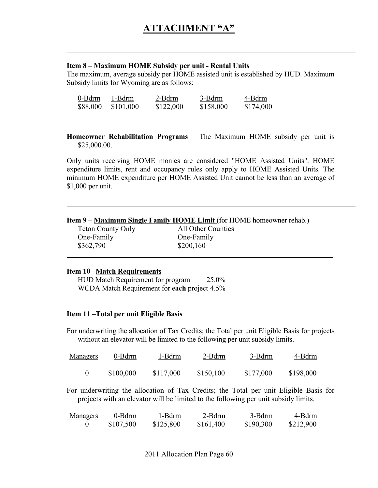#### **Item 8 – Maximum HOME Subsidy per unit - Rental Units**

The maximum, average subsidy per HOME assisted unit is established by HUD. Maximum Subsidy limits for Wyoming are as follows:

| 0-Bdrm   | 1-Bdrm    | 2-Bdrm    | 3-Bdrm    | 4-Bdrm    |
|----------|-----------|-----------|-----------|-----------|
| \$88,000 | \$101,000 | \$122,000 | \$158,000 | \$174,000 |

**Homeowner Rehabilitation Programs** – The Maximum HOME subsidy per unit is \$25,000.00.

Only units receiving HOME monies are considered "HOME Assisted Units". HOME expenditure limits, rent and occupancy rules only apply to HOME Assisted Units. The minimum HOME expenditure per HOME Assisted Unit cannot be less than an average of \$1,000 per unit.

| <b>Item 9 – Maximum Single Family HOME Limit (for HOME homeowner rehab.)</b> |  |
|------------------------------------------------------------------------------|--|
|------------------------------------------------------------------------------|--|

| <b>Teton County Only</b> | All Other Counties |
|--------------------------|--------------------|
| One-Family               | One-Family         |
| \$362,790                | \$200,160          |

#### **Item 10 –Match Requirements**

 $\overline{a}$ 

 $\overline{a}$ 

 $\overline{a}$ 

 $\overline{a}$ 

 HUD Match Requirement for program 25.0% WCDA Match Requirement for **each** project 4.5%

#### **Item 11 –Total per unit Eligible Basis**

For underwriting the allocation of Tax Credits; the Total per unit Eligible Basis for projects without an elevator will be limited to the following per unit subsidy limits.

| <b>Managers</b> | 0-Bdrm    | 1-Bdrm    | 2-Bdrm    | 3-Bdrm    | 4-Bdrm    |
|-----------------|-----------|-----------|-----------|-----------|-----------|
|                 | \$100,000 | \$117,000 | \$150,100 | \$177,000 | \$198,000 |

For underwriting the allocation of Tax Credits; the Total per unit Eligible Basis for projects with an elevator will be limited to the following per unit subsidy limits.

| <u>Managers</u> | 0-Bdrm    | 1-Bdrm    | 2-Bdrm    | 3-Bdrm    | 4-Bdrm    |
|-----------------|-----------|-----------|-----------|-----------|-----------|
|                 | \$107,500 | \$125,800 | \$161,400 | \$190,300 | \$212,900 |
|                 |           |           |           |           |           |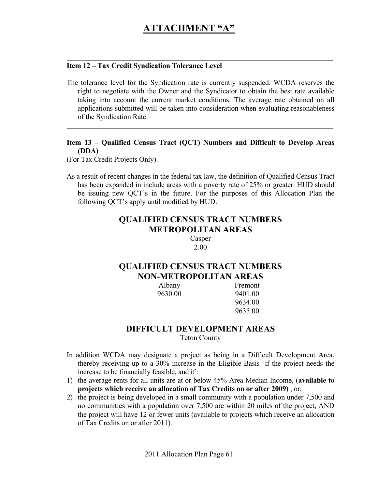#### **Item 12 – Tax Credit Syndication Tolerance Level**

The tolerance level for the Syndication rate is currently suspended. WCDA reserves the right to negotiate with the Owner and the Syndicator to obtain the best rate available taking into account the current market conditions. The average rate obtained on all applications submitted will be taken into consideration when evaluating reasonableness of the Syndication Rate.

#### **Item 13 – Qualified Census Tract (QCT) Numbers and Difficult to Develop Areas (DDA)**

(For Tax Credit Projects Only).

 $\overline{a}$ 

 $\overline{a}$ 

As a result of recent changes in the federal tax law, the definition of Qualified Census Tract has been expanded in include areas with a poverty rate of 25% or greater. HUD should be issuing new QCT's in the future. For the purposes of this Allocation Plan the following QCT's apply until modified by HUD.

### **QUALIFIED CENSUS TRACT NUMBERS METROPOLITAN AREAS**

Casper 2.00

#### **QUALIFIED CENSUS TRACT NUMBERS NON-METROPOLITAN AREAS**

 Albany Fremont 9630.00 9401.00 9634.00 9635.00

#### **DIFFICULT DEVELOPMENT AREAS**  Teton County

- In addition WCDA may designate a project as being in a Difficult Development Area, thereby receiving up to a 30% increase in the Eligible Basis if the project needs the increase to be financially feasible, and if :
- 1) the average rents for all units are at or below 45% Area Median Income, (**available to projects which receive an allocation of Tax Credits on or after 2009)** , or;
- 2) the project is being developed in a small community with a population under 7,500 and no communities with a population over 7,500 are within 20 miles of the project, AND the project will have 12 or fewer units (available to projects which receive an allocation of Tax Credits on or after 2011).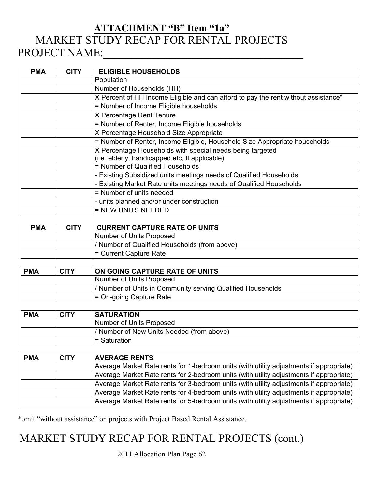# **ATTACHMENT "B" Item "1a"** MARKET STUDY RECAP FOR RENTAL PROJECTS PROJECT NAME:

| <b>PMA</b> | <b>CITY</b> | <b>ELIGIBLE HOUSEHOLDS</b>                                                         |
|------------|-------------|------------------------------------------------------------------------------------|
|            |             | Population                                                                         |
|            |             | Number of Households (HH)                                                          |
|            |             | X Percent of HH Income Eligible and can afford to pay the rent without assistance* |
|            |             | = Number of Income Eligible households                                             |
|            |             | X Percentage Rent Tenure                                                           |
|            |             | = Number of Renter, Income Eligible households                                     |
|            |             | X Percentage Household Size Appropriate                                            |
|            |             | = Number of Renter, Income Eligible, Household Size Appropriate households         |
|            |             | X Percentage Households with special needs being targeted                          |
|            |             | (i.e. elderly, handicapped etc, If applicable)                                     |
|            |             | = Number of Qualified Households                                                   |
|            |             | - Existing Subsidized units meetings needs of Qualified Households                 |
|            |             | - Existing Market Rate units meetings needs of Qualified Households                |
|            |             | = Number of units needed                                                           |
|            |             | - units planned and/or under construction                                          |
|            |             | = NEW UNITS NEEDED                                                                 |

| <b>PMA</b> | <b>CITY</b> | <b>CURRENT CAPTURE RATE OF UNITS</b>          |  |  |  |
|------------|-------------|-----------------------------------------------|--|--|--|
|            |             | Number of Units Proposed                      |  |  |  |
|            |             | / Number of Qualified Households (from above) |  |  |  |
|            |             | = Current Capture Rate                        |  |  |  |

| <b>PMA</b> | <b>CITY</b> | ON GOING CAPTURE RATE OF UNITS                              |  |  |  |
|------------|-------------|-------------------------------------------------------------|--|--|--|
|            |             | Number of Units Proposed                                    |  |  |  |
|            |             | / Number of Units in Community serving Qualified Households |  |  |  |
|            |             | = On-going Capture Rate                                     |  |  |  |

| <b>PMA</b> | <b>CITY</b> | <b>SATURATION</b>                         |  |  |  |
|------------|-------------|-------------------------------------------|--|--|--|
|            |             | Number of Units Proposed                  |  |  |  |
|            |             | / Number of New Units Needed (from above) |  |  |  |
|            |             | = Saturation                              |  |  |  |

| <b>PMA</b> | <b>CITY</b> | <b>AVERAGE RENTS</b>                                                                    |  |  |  |  |
|------------|-------------|-----------------------------------------------------------------------------------------|--|--|--|--|
|            |             | Average Market Rate rents for 1-bedroom units (with utility adjustments if appropriate) |  |  |  |  |
|            |             | Average Market Rate rents for 2-bedroom units (with utility adjustments if appropriate) |  |  |  |  |
|            |             | Average Market Rate rents for 3-bedroom units (with utility adjustments if appropriate) |  |  |  |  |
|            |             | Average Market Rate rents for 4-bedroom units (with utility adjustments if appropriate) |  |  |  |  |
|            |             | Average Market Rate rents for 5-bedroom units (with utility adjustments if appropriate) |  |  |  |  |

\*omit "without assistance" on projects with Project Based Rental Assistance.

# MARKET STUDY RECAP FOR RENTAL PROJECTS (cont.)

2011 Allocation Plan Page 62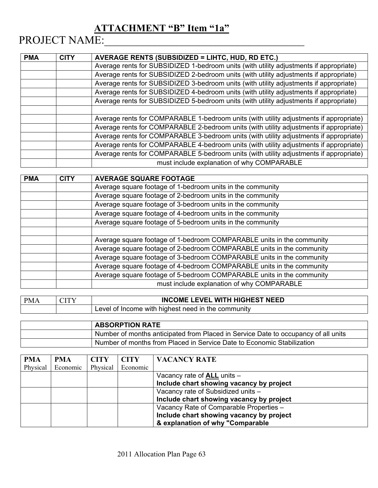### **ATTACHMENT "B" Item "1a"**

# PROJECT NAME:\_\_\_\_\_\_\_\_\_\_\_\_\_\_\_\_\_\_\_\_\_\_\_\_\_\_\_\_\_\_\_\_\_\_\_\_

| <b>PMA</b> | <b>CITY</b> | <b>AVERAGE RENTS (SUBSIDIZED = LIHTC, HUD, RD ETC.)</b>                                |  |  |  |  |
|------------|-------------|----------------------------------------------------------------------------------------|--|--|--|--|
|            |             | Average rents for SUBSIDIZED 1-bedroom units (with utility adjustments if appropriate) |  |  |  |  |
|            |             | Average rents for SUBSIDIZED 2-bedroom units (with utility adjustments if appropriate) |  |  |  |  |
|            |             | Average rents for SUBSIDIZED 3-bedroom units (with utility adjustments if appropriate) |  |  |  |  |
|            |             | Average rents for SUBSIDIZED 4-bedroom units (with utility adjustments if appropriate) |  |  |  |  |
|            |             | Average rents for SUBSIDIZED 5-bedroom units (with utility adjustments if appropriate) |  |  |  |  |
|            |             |                                                                                        |  |  |  |  |
|            |             | Average rents for COMPARABLE 1-bedroom units (with utility adjustments if appropriate) |  |  |  |  |
|            |             | Average rents for COMPARABLE 2-bedroom units (with utility adjustments if appropriate) |  |  |  |  |
|            |             | Average rents for COMPARABLE 3-bedroom units (with utility adjustments if appropriate) |  |  |  |  |
|            |             | Average rents for COMPARABLE 4-bedroom units (with utility adjustments if appropriate) |  |  |  |  |
|            |             | Average rents for COMPARABLE 5-bedroom units (with utility adjustments if appropriate) |  |  |  |  |
|            |             | must include explanation of why COMPARABLE                                             |  |  |  |  |

| <b>PMA</b> | <b>CITY</b>                                                           | <b>AVERAGE SQUARE FOOTAGE</b>                                         |  |  |  |  |  |
|------------|-----------------------------------------------------------------------|-----------------------------------------------------------------------|--|--|--|--|--|
|            |                                                                       | Average square footage of 1-bedroom units in the community            |  |  |  |  |  |
|            |                                                                       | Average square footage of 2-bedroom units in the community            |  |  |  |  |  |
|            |                                                                       | Average square footage of 3-bedroom units in the community            |  |  |  |  |  |
|            |                                                                       | Average square footage of 4-bedroom units in the community            |  |  |  |  |  |
|            |                                                                       | Average square footage of 5-bedroom units in the community            |  |  |  |  |  |
|            |                                                                       |                                                                       |  |  |  |  |  |
|            |                                                                       | Average square footage of 1-bedroom COMPARABLE units in the community |  |  |  |  |  |
|            | Average square footage of 2-bedroom COMPARABLE units in the community |                                                                       |  |  |  |  |  |
|            |                                                                       | Average square footage of 3-bedroom COMPARABLE units in the community |  |  |  |  |  |
|            |                                                                       | Average square footage of 4-bedroom COMPARABLE units in the community |  |  |  |  |  |
|            |                                                                       | Average square footage of 5-bedroom COMPARABLE units in the community |  |  |  |  |  |
|            |                                                                       | must include explanation of why COMPARABLE                            |  |  |  |  |  |

| <b>PMA</b> | <b>INCOME LEVEL WITH HIGHEST NEED</b>                           |
|------------|-----------------------------------------------------------------|
|            | <sup>1</sup> Level of Income with highest need in the community |

| <b>ABSORPTION RATE</b>                                                             |
|------------------------------------------------------------------------------------|
| Number of months anticipated from Placed in Service Date to occupancy of all units |
| Number of months from Placed in Service Date to Economic Stabilization             |

| <b>PMA</b> | PMA      | <b>CITY</b> | <b>CITY</b> | <b>VACANCY RATE</b>                      |
|------------|----------|-------------|-------------|------------------------------------------|
| Physical   | Economic | Physical    | Economic    |                                          |
|            |          |             |             | Vacancy rate of $ALL$ units $-$          |
|            |          |             |             | Include chart showing vacancy by project |
|            |          |             |             | Vacancy rate of Subsidized units -       |
|            |          |             |             | Include chart showing vacancy by project |
|            |          |             |             | Vacancy Rate of Comparable Properties -  |
|            |          |             |             | Include chart showing vacancy by project |
|            |          |             |             | & explanation of why "Comparable         |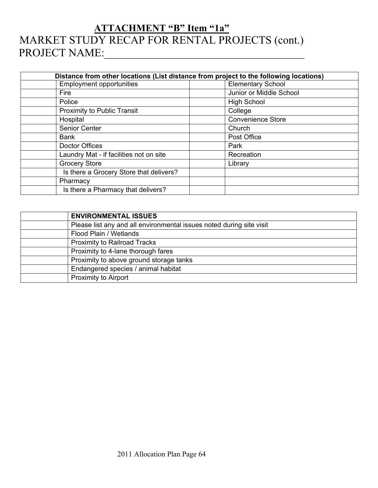# **ATTACHMENT "B" Item "1a"** MARKET STUDY RECAP FOR RENTAL PROJECTS (cont.) PROJECT NAME:\_\_\_\_\_\_\_\_\_\_\_\_\_\_\_\_\_\_\_\_\_\_\_\_\_\_\_\_\_\_\_\_\_\_\_\_

| Distance from other locations (List distance from project to the following locations) |                          |  |  |  |  |
|---------------------------------------------------------------------------------------|--------------------------|--|--|--|--|
| <b>Employment opportunities</b>                                                       | <b>Elementary School</b> |  |  |  |  |
| Fire                                                                                  | Junior or Middle School  |  |  |  |  |
| Police                                                                                | <b>High School</b>       |  |  |  |  |
| Proximity to Public Transit                                                           | College                  |  |  |  |  |
| Hospital                                                                              | <b>Convenience Store</b> |  |  |  |  |
| Senior Center                                                                         | Church                   |  |  |  |  |
| <b>Bank</b>                                                                           | Post Office              |  |  |  |  |
| Doctor Offices                                                                        | Park                     |  |  |  |  |
| Laundry Mat - if facilities not on site                                               | Recreation               |  |  |  |  |
| <b>Grocery Store</b>                                                                  | Library                  |  |  |  |  |
| Is there a Grocery Store that delivers?                                               |                          |  |  |  |  |
| Pharmacy                                                                              |                          |  |  |  |  |
| Is there a Pharmacy that delivers?                                                    |                          |  |  |  |  |

| <b>ENVIRONMENTAL ISSUES</b>                                          |
|----------------------------------------------------------------------|
| Please list any and all environmental issues noted during site visit |
| Flood Plain / Wetlands                                               |
| <b>Proximity to Railroad Tracks</b>                                  |
| Proximity to 4-lane thorough fares                                   |
| Proximity to above ground storage tanks                              |
| Endangered species / animal habitat                                  |
| <b>Proximity to Airport</b>                                          |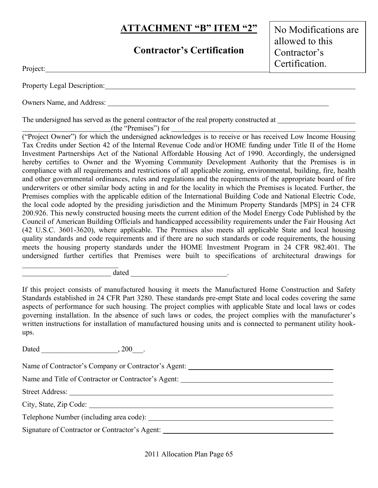### **Contractor's Certification**

No Modifications are allowed to this Contractor's Certification.

|  | Property Legal Description: |  |
|--|-----------------------------|--|
|  |                             |  |

Owners Name, and Address:

The undersigned has served as the general contractor of the real property constructed at

(the "Premises") for

Project:

("Project Owner") for which the undersigned acknowledges is to receive or has received Low Income Housing Tax Credits under Section 42 of the Internal Revenue Code and/or HOME funding under Title II of the Home Investment Partnerships Act of the National Affordable Housing Act of 1990. Accordingly, the undersigned hereby certifies to Owner and the Wyoming Community Development Authority that the Premises is in compliance with all requirements and restrictions of all applicable zoning, environmental, building, fire, health and other governmental ordinances, rules and regulations and the requirements of the appropriate board of fire underwriters or other similar body acting in and for the locality in which the Premises is located. Further, the Premises complies with the applicable edition of the International Building Code and National Electric Code, the local code adopted by the presiding jurisdiction and the Minimum Property Standards [MPS] in 24 CFR 200.926. This newly constructed housing meets the current edition of the Model Energy Code Published by the Council of American Building Officials and handicapped accessibility requirements under the Fair Housing Act (42 U.S.C. 3601-3620), where applicable. The Premises also meets all applicable State and local housing quality standards and code requirements and if there are no such standards or code requirements, the housing meets the housing property standards under the HOME Investment Program in 24 CFR 982.401. The undersigned further certifies that Premises were built to specifications of architectural drawings for

dated  $\qquad \qquad \qquad$ 

If this project consists of manufactured housing it meets the Manufactured Home Construction and Safety Standards established in 24 CFR Part 3280. These standards pre-empt State and local codes covering the same aspects of performance for such housing. The project complies with applicable State and local laws or codes governing installation. In the absence of such laws or codes, the project complies with the manufacturer's written instructions for installation of manufactured housing units and is connected to permanent utility hookups.

Dated  $\qquad \qquad \ldots \qquad \qquad .200$ 

 $\mathcal{L}_\text{max}$ 

Name of Contractor's Company or Contractor's Agent: Name and Title of Contractor or Contractor's Agent: \_\_\_\_\_\_\_\_\_\_\_\_\_\_\_\_\_\_\_\_\_\_\_\_\_\_\_\_\_ Street Address: City, State, Zip Code: Telephone Number (including area code): Signature of Contractor or Contractor's Agent:

2011 Allocation Plan Page 65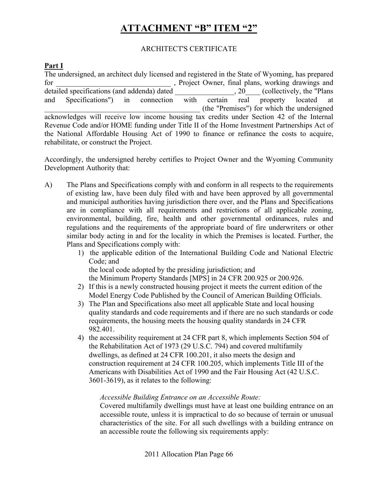#### ARCHITECT'S CERTIFICATE

#### **Part I**

The undersigned, an architect duly licensed and registered in the State of Wyoming, has prepared for final plans, working drawings and for the project Owner, final plans, working drawings and detailed specifications (and addenda) dated <br>  $\qquad \qquad$ , 20 (collectively, the "Plans and Specifications") in connection with certain real property located at \_\_\_\_\_\_\_\_\_\_\_\_\_\_\_\_\_\_\_\_\_\_\_\_\_\_\_\_\_\_\_\_\_\_\_\_\_\_\_\_\_\_ (the "Premises") for which the undersigned acknowledges will receive low income housing tax credits under Section 42 of the Internal Revenue Code and/or HOME funding under Title II of the Home Investment Partnerships Act of the National Affordable Housing Act of 1990 to finance or refinance the costs to acquire, rehabilitate, or construct the Project.

Accordingly, the undersigned hereby certifies to Project Owner and the Wyoming Community Development Authority that:

- A) The Plans and Specifications comply with and conform in all respects to the requirements of existing law, have been duly filed with and have been approved by all governmental and municipal authorities having jurisdiction there over, and the Plans and Specifications are in compliance with all requirements and restrictions of all applicable zoning, environmental, building, fire, health and other governmental ordinances, rules and regulations and the requirements of the appropriate board of fire underwriters or other similar body acting in and for the locality in which the Premises is located. Further, the Plans and Specifications comply with:
	- 1) the applicable edition of the International Building Code and National Electric Code; and

the local code adopted by the presiding jurisdiction; and

the Minimum Property Standards [MPS] in 24 CFR 200.925 or 200.926.

- 2) If this is a newly constructed housing project it meets the current edition of the Model Energy Code Published by the Council of American Building Officials.
- 3) The Plan and Specifications also meet all applicable State and local housing quality standards and code requirements and if there are no such standards or code requirements, the housing meets the housing quality standards in 24 CFR 982.401.
- 4) the accessibility requirement at 24 CFR part 8, which implements Section 504 of the Rehabilitation Act of 1973 (29 U.S.C. 794) and covered multifamily dwellings, as defined at 24 CFR 100.201, it also meets the design and construction requirement at 24 CFR 100.205, which implements Title III of the Americans with Disabilities Act of 1990 and the Fair Housing Act (42 U.S.C. 3601-3619), as it relates to the following:

#### *Accessible Building Entrance on an Accessible Route:*

Covered multifamily dwellings must have at least one building entrance on an accessible route, unless it is impractical to do so because of terrain or unusual characteristics of the site. For all such dwellings with a building entrance on an accessible route the following six requirements apply: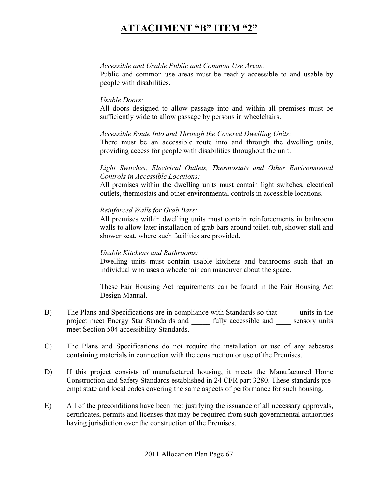#### *Accessible and Usable Public and Common Use Areas:*

Public and common use areas must be readily accessible to and usable by people with disabilities.

#### *Usable Doors:*

All doors designed to allow passage into and within all premises must be sufficiently wide to allow passage by persons in wheelchairs.

#### *Accessible Route Into and Through the Covered Dwelling Units:*

There must be an accessible route into and through the dwelling units, providing access for people with disabilities throughout the unit.

#### *Light Switches, Electrical Outlets, Thermostats and Other Environmental Controls in Accessible Locations:*

All premises within the dwelling units must contain light switches, electrical outlets, thermostats and other environmental controls in accessible locations.

#### *Reinforced Walls for Grab Bars:*

All premises within dwelling units must contain reinforcements in bathroom walls to allow later installation of grab bars around toilet, tub, shower stall and shower seat, where such facilities are provided.

#### *Usable Kitchens and Bathrooms:*

Dwelling units must contain usable kitchens and bathrooms such that an individual who uses a wheelchair can maneuver about the space.

These Fair Housing Act requirements can be found in the Fair Housing Act Design Manual.

- B) The Plans and Specifications are in compliance with Standards so that \_\_\_\_\_ units in the project meet Energy Star Standards and \_\_\_\_ fully accessible and \_\_\_\_ sensory units meet Section 504 accessibility Standards.
- C) The Plans and Specifications do not require the installation or use of any asbestos containing materials in connection with the construction or use of the Premises.
- D) If this project consists of manufactured housing, it meets the Manufactured Home Construction and Safety Standards established in 24 CFR part 3280. These standards preempt state and local codes covering the same aspects of performance for such housing.
- E) All of the preconditions have been met justifying the issuance of all necessary approvals, certificates, permits and licenses that may be required from such governmental authorities having jurisdiction over the construction of the Premises.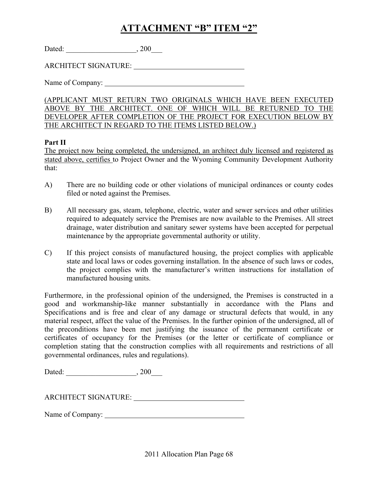| Dated: | 200 |
|--------|-----|
|--------|-----|

ARCHITECT SIGNATURE:

Name of Company:

(APPLICANT MUST RETURN TWO ORIGINALS WHICH HAVE BEEN EXECUTED ABOVE BY THE ARCHITECT. ONE OF WHICH WILL BE RETURNED TO THE DEVELOPER AFTER COMPLETION OF THE PROJECT FOR EXECUTION BELOW BY THE ARCHITECT IN REGARD TO THE ITEMS LISTED BELOW.)

#### **Part II**

The project now being completed, the undersigned, an architect duly licensed and registered as stated above, certifies to Project Owner and the Wyoming Community Development Authority that:

- A) There are no building code or other violations of municipal ordinances or county codes filed or noted against the Premises.
- B) All necessary gas, steam, telephone, electric, water and sewer services and other utilities required to adequately service the Premises are now available to the Premises. All street drainage, water distribution and sanitary sewer systems have been accepted for perpetual maintenance by the appropriate governmental authority or utility.
- C) If this project consists of manufactured housing, the project complies with applicable state and local laws or codes governing installation. In the absence of such laws or codes, the project complies with the manufacturer's written instructions for installation of manufactured housing units.

Furthermore, in the professional opinion of the undersigned, the Premises is constructed in a good and workmanship-like manner substantially in accordance with the Plans and Specifications and is free and clear of any damage or structural defects that would, in any material respect, affect the value of the Premises. In the further opinion of the undersigned, all of the preconditions have been met justifying the issuance of the permanent certificate or certificates of occupancy for the Premises (or the letter or certificate of compliance or completion stating that the construction complies with all requirements and restrictions of all governmental ordinances, rules and regulations).

| Dated: | 200 |
|--------|-----|
|--------|-----|

Name of Company: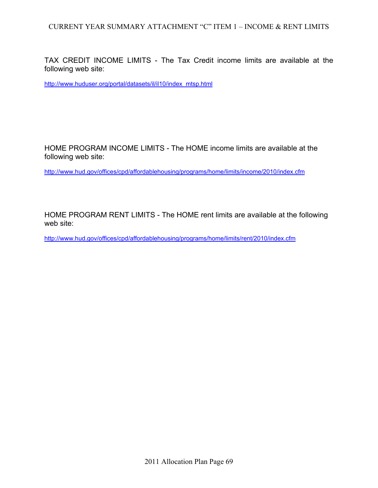TAX CREDIT INCOME LIMITS - The Tax Credit income limits are available at the following web site:

http://www.huduser.org/portal/datasets/il/il10/index\_mtsp.html

HOME PROGRAM INCOME LIMITS - The HOME income limits are available at the following web site:

http://www.hud.gov/offices/cpd/affordablehousing/programs/home/limits/income/2010/index.cfm

HOME PROGRAM RENT LIMITS - The HOME rent limits are available at the following web site:

http://www.hud.gov/offices/cpd/affordablehousing/programs/home/limits/rent/2010/index.cfm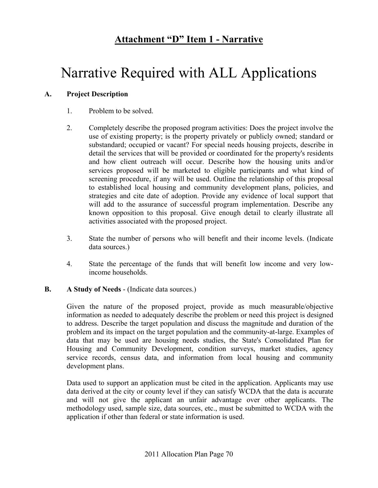### **Attachment "D" Item 1 - Narrative**

# Narrative Required with ALL Applications

#### **A. Project Description**

- 1. Problem to be solved.
- 2. Completely describe the proposed program activities: Does the project involve the use of existing property; is the property privately or publicly owned; standard or substandard; occupied or vacant? For special needs housing projects, describe in detail the services that will be provided or coordinated for the property's residents and how client outreach will occur. Describe how the housing units and/or services proposed will be marketed to eligible participants and what kind of screening procedure, if any will be used. Outline the relationship of this proposal to established local housing and community development plans, policies, and strategies and cite date of adoption. Provide any evidence of local support that will add to the assurance of successful program implementation. Describe any known opposition to this proposal. Give enough detail to clearly illustrate all activities associated with the proposed project.
- 3. State the number of persons who will benefit and their income levels. (Indicate data sources.)
- 4. State the percentage of the funds that will benefit low income and very lowincome households.

#### **B. A Study of Needs** - (Indicate data sources.)

Given the nature of the proposed project, provide as much measurable/objective information as needed to adequately describe the problem or need this project is designed to address. Describe the target population and discuss the magnitude and duration of the problem and its impact on the target population and the community-at-large. Examples of data that may be used are housing needs studies, the State's Consolidated Plan for Housing and Community Development, condition surveys, market studies, agency service records, census data, and information from local housing and community development plans.

Data used to support an application must be cited in the application. Applicants may use data derived at the city or county level if they can satisfy WCDA that the data is accurate and will not give the applicant an unfair advantage over other applicants. The methodology used, sample size, data sources, etc., must be submitted to WCDA with the application if other than federal or state information is used.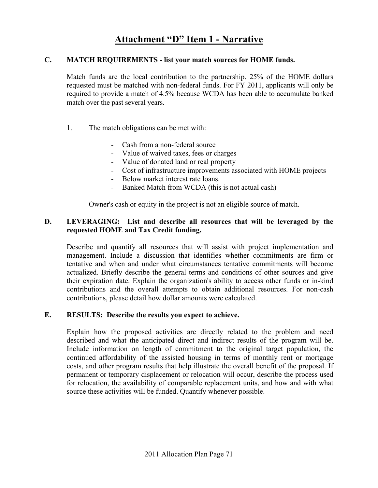### **Attachment "D" Item 1 - Narrative**

#### **C. MATCH REQUIREMENTS - list your match sources for HOME funds.**

Match funds are the local contribution to the partnership. 25% of the HOME dollars requested must be matched with non-federal funds. For FY 2011, applicants will only be required to provide a match of 4.5% because WCDA has been able to accumulate banked match over the past several years.

- 1. The match obligations can be met with:
	- Cash from a non-federal source
	- Value of waived taxes, fees or charges
	- Value of donated land or real property
	- Cost of infrastructure improvements associated with HOME projects
	- Below market interest rate loans.
	- Banked Match from WCDA (this is not actual cash)

Owner's cash or equity in the project is not an eligible source of match.

#### **D. LEVERAGING: List and describe all resources that will be leveraged by the requested HOME and Tax Credit funding.**

Describe and quantify all resources that will assist with project implementation and management. Include a discussion that identifies whether commitments are firm or tentative and when and under what circumstances tentative commitments will become actualized. Briefly describe the general terms and conditions of other sources and give their expiration date. Explain the organization's ability to access other funds or in-kind contributions and the overall attempts to obtain additional resources. For non-cash contributions, please detail how dollar amounts were calculated.

#### **E. RESULTS: Describe the results you expect to achieve.**

Explain how the proposed activities are directly related to the problem and need described and what the anticipated direct and indirect results of the program will be. Include information on length of commitment to the original target population, the continued affordability of the assisted housing in terms of monthly rent or mortgage costs, and other program results that help illustrate the overall benefit of the proposal. If permanent or temporary displacement or relocation will occur, describe the process used for relocation, the availability of comparable replacement units, and how and with what source these activities will be funded. Quantify whenever possible.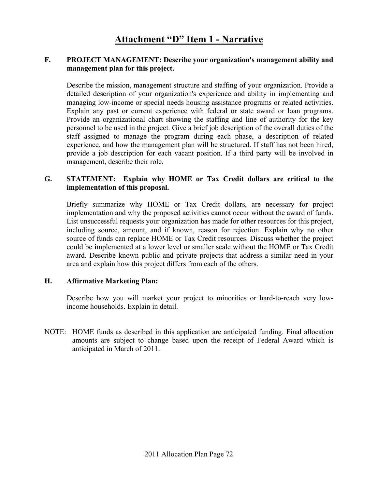#### **F. PROJECT MANAGEMENT: Describe your organization's management ability and management plan for this project.**

Describe the mission, management structure and staffing of your organization. Provide a detailed description of your organization's experience and ability in implementing and managing low-income or special needs housing assistance programs or related activities. Explain any past or current experience with federal or state award or loan programs. Provide an organizational chart showing the staffing and line of authority for the key personnel to be used in the project. Give a brief job description of the overall duties of the staff assigned to manage the program during each phase, a description of related experience, and how the management plan will be structured. If staff has not been hired, provide a job description for each vacant position. If a third party will be involved in management, describe their role.

#### **G. STATEMENT: Explain why HOME or Tax Credit dollars are critical to the implementation of this proposal.**

Briefly summarize why HOME or Tax Credit dollars, are necessary for project implementation and why the proposed activities cannot occur without the award of funds. List unsuccessful requests your organization has made for other resources for this project, including source, amount, and if known, reason for rejection. Explain why no other source of funds can replace HOME or Tax Credit resources. Discuss whether the project could be implemented at a lower level or smaller scale without the HOME or Tax Credit award. Describe known public and private projects that address a similar need in your area and explain how this project differs from each of the others.

#### **H. Affirmative Marketing Plan:**

Describe how you will market your project to minorities or hard-to-reach very lowincome households. Explain in detail.

NOTE: HOME funds as described in this application are anticipated funding. Final allocation amounts are subject to change based upon the receipt of Federal Award which is anticipated in March of 2011.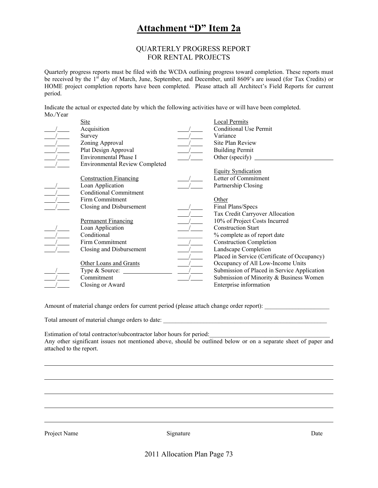### **Attachment "D" Item 2a**

#### QUARTERLY PROGRESS REPORT FOR RENTAL PROJECTS

Quarterly progress reports must be filed with the WCDA outlining progress toward completion. These reports must be received by the 1<sup>st</sup> day of March, June, September, and December, until 8609's are issued (for Tax Credits) or HOME project completion reports have been completed. Please attach all Architect's Field Reports for current period.

Indicate the actual or expected date by which the following activities have or will have been completed. Mo./Year

| Site                                  | <b>Local Permits</b>                         |
|---------------------------------------|----------------------------------------------|
| Acquisition                           | <b>Conditional Use Permit</b>                |
| Survey                                | Variance                                     |
| Zoning Approval                       | Site Plan Review                             |
| Plat Design Approval                  | <b>Building Permit</b>                       |
| Environmental Phase I                 | Other (specify)                              |
| <b>Environmental Review Completed</b> |                                              |
|                                       | <b>Equity Syndication</b>                    |
| <b>Construction Financing</b>         | Letter of Commitment                         |
| Loan Application                      | Partnership Closing                          |
| <b>Conditional Commitment</b>         |                                              |
| Firm Commitment                       | Other                                        |
| Closing and Disbursement              | Final Plans/Specs                            |
|                                       | Tax Credit Carryover Allocation              |
| <b>Permanent Financing</b>            | 10% of Project Costs Incurred                |
| Loan Application                      | <b>Construction Start</b>                    |
| Conditional                           | % complete as of report date                 |
| Firm Commitment                       | <b>Construction Completion</b>               |
| Closing and Disbursement              | Landscape Completion                         |
|                                       | Placed in Service (Certificate of Occupancy) |
| Other Loans and Grants                | Occupancy of All Low-Income Units            |
| Type & Source:                        | Submission of Placed in Service Application  |
| Commitment                            | Submission of Minority & Business Women      |
| Closing or Award                      | Enterprise information                       |

Amount of material change orders for current period (please attach change order report):

Total amount of material change orders to date: \_\_\_\_\_\_\_\_\_\_\_\_\_\_\_\_\_\_\_\_\_\_\_\_\_\_\_\_\_\_\_\_\_\_\_\_\_\_\_\_\_\_\_\_\_\_\_\_\_\_\_\_\_

Estimation of total contractor/subcontractor labor hours for period: Any other significant issues not mentioned above, should be outlined below or on a separate sheet of paper and attached to the report.

Project Name Date Signature Signature Date Date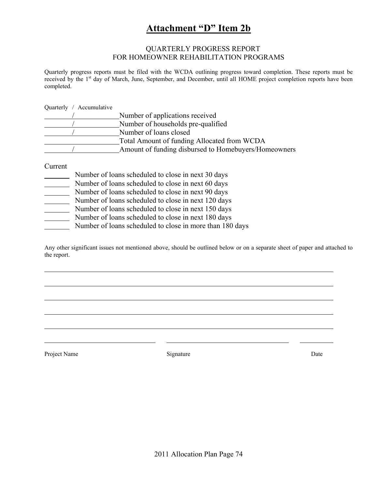### **Attachment "D" Item 2b**

#### QUARTERLY PROGRESS REPORT FOR HOMEOWNER REHABILITATION PROGRAMS

Quarterly progress reports must be filed with the WCDA outlining progress toward completion. These reports must be received by the 1<sup>st</sup> day of March, June, September, and December, until all HOME project completion reports have been completed.

Quarterly / Accumulative

| Number of applications received                      |
|------------------------------------------------------|
| Number of households pre-qualified                   |
| Number of loans closed                               |
| Total Amount of funding Allocated from WCDA          |
| Amount of funding disbursed to Homebuyers/Homeowners |

Current

|  | Number of loans scheduled to close in next 30 days |  |  |
|--|----------------------------------------------------|--|--|
|  |                                                    |  |  |

- Number of loans scheduled to close in next 60 days
- Number of loans scheduled to close in next 90 days
- Number of loans scheduled to close in next 120 days
- Number of loans scheduled to close in next 150 days
- Number of loans scheduled to close in next 180 days
- Number of loans scheduled to close in more than 180 days

Any other significant issues not mentioned above, should be outlined below or on a separate sheet of paper and attached to the report.

Project Name Date Date Signature Date Date Date Date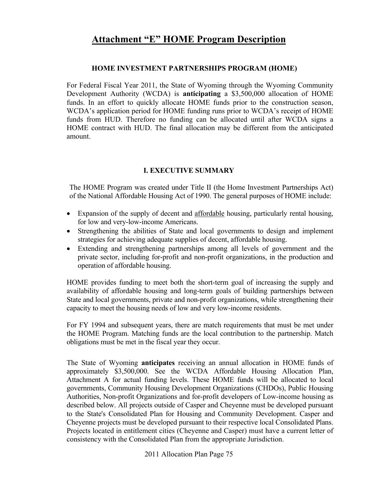#### **HOME INVESTMENT PARTNERSHIPS PROGRAM (HOME)**

For Federal Fiscal Year 2011, the State of Wyoming through the Wyoming Community Development Authority (WCDA) is **anticipating** a \$3,500,000 allocation of HOME funds. In an effort to quickly allocate HOME funds prior to the construction season, WCDA's application period for HOME funding runs prior to WCDA's receipt of HOME funds from HUD. Therefore no funding can be allocated until after WCDA signs a HOME contract with HUD. The final allocation may be different from the anticipated amount.

### **I. EXECUTIVE SUMMARY**

The HOME Program was created under Title II (the Home Investment Partnerships Act) of the National Affordable Housing Act of 1990. The general purposes of HOME include:

- Expansion of the supply of decent and affordable housing, particularly rental housing, for low and very-low-income Americans.
- Strengthening the abilities of State and local governments to design and implement strategies for achieving adequate supplies of decent, affordable housing.
- Extending and strengthening partnerships among all levels of government and the private sector, including for-profit and non-profit organizations, in the production and operation of affordable housing.

HOME provides funding to meet both the short-term goal of increasing the supply and availability of affordable housing and long-term goals of building partnerships between State and local governments, private and non-profit organizations, while strengthening their capacity to meet the housing needs of low and very low-income residents.

For FY 1994 and subsequent years, there are match requirements that must be met under the HOME Program. Matching funds are the local contribution to the partnership. Match obligations must be met in the fiscal year they occur.

The State of Wyoming **anticipates** receiving an annual allocation in HOME funds of approximately \$3,500,000. See the WCDA Affordable Housing Allocation Plan, Attachment A for actual funding levels. These HOME funds will be allocated to local governments, Community Housing Development Organizations (CHDOs), Public Housing Authorities, Non-profit Organizations and for-profit developers of Low-income housing as described below. All projects outside of Casper and Cheyenne must be developed pursuant to the State's Consolidated Plan for Housing and Community Development. Casper and Cheyenne projects must be developed pursuant to their respective local Consolidated Plans. Projects located in entitlement cities (Cheyenne and Casper) must have a current letter of consistency with the Consolidated Plan from the appropriate Jurisdiction.

2011 Allocation Plan Page 75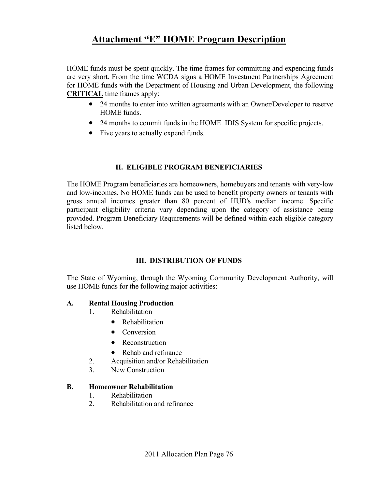HOME funds must be spent quickly. The time frames for committing and expending funds are very short. From the time WCDA signs a HOME Investment Partnerships Agreement for HOME funds with the Department of Housing and Urban Development, the following **CRITICAL** time frames apply:

- 24 months to enter into written agreements with an Owner/Developer to reserve HOME funds.
- 24 months to commit funds in the HOME IDIS System for specific projects.
- Five years to actually expend funds.

### **II. ELIGIBLE PROGRAM BENEFICIARIES**

The HOME Program beneficiaries are homeowners, homebuyers and tenants with very-low and low-incomes. No HOME funds can be used to benefit property owners or tenants with gross annual incomes greater than 80 percent of HUD's median income. Specific participant eligibility criteria vary depending upon the category of assistance being provided. Program Beneficiary Requirements will be defined within each eligible category listed below.

### **III. DISTRIBUTION OF FUNDS**

The State of Wyoming, through the Wyoming Community Development Authority, will use HOME funds for the following major activities:

### **A. Rental Housing Production**

- 1. Rehabilitation
	- Rehabilitation
	- Conversion
	- Reconstruction
	- Rehab and refinance
- 2. Acquisition and/or Rehabilitation
- 3. New Construction

### **B. Homeowner Rehabilitation**

- 1. Rehabilitation
- 2. Rehabilitation and refinance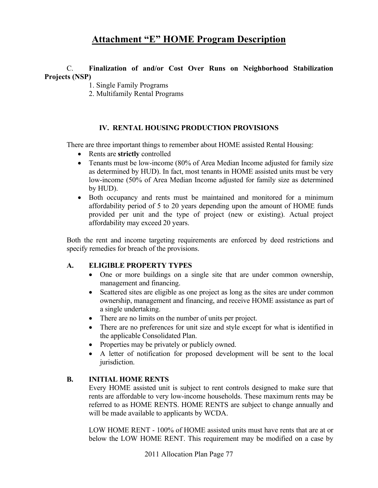### C. **Finalization of and/or Cost Over Runs on Neighborhood Stabilization Projects (NSP)**

- 1. Single Family Programs
- 2. Multifamily Rental Programs

### **IV. RENTAL HOUSING PRODUCTION PROVISIONS**

There are three important things to remember about HOME assisted Rental Housing:

- Rents are **strictly** controlled
- Tenants must be low-income (80% of Area Median Income adjusted for family size as determined by HUD). In fact, most tenants in HOME assisted units must be very low-income (50% of Area Median Income adjusted for family size as determined by HUD).
- Both occupancy and rents must be maintained and monitored for a minimum affordability period of 5 to 20 years depending upon the amount of HOME funds provided per unit and the type of project (new or existing). Actual project affordability may exceed 20 years.

Both the rent and income targeting requirements are enforced by deed restrictions and specify remedies for breach of the provisions.

#### **A. ELIGIBLE PROPERTY TYPES**

- One or more buildings on a single site that are under common ownership, management and financing.
- Scattered sites are eligible as one project as long as the sites are under common ownership, management and financing, and receive HOME assistance as part of a single undertaking.
- There are no limits on the number of units per project.
- There are no preferences for unit size and style except for what is identified in the applicable Consolidated Plan.
- Properties may be privately or publicly owned.
- A letter of notification for proposed development will be sent to the local jurisdiction.

#### **B. INITIAL HOME RENTS**

 Every HOME assisted unit is subject to rent controls designed to make sure that rents are affordable to very low-income households. These maximum rents may be referred to as HOME RENTS. HOME RENTS are subject to change annually and will be made available to applicants by WCDA.

 LOW HOME RENT - 100% of HOME assisted units must have rents that are at or below the LOW HOME RENT. This requirement may be modified on a case by

2011 Allocation Plan Page 77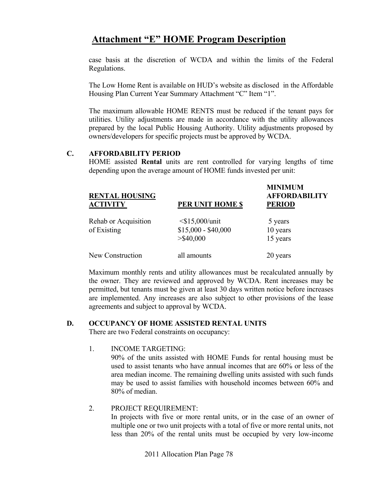case basis at the discretion of WCDA and within the limits of the Federal Regulations.

 The Low Home Rent is available on HUD's website as disclosed in the Affordable Housing Plan Current Year Summary Attachment "C" Item "1".

 The maximum allowable HOME RENTS must be reduced if the tenant pays for utilities. Utility adjustments are made in accordance with the utility allowances prepared by the local Public Housing Authority. Utility adjustments proposed by owners/developers for specific projects must be approved by WCDA.

### **C. AFFORDABILITY PERIOD**

 HOME assisted **Rental** units are rent controlled for varying lengths of time depending upon the average amount of HOME funds invested per unit:

| <b>RENTAL HOUSING</b><br><b>ACTIVITY</b> | PER UNIT HOME \$                                            | <b>MINIMUM</b><br><b>AFFORDABILITY</b><br><b>PERIOD</b> |  |
|------------------------------------------|-------------------------------------------------------------|---------------------------------------------------------|--|
| Rehab or Acquisition<br>of Existing      | $\leq$ \$15,000/unit<br>$$15,000 - $40,000$<br>$>$ \$40,000 | 5 years<br>10 years<br>15 years                         |  |
| New Construction                         | all amounts                                                 | 20 years                                                |  |

 Maximum monthly rents and utility allowances must be recalculated annually by the owner. They are reviewed and approved by WCDA. Rent increases may be permitted, but tenants must be given at least 30 days written notice before increases are implemented. Any increases are also subject to other provisions of the lease agreements and subject to approval by WCDA.

#### **D. OCCUPANCY OF HOME ASSISTED RENTAL UNITS**

There are two Federal constraints on occupancy:

#### 1. INCOME TARGETING:

 90% of the units assisted with HOME Funds for rental housing must be used to assist tenants who have annual incomes that are 60% or less of the area median income. The remaining dwelling units assisted with such funds may be used to assist families with household incomes between 60% and 80% of median.

#### 2. PROJECT REQUIREMENT: In projects with five or more rental units, or in the case of an owner of multiple one or two unit projects with a total of five or more rental units, not less than 20% of the rental units must be occupied by very low-income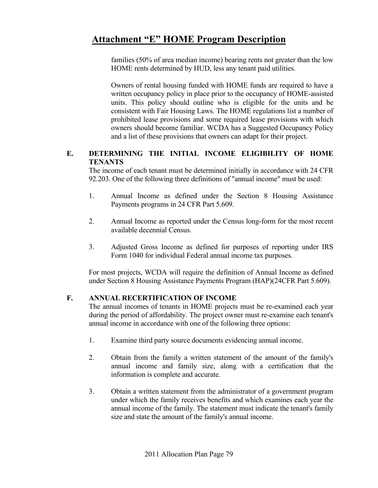families (50% of area median income) bearing rents not greater than the low HOME rents determined by HUD, less any tenant paid utilities.

Owners of rental housing funded with HOME funds are required to have a written occupancy policy in place prior to the occupancy of HOME-assisted units. This policy should outline who is eligible for the units and be consistent with Fair Housing Laws. The HOME regulations list a number of prohibited lease provisions and some required lease provisions with which owners should become familiar. WCDA has a Suggested Occupancy Policy and a list of these provisions that owners can adapt for their project.

### **E. DETERMINING THE INITIAL INCOME ELIGIBILITY OF HOME TENANTS**

 The income of each tenant must be determined initially in accordance with 24 CFR 92.203. One of the following three definitions of "annual income" must be used:

- 1. Annual Income as defined under the Section 8 Housing Assistance Payments programs in 24 CFR Part 5.609.
- 2. Annual Income as reported under the Census long-form for the most recent available decennial Census.
- 3. Adjusted Gross Income as defined for purposes of reporting under IRS Form 1040 for individual Federal annual income tax purposes.

For most projects, WCDA will require the definition of Annual Income as defined under Section 8 Housing Assistance Payments Program (HAP)(24CFR Part 5.609).

### **F. ANNUAL RECERTIFICATION OF INCOME**

 The annual incomes of tenants in HOME projects must be re-examined each year during the period of affordability. The project owner must re-examine each tenant's annual income in accordance with one of the following three options:

- 1. Examine third party source documents evidencing annual income.
- 2. Obtain from the family a written statement of the amount of the family's annual income and family size, along with a certification that the information is complete and accurate.
- 3. Obtain a written statement from the administrator of a government program under which the family receives benefits and which examines each year the annual income of the family. The statement must indicate the tenant's family size and state the amount of the family's annual income.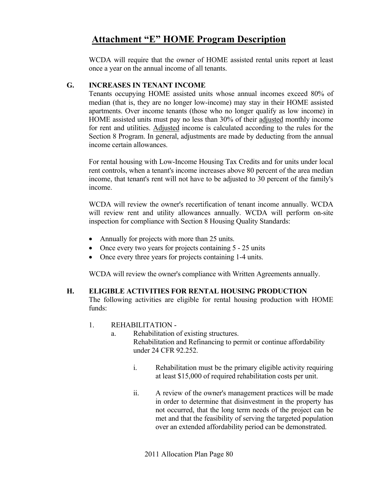WCDA will require that the owner of HOME assisted rental units report at least once a year on the annual income of all tenants.

### **G. INCREASES IN TENANT INCOME**

 Tenants occupying HOME assisted units whose annual incomes exceed 80% of median (that is, they are no longer low-income) may stay in their HOME assisted apartments. Over income tenants (those who no longer qualify as low income) in HOME assisted units must pay no less than 30% of their adjusted monthly income for rent and utilities. Adjusted income is calculated according to the rules for the Section 8 Program. In general, adjustments are made by deducting from the annual income certain allowances.

 For rental housing with Low-Income Housing Tax Credits and for units under local rent controls, when a tenant's income increases above 80 percent of the area median income, that tenant's rent will not have to be adjusted to 30 percent of the family's income.

 WCDA will review the owner's recertification of tenant income annually. WCDA will review rent and utility allowances annually. WCDA will perform on-site inspection for compliance with Section 8 Housing Quality Standards:

- Annually for projects with more than 25 units.
- Once every two years for projects containing 5 25 units
- Once every three years for projects containing 1-4 units.

WCDA will review the owner's compliance with Written Agreements annually.

#### **H. ELIGIBLE ACTIVITIES FOR RENTAL HOUSING PRODUCTION**  The following activities are eligible for rental housing production with HOME

funds:

### 1. REHABILITATION -

- a. Rehabilitation of existing structures. Rehabilitation and Refinancing to permit or continue affordability under 24 CFR 92.252.
	- i. Rehabilitation must be the primary eligible activity requiring at least \$15,000 of required rehabilitation costs per unit.
	- ii. A review of the owner's management practices will be made in order to determine that disinvestment in the property has not occurred, that the long term needs of the project can be met and that the feasibility of serving the targeted population over an extended affordability period can be demonstrated.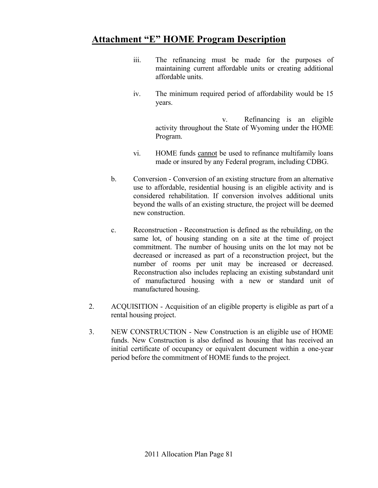- iii. The refinancing must be made for the purposes of maintaining current affordable units or creating additional affordable units.
- iv. The minimum required period of affordability would be 15 years.

 v. Refinancing is an eligible activity throughout the State of Wyoming under the HOME Program.

- vi. HOME funds cannot be used to refinance multifamily loans made or insured by any Federal program, including CDBG.
- b. Conversion Conversion of an existing structure from an alternative use to affordable, residential housing is an eligible activity and is considered rehabilitation. If conversion involves additional units beyond the walls of an existing structure, the project will be deemed new construction.
- c. Reconstruction Reconstruction is defined as the rebuilding, on the same lot, of housing standing on a site at the time of project commitment. The number of housing units on the lot may not be decreased or increased as part of a reconstruction project, but the number of rooms per unit may be increased or decreased. Reconstruction also includes replacing an existing substandard unit of manufactured housing with a new or standard unit of manufactured housing.
- 2. ACQUISITION Acquisition of an eligible property is eligible as part of a rental housing project.
- 3. NEW CONSTRUCTION New Construction is an eligible use of HOME funds. New Construction is also defined as housing that has received an initial certificate of occupancy or equivalent document within a one-year period before the commitment of HOME funds to the project.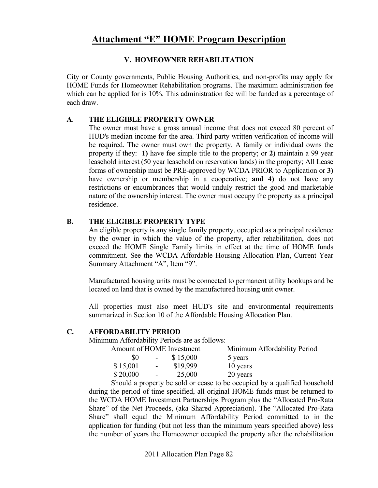### **V. HOMEOWNER REHABILITATION**

City or County governments, Public Housing Authorities, and non-profits may apply for HOME Funds for Homeowner Rehabilitation programs. The maximum administration fee which can be applied for is 10%. This administration fee will be funded as a percentage of each draw.

### **A**. **THE ELIGIBLE PROPERTY OWNER**

 The owner must have a gross annual income that does not exceed 80 percent of HUD's median income for the area. Third party written verification of income will be required. The owner must own the property. A family or individual owns the property if they: **1)** have fee simple title to the property; or **2)** maintain a 99 year leasehold interest (50 year leasehold on reservation lands) in the property; All Lease forms of ownership must be PRE-approved by WCDA PRIOR to Application or **3)** have ownership or membership in a cooperative; **and 4)** do not have any restrictions or encumbrances that would unduly restrict the good and marketable nature of the ownership interest. The owner must occupy the property as a principal residence.

### **B. THE ELIGIBLE PROPERTY TYPE**

An eligible property is any single family property, occupied as a principal residence by the owner in which the value of the property, after rehabilitation, does not exceed the HOME Single Family limits in effect at the time of HOME funds commitment. See the WCDA Affordable Housing Allocation Plan, Current Year Summary Attachment "A", Item "9".

Manufactured housing units must be connected to permanent utility hookups and be located on land that is owned by the manufactured housing unit owner.

 All properties must also meet HUD's site and environmental requirements summarized in Section 10 of the Affordable Housing Allocation Plan.

#### **C. AFFORDABILITY PERIOD**

Minimum Affordability Periods are as follows:

| Amount of HOME Investment |                  |          | Minimum Affordability Period |
|---------------------------|------------------|----------|------------------------------|
| \$0                       |                  | \$15,000 | 5 years                      |
| \$15,001                  | $\sim$ 100 $\mu$ | \$19,999 | 10 years                     |
| \$20,000                  | $\sim$ $ \sim$   | 25,000   | 20 years                     |

 Should a property be sold or cease to be occupied by a qualified household during the period of time specified, all original HOME funds must be returned to the WCDA HOME Investment Partnerships Program plus the "Allocated Pro-Rata Share" of the Net Proceeds, (aka Shared Appreciation). The "Allocated Pro-Rata Share" shall equal the Minimum Affordability Period committed to in the application for funding (but not less than the minimum years specified above) less the number of years the Homeowner occupied the property after the rehabilitation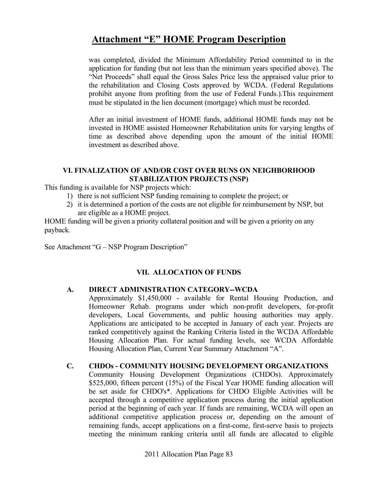was completed, divided the Minimum Affordability Period committed to in the application for funding (but not less than the minimum years specified above). The "Net Proceeds" shall equal the Gross Sales Price less the appraised value prior to the rehabilitation and Closing Costs approved by WCDA. (Federal Regulations prohibit anyone from profiting from the use of Federal Funds.).This requirement must be stipulated in the lien document (mortgage) which must be recorded.

 After an initial investment of HOME funds, additional HOME funds may not be invested in HOME assisted Homeowner Rehabilitation units for varying lengths of time as described above depending upon the amount of the initial HOME investment as described above.

### **VI. FINALIZATION OF AND/OR COST OVER RUNS ON NEIGHBORHOOD STABILIZATION PROJECTS (NSP)**

This funding is available for NSP projects which:

- 1) there is not sufficient NSP funding remaining to complete the project; or
- 2) it is determined a portion of the costs are not eligible for reimbursement by NSP, but are eligible as a HOME project.

HOME funding will be given a priority collateral position and will be given a priority on any payback.

See Attachment "G – NSP Program Description"

### **VII. ALLOCATION OF FUNDS**

### **A. DIRECT ADMINISTRATION CATEGORY--WCDA**

 Approximately \$1,450,000 - available for Rental Housing Production, and Homeowner Rehab. programs under which non-profit developers, for-profit developers, Local Governments, and public housing authorities may apply. Applications are anticipated to be accepted in January of each year. Projects are ranked competitively against the Ranking Criteria listed in the WCDA Affordable Housing Allocation Plan. For actual funding levels, see WCDA Affordable Housing Allocation Plan, Current Year Summary Attachment "A".

### **C. CHDOs - COMMUNITY HOUSING DEVELOPMENT ORGANIZATIONS**

Community Housing Development Organizations (CHDOs). Approximately \$525,000, fifteen percent (15%) of the Fiscal Year HOME funding allocation will be set aside for CHDO's\*. Applications for CHDO Eligible Activities will be accepted through a competitive application process during the initial application period at the beginning of each year. If funds are remaining, WCDA will open an additional competitive application process or, depending on the amount of remaining funds, accept applications on a first-come, first-serve basis to projects meeting the minimum ranking criteria until all funds are allocated to eligible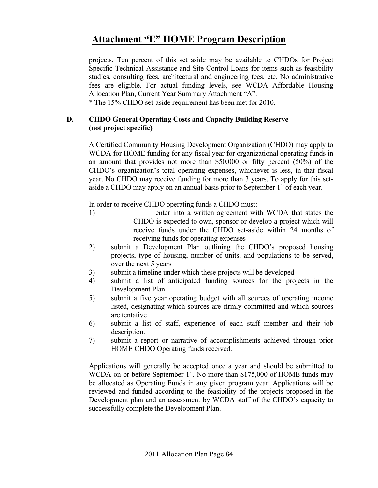projects. Ten percent of this set aside may be available to CHDOs for Project Specific Technical Assistance and Site Control Loans for items such as feasibility studies, consulting fees, architectural and engineering fees, etc. No administrative fees are eligible. For actual funding levels, see WCDA Affordable Housing Allocation Plan, Current Year Summary Attachment "A".

\* The 15% CHDO set-aside requirement has been met for 2010.

### **D. CHDO General Operating Costs and Capacity Building Reserve (not project specific)**

A Certified Community Housing Development Organization (CHDO) may apply to WCDA for HOME funding for any fiscal year for organizational operating funds in an amount that provides not more than \$50,000 or fifty percent (50%) of the CHDO's organization's total operating expenses, whichever is less, in that fiscal year. No CHDO may receive funding for more than 3 years. To apply for this setaside a CHDO may apply on an annual basis prior to September 1<sup>st</sup> of each year.

In order to receive CHDO operating funds a CHDO must:

- 1) enter into a written agreement with WCDA that states the CHDO is expected to own, sponsor or develop a project which will receive funds under the CHDO set-aside within 24 months of receiving funds for operating expenses
- 2) submit a Development Plan outlining the CHDO's proposed housing projects, type of housing, number of units, and populations to be served, over the next 5 years
- 3) submit a timeline under which these projects will be developed
- 4) submit a list of anticipated funding sources for the projects in the Development Plan
- 5) submit a five year operating budget with all sources of operating income listed, designating which sources are firmly committed and which sources are tentative
- 6) submit a list of staff, experience of each staff member and their job description.
- 7) submit a report or narrative of accomplishments achieved through prior HOME CHDO Operating funds received.

Applications will generally be accepted once a year and should be submitted to WCDA on or before September  $1<sup>st</sup>$ . No more than \$175,000 of HOME funds may be allocated as Operating Funds in any given program year. Applications will be reviewed and funded according to the feasibility of the projects proposed in the Development plan and an assessment by WCDA staff of the CHDO's capacity to successfully complete the Development Plan.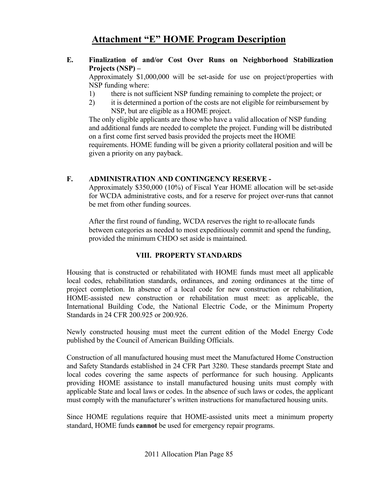### **E. Finalization of and/or Cost Over Runs on Neighborhood Stabilization Projects (NSP) –**

Approximately \$1,000,000 will be set-aside for use on project/properties with NSP funding where:

- 1) there is not sufficient NSP funding remaining to complete the project; or
- 2) it is determined a portion of the costs are not eligible for reimbursement by NSP, but are eligible as a HOME project.

The only eligible applicants are those who have a valid allocation of NSP funding and additional funds are needed to complete the project. Funding will be distributed on a first come first served basis provided the projects meet the HOME requirements. HOME funding will be given a priority collateral position and will be given a priority on any payback.

### **F. ADMINISTRATION AND CONTINGENCY RESERVE -**

 Approximately \$350,000 (10%) of Fiscal Year HOME allocation will be set-aside for WCDA administrative costs, and for a reserve for project over-runs that cannot be met from other funding sources.

After the first round of funding, WCDA reserves the right to re-allocate funds between categories as needed to most expeditiously commit and spend the funding, provided the minimum CHDO set aside is maintained.

### **VIII. PROPERTY STANDARDS**

Housing that is constructed or rehabilitated with HOME funds must meet all applicable local codes, rehabilitation standards, ordinances, and zoning ordinances at the time of project completion. In absence of a local code for new construction or rehabilitation, HOME-assisted new construction or rehabilitation must meet: as applicable, the International Building Code, the National Electric Code, or the Minimum Property Standards in 24 CFR 200.925 or 200.926.

Newly constructed housing must meet the current edition of the Model Energy Code published by the Council of American Building Officials.

Construction of all manufactured housing must meet the Manufactured Home Construction and Safety Standards established in 24 CFR Part 3280. These standards preempt State and local codes covering the same aspects of performance for such housing. Applicants providing HOME assistance to install manufactured housing units must comply with applicable State and local laws or codes. In the absence of such laws or codes, the applicant must comply with the manufacturer's written instructions for manufactured housing units.

Since HOME regulations require that HOME-assisted units meet a minimum property standard, HOME funds **cannot** be used for emergency repair programs.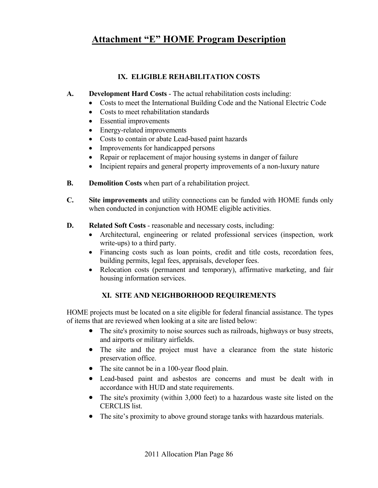### **IX. ELIGIBLE REHABILITATION COSTS**

- **A. Development Hard Costs** The actual rehabilitation costs including:
	- Costs to meet the International Building Code and the National Electric Code
	- Costs to meet rehabilitation standards
	- Essential improvements
	- Energy-related improvements
	- Costs to contain or abate Lead-based paint hazards
	- Improvements for handicapped persons
	- Repair or replacement of major housing systems in danger of failure
	- Incipient repairs and general property improvements of a non-luxury nature
- **B.** Demolition Costs when part of a rehabilitation project.
- **C. Site improvements** and utility connections can be funded with HOME funds only when conducted in conjunction with HOME eligible activities.
- **D.** Related Soft Costs reasonable and necessary costs, including:
	- Architectural, engineering or related professional services (inspection, work write-ups) to a third party.
	- Financing costs such as loan points, credit and title costs, recordation fees, building permits, legal fees, appraisals, developer fees.
	- Relocation costs (permanent and temporary), affirmative marketing, and fair housing information services.

### **XI. SITE AND NEIGHBORHOOD REQUIREMENTS**

HOME projects must be located on a site eligible for federal financial assistance. The types of items that are reviewed when looking at a site are listed below:

- The site's proximity to noise sources such as railroads, highways or busy streets, and airports or military airfields.
- The site and the project must have a clearance from the state historic preservation office.
- The site cannot be in a 100-year flood plain.
- Lead-based paint and asbestos are concerns and must be dealt with in accordance with HUD and state requirements.
- The site's proximity (within 3,000 feet) to a hazardous waste site listed on the CERCLIS list.
- The site's proximity to above ground storage tanks with hazardous materials.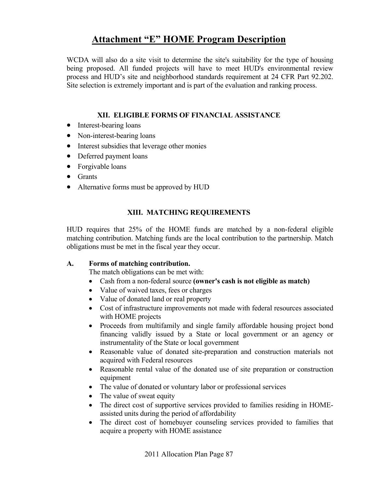WCDA will also do a site visit to determine the site's suitability for the type of housing being proposed. All funded projects will have to meet HUD's environmental review process and HUD's site and neighborhood standards requirement at 24 CFR Part 92.202. Site selection is extremely important and is part of the evaluation and ranking process.

### **XII. ELIGIBLE FORMS OF FINANCIAL ASSISTANCE**

- Interest-bearing loans
- Non-interest-bearing loans
- Interest subsidies that leverage other monies
- Deferred payment loans
- Forgivable loans
- Grants
- Alternative forms must be approved by HUD

### **XIII. MATCHING REQUIREMENTS**

 HUD requires that 25% of the HOME funds are matched by a non-federal eligible matching contribution. Matching funds are the local contribution to the partnership. Match obligations must be met in the fiscal year they occur.

### **A. Forms of matching contribution.**

The match obligations can be met with:

- Cash from a non-federal source **(owner's cash is not eligible as match)**
- Value of waived taxes, fees or charges
- Value of donated land or real property
- Cost of infrastructure improvements not made with federal resources associated with HOME projects
- Proceeds from multifamily and single family affordable housing project bond financing validly issued by a State or local government or an agency or instrumentality of the State or local government
- Reasonable value of donated site-preparation and construction materials not acquired with Federal resources
- Reasonable rental value of the donated use of site preparation or construction equipment
- The value of donated or voluntary labor or professional services
- The value of sweat equity
- The direct cost of supportive services provided to families residing in HOMEassisted units during the period of affordability
- The direct cost of homebuyer counseling services provided to families that acquire a property with HOME assistance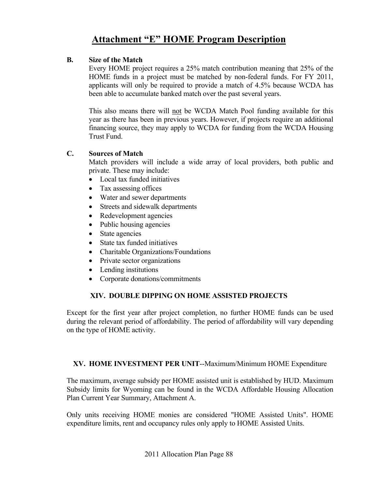### **B. Size of the Match**

 Every HOME project requires a 25% match contribution meaning that 25% of the HOME funds in a project must be matched by non-federal funds. For FY 2011, applicants will only be required to provide a match of 4.5% because WCDA has been able to accumulate banked match over the past several years.

 This also means there will not be WCDA Match Pool funding available for this year as there has been in previous years. However, if projects require an additional financing source, they may apply to WCDA for funding from the WCDA Housing Trust Fund.

### **C. Sources of Match**

 Match providers will include a wide array of local providers, both public and private. These may include:

- Local tax funded initiatives
- Tax assessing offices
- Water and sewer departments
- Streets and sidewalk departments
- Redevelopment agencies
- Public housing agencies
- State agencies
- State tax funded initiatives
- Charitable Organizations/Foundations
- Private sector organizations
- Lending institutions
- Corporate donations/commitments

### **XIV. DOUBLE DIPPING ON HOME ASSISTED PROJECTS**

Except for the first year after project completion, no further HOME funds can be used during the relevant period of affordability. The period of affordability will vary depending on the type of HOME activity.

### **XV. HOME INVESTMENT PER UNIT**--Maximum/Minimum HOME Expenditure

The maximum, average subsidy per HOME assisted unit is established by HUD. Maximum Subsidy limits for Wyoming can be found in the WCDA Affordable Housing Allocation Plan Current Year Summary, Attachment A.

Only units receiving HOME monies are considered "HOME Assisted Units". HOME expenditure limits, rent and occupancy rules only apply to HOME Assisted Units.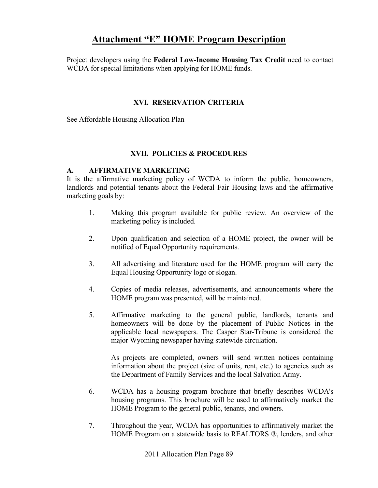Project developers using the **Federal Low-Income Housing Tax Credit** need to contact WCDA for special limitations when applying for HOME funds.

### **XVI. RESERVATION CRITERIA**

See Affordable Housing Allocation Plan

#### **XVII. POLICIES & PROCEDURES**

#### **A. AFFIRMATIVE MARKETING**

 It is the affirmative marketing policy of WCDA to inform the public, homeowners, landlords and potential tenants about the Federal Fair Housing laws and the affirmative marketing goals by:

- 1. Making this program available for public review. An overview of the marketing policy is included.
- 2. Upon qualification and selection of a HOME project, the owner will be notified of Equal Opportunity requirements.
- 3. All advertising and literature used for the HOME program will carry the Equal Housing Opportunity logo or slogan.
- 4. Copies of media releases, advertisements, and announcements where the HOME program was presented, will be maintained.
- 5. Affirmative marketing to the general public, landlords, tenants and homeowners will be done by the placement of Public Notices in the applicable local newspapers. The Casper Star-Tribune is considered the major Wyoming newspaper having statewide circulation.

 As projects are completed, owners will send written notices containing information about the project (size of units, rent, etc.) to agencies such as the Department of Family Services and the local Salvation Army.

- 6. WCDA has a housing program brochure that briefly describes WCDA's housing programs. This brochure will be used to affirmatively market the HOME Program to the general public, tenants, and owners.
- 7. Throughout the year, WCDA has opportunities to affirmatively market the HOME Program on a statewide basis to REALTORS ®, lenders, and other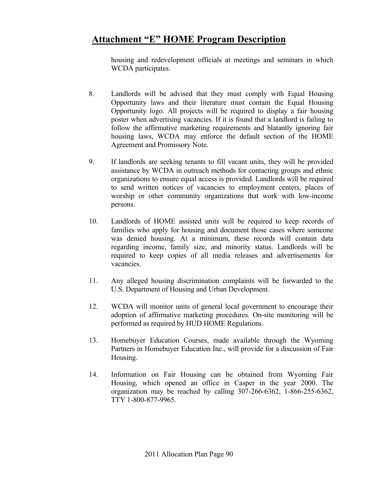housing and redevelopment officials at meetings and seminars in which WCDA participates.

- 8. Landlords will be advised that they must comply with Equal Housing Opportunity laws and their literature must contain the Equal Housing Opportunity logo. All projects will be required to display a fair housing poster when advertising vacancies. If it is found that a landlord is failing to follow the affirmative marketing requirements and blatantly ignoring fair housing laws, WCDA may enforce the default section of the HOME Agreement and Promissory Note.
- 9. If landlords are seeking tenants to fill vacant units, they will be provided assistance by WCDA in outreach methods for contacting groups and ethnic organizations to ensure equal access is provided. Landlords will be required to send written notices of vacancies to employment centers, places of worship or other community organizations that work with low-income persons.
- 10. Landlords of HOME assisted units will be required to keep records of families who apply for housing and document those cases where someone was denied housing. At a minimum, these records will contain data regarding income, family size, and minority status. Landlords will be required to keep copies of all media releases and advertisements for vacancies.
- 11. Any alleged housing discrimination complaints will be forwarded to the U.S. Department of Housing and Urban Development.
- 12. WCDA will monitor units of general local government to encourage their adoption of affirmative marketing procedures. On-site monitoring will be performed as required by HUD HOME Regulations.
- 13. Homebuyer Education Courses, made available through the Wyoming Partners in Homebuyer Education Inc., will provide for a discussion of Fair Housing.
- 14. Information on Fair Housing can be obtained from Wyoming Fair Housing, which opened an office in Casper in the year 2000. The organization may be reached by calling 307-266-6362, 1-866-255-6362, TTY 1-800-877-9965.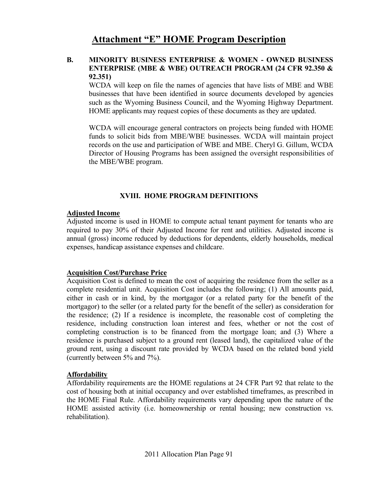### **B. MINORITY BUSINESS ENTERPRISE & WOMEN - OWNED BUSINESS ENTERPRISE (MBE & WBE) OUTREACH PROGRAM (24 CFR 92.350 & 92.351)**

 WCDA will keep on file the names of agencies that have lists of MBE and WBE businesses that have been identified in source documents developed by agencies such as the Wyoming Business Council, and the Wyoming Highway Department. HOME applicants may request copies of these documents as they are updated.

WCDA will encourage general contractors on projects being funded with HOME funds to solicit bids from MBE/WBE businesses. WCDA will maintain project records on the use and participation of WBE and MBE. Cheryl G. Gillum, WCDA Director of Housing Programs has been assigned the oversight responsibilities of the MBE/WBE program.

### **XVIII. HOME PROGRAM DEFINITIONS**

### **Adjusted Income**

Adjusted income is used in HOME to compute actual tenant payment for tenants who are required to pay 30% of their Adjusted Income for rent and utilities. Adjusted income is annual (gross) income reduced by deductions for dependents, elderly households, medical expenses, handicap assistance expenses and childcare.

### **Acquisition Cost/Purchase Price**

Acquisition Cost is defined to mean the cost of acquiring the residence from the seller as a complete residential unit. Acquisition Cost includes the following; (1) All amounts paid, either in cash or in kind, by the mortgagor (or a related party for the benefit of the mortgagor) to the seller (or a related party for the benefit of the seller) as consideration for the residence; (2) If a residence is incomplete, the reasonable cost of completing the residence, including construction loan interest and fees, whether or not the cost of completing construction is to be financed from the mortgage loan; and (3) Where a residence is purchased subject to a ground rent (leased land), the capitalized value of the ground rent, using a discount rate provided by WCDA based on the related bond yield (currently between 5% and 7%).

### **Affordability**

Affordability requirements are the HOME regulations at 24 CFR Part 92 that relate to the cost of housing both at initial occupancy and over established timeframes, as prescribed in the HOME Final Rule. Affordability requirements vary depending upon the nature of the HOME assisted activity (i.e. homeownership or rental housing; new construction vs. rehabilitation).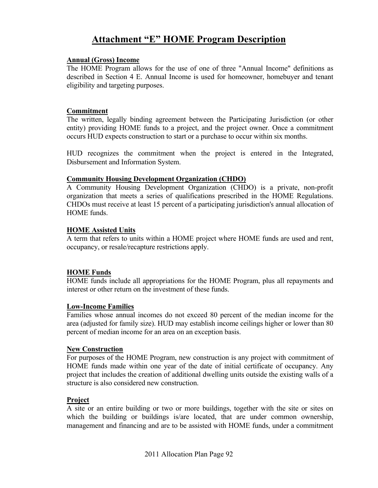#### **Annual (Gross) Income**

The HOME Program allows for the use of one of three "Annual Income" definitions as described in Section 4 E. Annual Income is used for homeowner, homebuyer and tenant eligibility and targeting purposes.

### **Commitment**

The written, legally binding agreement between the Participating Jurisdiction (or other entity) providing HOME funds to a project, and the project owner. Once a commitment occurs HUD expects construction to start or a purchase to occur within six months.

HUD recognizes the commitment when the project is entered in the Integrated, Disbursement and Information System.

### **Community Housing Development Organization (CHDO)**

A Community Housing Development Organization (CHDO) is a private, non-profit organization that meets a series of qualifications prescribed in the HOME Regulations. CHDOs must receive at least 15 percent of a participating jurisdiction's annual allocation of HOME funds.

### **HOME Assisted Units**

A term that refers to units within a HOME project where HOME funds are used and rent, occupancy, or resale/recapture restrictions apply.

### **HOME Funds**

HOME funds include all appropriations for the HOME Program, plus all repayments and interest or other return on the investment of these funds.

#### **Low-Income Families**

Families whose annual incomes do not exceed 80 percent of the median income for the area (adjusted for family size). HUD may establish income ceilings higher or lower than 80 percent of median income for an area on an exception basis.

#### **New Construction**

For purposes of the HOME Program, new construction is any project with commitment of HOME funds made within one year of the date of initial certificate of occupancy. Any project that includes the creation of additional dwelling units outside the existing walls of a structure is also considered new construction.

### **Project**

A site or an entire building or two or more buildings, together with the site or sites on which the building or buildings is/are located, that are under common ownership, management and financing and are to be assisted with HOME funds, under a commitment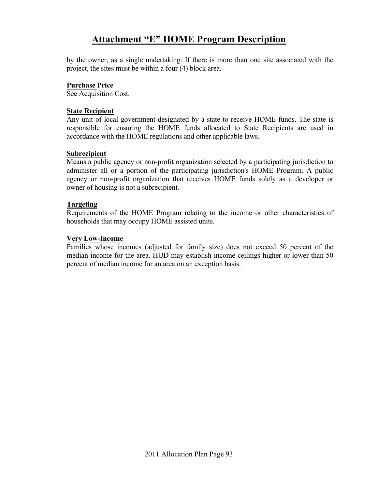by the owner, as a single undertaking. If there is more than one site associated with the project, the sites must be within a four (4) block area.

#### **Purchase Price**

See Acquisition Cost.

#### **State Recipient**

Any unit of local government designated by a state to receive HOME funds. The state is responsible for ensuring the HOME funds allocated to State Recipients are used in accordance with the HOME regulations and other applicable laws.

#### **Subrecipient**

Means a public agency or non-profit organization selected by a participating jurisdiction to administer all or a portion of the participating jurisdiction's HOME Program. A public agency or non-profit organization that receives HOME funds solely as a developer or owner of housing is not a subrecipient.

### **Targeting**

Requirements of the HOME Program relating to the income or other characteristics of households that may occupy HOME assisted units.

### **Very Low-Income**

Families whose incomes (adjusted for family size) does not exceed 50 percent of the median income for the area. HUD may establish income ceilings higher or lower than 50 percent of median income for an area on an exception basis.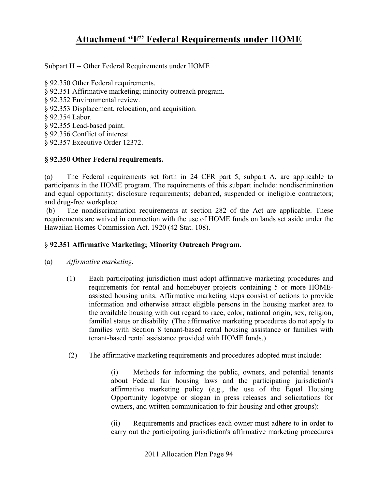Subpart H -- Other Federal Requirements under HOME

- § 92.350 Other Federal requirements.
- § 92.351 Affirmative marketing; minority outreach program.
- § 92.352 Environmental review.
- § 92.353 Displacement, relocation, and acquisition.
- § 92.354 Labor.
- § 92.355 Lead-based paint.
- § 92.356 Conflict of interest.
- § 92.357 Executive Order 12372.

### **§ 92.350 Other Federal requirements.**

(a) The Federal requirements set forth in 24 CFR part 5, subpart A, are applicable to participants in the HOME program. The requirements of this subpart include: nondiscrimination and equal opportunity; disclosure requirements; debarred, suspended or ineligible contractors; and drug-free workplace.

 (b) The nondiscrimination requirements at section 282 of the Act are applicable. These requirements are waived in connection with the use of HOME funds on lands set aside under the Hawaiian Homes Commission Act. 1920 (42 Stat. 108).

### § **92.351 Affirmative Marketing; Minority Outreach Program.**

- (a) *Affirmative marketing.*
	- (1) Each participating jurisdiction must adopt affirmative marketing procedures and requirements for rental and homebuyer projects containing 5 or more HOMEassisted housing units. Affirmative marketing steps consist of actions to provide information and otherwise attract eligible persons in the housing market area to the available housing with out regard to race, color, national origin, sex, religion, familial status or disability. (The affirmative marketing procedures do not apply to families with Section 8 tenant-based rental housing assistance or families with tenant-based rental assistance provided with HOME funds.)
	- (2) The affirmative marketing requirements and procedures adopted must include:

 (i) Methods for informing the public, owners, and potential tenants about Federal fair housing laws and the participating jurisdiction's affirmative marketing policy (e.g., the use of the Equal Housing Opportunity logotype or slogan in press releases and solicitations for owners, and written communication to fair housing and other groups):

 (ii) Requirements and practices each owner must adhere to in order to carry out the participating jurisdiction's affirmative marketing procedures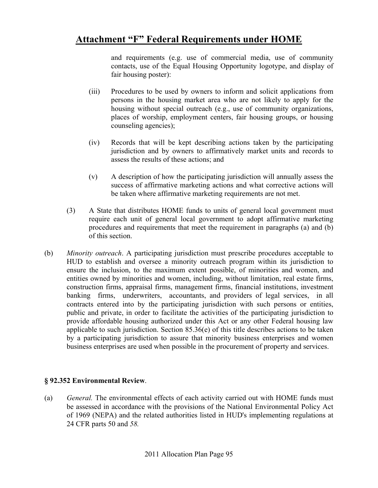and requirements (e.g. use of commercial media, use of community contacts, use of the Equal Housing Opportunity logotype, and display of fair housing poster):

- (iii) Procedures to be used by owners to inform and solicit applications from persons in the housing market area who are not likely to apply for the housing without special outreach (e.g., use of community organizations, places of worship, employment centers, fair housing groups, or housing counseling agencies);
- (iv) Records that will be kept describing actions taken by the participating jurisdiction and by owners to affirmatively market units and records to assess the results of these actions; and
- (v) A description of how the participating jurisdiction will annually assess the success of affirmative marketing actions and what corrective actions will be taken where affirmative marketing requirements are not met.
- (3) A State that distributes HOME funds to units of general local government must require each unit of general local government to adopt affirmative marketing procedures and requirements that meet the requirement in paragraphs (a) and (b) of this section.
- (b) *Minority outreach*. A participating jurisdiction must prescribe procedures acceptable to HUD to establish and oversee a minority outreach program within its jurisdiction to ensure the inclusion, to the maximum extent possible, of minorities and women, and entities owned by minorities and women, including, without limitation, real estate firms, construction firms, appraisal firms, management firms, financial institutions, investment banking firms, underwriters, accountants, and providers of legal services, in all contracts entered into by the participating jurisdiction with such persons or entities, public and private, in order to facilitate the activities of the participating jurisdiction to provide affordable housing authorized under this Act or any other Federal housing law applicable to such jurisdiction. Section 85.36(e) of this title describes actions to be taken by a participating jurisdiction to assure that minority business enterprises and women business enterprises are used when possible in the procurement of property and services.

### **§ 92.352 Environmental Review**.

(a) *General.* The environmental effects of each activity carried out with HOME funds must be assessed in accordance with the provisions of the National Environmental Policy Act of 1969 (NEPA) and the related authorities listed in HUD's implementing regulations at 24 CFR parts 50 and *58.*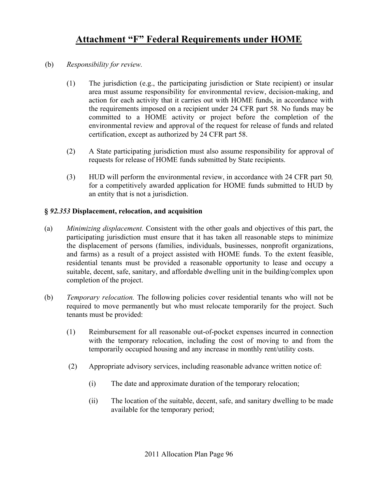- (b) *Responsibility for review.* 
	- (1) The jurisdiction (e.g., the participating jurisdiction or State recipient) or insular area must assume responsibility for environmental review, decision-making, and action for each activity that it carries out with HOME funds, in accordance with the requirements imposed on a recipient under 24 CFR part 58*.* No funds may be committed to a HOME activity or project before the completion of the environmental review and approval of the request for release of funds and related certification, except as authorized by 24 CFR part 58.
	- (2) A State participating jurisdiction must also assume responsibility for approval of requests for release of HOME funds submitted by State recipients.
	- (3) HUD will perform the environmental review, in accordance with 24 CFR part 50*,*  for a competitively awarded application for HOME funds submitted to HUD by an entity that is not a jurisdiction.

### **§** *92.353* **Displacement, relocation, and acquisition**

- (a) *Minimizing displacement.* Consistent with the other goals and objectives of this part, the participating jurisdiction must ensure that it has taken all reasonable steps to minimize the displacement of persons (families, individuals, businesses, nonprofit organizations, and farms) as a result of a project assisted with HOME funds. To the extent feasible, residential tenants must be provided a reasonable opportunity to lease and occupy a suitable, decent, safe, sanitary, and affordable dwelling unit in the building/complex upon completion of the project.
- (b) *Temporary relocation.* The following policies cover residential tenants who will not be required to move permanently but who must relocate temporarily for the project. Such tenants must be provided:
	- (1) Reimbursement for all reasonable out-of-pocket expenses incurred in connection with the temporary relocation, including the cost of moving to and from the temporarily occupied housing and any increase in monthly rent/utility costs.
	- (2) Appropriate advisory services, including reasonable advance written notice of:
		- (i) The date and approximate duration of the temporary relocation;
		- (ii) The location of the suitable, decent, safe, and sanitary dwelling to be made available for the temporary period;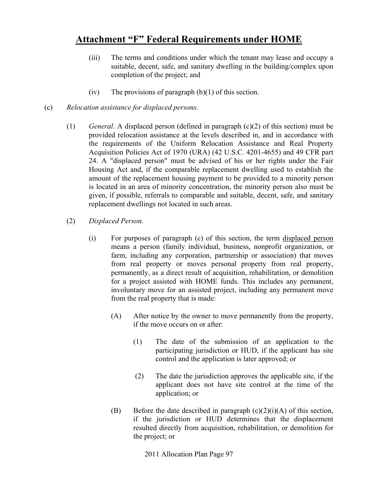- (iii) The terms and conditions under which the tenant may lease and occupy a suitable, decent, safe, and sanitary dwelling in the building/complex upon completion of the project; and
- (iv) The provisions of paragraph  $(b)(1)$  of this section.
- (c) *Relocation assistance for displaced persons*.
	- (1) *General.* A displaced person (defined in paragraph (c)(2) of this section) must be provided relocation assistance at the levels described in, and in accordance with the requirements of the Uniform Relocation Assistance and Real Property Acquisition Policies Act of 1970 (URA) (42 U.S.C. 4201-4655) and 49 CFR part 24. A "displaced person" must be advised of his or her rights under the Fair Housing Act and, if the comparable replacement dwelling used to establish the amount of the replacement housing payment to be provided to a minority person is located in an area of minority concentration, the minority person also must be given, if possible, referrals to comparable and suitable, decent, safe, and sanitary replacement dwellings not located in such areas.
	- (2) *Displaced Person.* 
		- (i) For purposes of paragraph (c) of this section, the term displaced person means a person (family individual, business, nonprofit organization, or farm, including any corporation, partnership or association) that moves from real property or moves personal property from real property, permanently, as a direct result of acquisition, rehabilitation, or demolition for a project assisted with HOME funds. This includes any permanent, involuntary move for an assisted project, including any permanent move from the real property that is made:
			- (A) After notice by the owner to move permanently from the property, if the move occurs on or after:
				- (1) The date of the submission of an application to the participating jurisdiction or HUD, if the applicant has site control and the application is later approved; or
				- (2) The date the jurisdiction approves the applicable site, if the applicant does not have site control at the time of the application; or
			- (B) Before the date described in paragraph  $(c)(2)(i)(A)$  of this section, if the jurisdiction or HUD determines that the displacement resulted directly from acquisition, rehabilitation, or demolition for the project; or

2011 Allocation Plan Page 97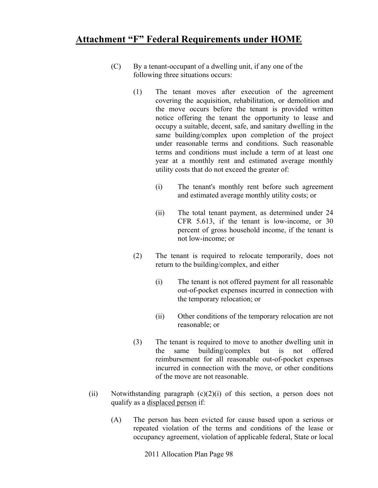- (C) By a tenant-occupant of a dwelling unit, if any one of the following three situations occurs:
	- (1) The tenant moves after execution of the agreement covering the acquisition, rehabilitation, or demolition and the move occurs before the tenant is provided written notice offering the tenant the opportunity to lease and occupy a suitable, decent, safe, and sanitary dwelling in the same building/complex upon completion of the project under reasonable terms and conditions. Such reasonable terms and conditions must include a term of at least one year at a monthly rent and estimated average monthly utility costs that do not exceed the greater of:
		- (i) The tenant's monthly rent before such agreement and estimated average monthly utility costs; or
		- (ii) The total tenant payment, as determined under 24 CFR 5.613, if the tenant is low-income, or 30 percent of gross household income, if the tenant is not low-income; or
	- (2) The tenant is required to relocate temporarily, does not return to the building/complex, and either
		- (i) The tenant is not offered payment for all reasonable out-of-pocket expenses incurred in connection with the temporary relocation; or
		- (ii) Other conditions of the temporary relocation are not reasonable; or
	- (3) The tenant is required to move to another dwelling unit in the same building/complex but is not offered reimbursement for all reasonable out-of-pocket expenses incurred in connection with the move, or other conditions of the move are not reasonable.
- (ii) Notwithstanding paragraph  $(c)(2)(i)$  of this section, a person does not qualify as a displaced person if:
	- (A) The person has been evicted for cause based upon a serious or repeated violation of the terms and conditions of the lease or occupancy agreement, violation of applicable federal, State or local

2011 Allocation Plan Page 98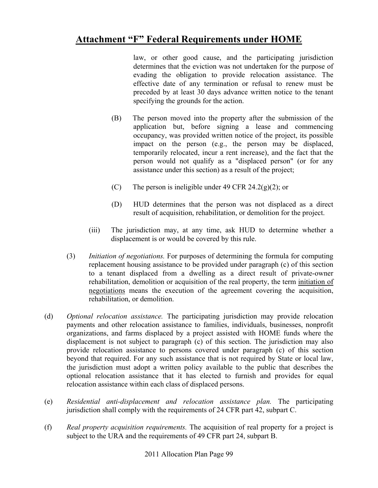law, or other good cause, and the participating jurisdiction determines that the eviction was not undertaken for the purpose of evading the obligation to provide relocation assistance. The effective date of any termination or refusal to renew must be preceded by at least 30 days advance written notice to the tenant specifying the grounds for the action.

- (B) The person moved into the property after the submission of the application but, before signing a lease and commencing occupancy, was provided written notice of the project, its possible impact on the person (e.g., the person may be displaced, temporarily relocated, incur a rent increase), and the fact that the person would not qualify as a "displaced person" (or for any assistance under this section) as a result of the project;
- (C) The person is ineligible under 49 CFR 24.2(g)(2); or
- (D) HUD determines that the person was not displaced as a direct result of acquisition, rehabilitation, or demolition for the project.
- (iii) The jurisdiction may, at any time, ask HUD to determine whether a displacement is or would be covered by this rule.
- (3) *Initiation of negotiations.* For purposes of determining the formula for computing replacement housing assistance to be provided under paragraph (c) of this section to a tenant displaced from a dwelling as a direct result of private-owner rehabilitation, demolition or acquisition of the real property, the term initiation of negotiations means the execution of the agreement covering the acquisition, rehabilitation, or demolition.
- (d) *Optional relocation assistance.* The participating jurisdiction may provide relocation payments and other relocation assistance to families, individuals, businesses, nonprofit organizations, and farms displaced by a project assisted with HOME funds where the displacement is not subject to paragraph (c) of this section. The jurisdiction may also provide relocation assistance to persons covered under paragraph (c) of this section beyond that required. For any such assistance that is not required by State or local law, the jurisdiction must adopt a written policy available to the public that describes the optional relocation assistance that it has elected to furnish and provides for equal relocation assistance within each class of displaced persons.
- (e) *Residential anti-displacement and relocation assistance plan.* The participating jurisdiction shall comply with the requirements of 24 CFR part 42, subpart C.
- (f) *Real property acquisition requirements.* The acquisition of real property for a project is subject to the URA and the requirements of 49 CFR part 24, subpart B.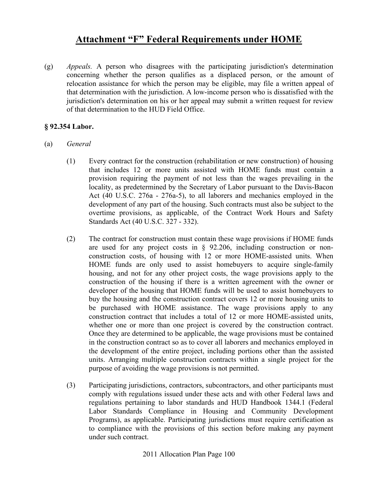(g) *Appeals.* A person who disagrees with the participating jurisdiction's determination concerning whether the person qualifies as a displaced person, or the amount of relocation assistance for which the person may be eligible, may file a written appeal of that determination with the jurisdiction. A low-income person who is dissatisfied with the jurisdiction's determination on his or her appeal may submit a written request for review of that determination to the HUD Field Office.

### **§ 92.354 Labor.**

- (a) *General* 
	- (1) Every contract for the construction (rehabilitation or new construction) of housing that includes 12 or more units assisted with HOME funds must contain a provision requiring the payment of not less than the wages prevailing in the locality, as predetermined by the Secretary of Labor pursuant to the Davis-Bacon Act (40 U.S.C. 276a - 276a-5), to all laborers and mechanics employed in the development of any part of the housing. Such contracts must also be subject to the overtime provisions, as applicable, of the Contract Work Hours and Safety Standards Act (40 U.S.C. 327 - 332).
	- (2) The contract for construction must contain these wage provisions if HOME funds are used for any project costs in § 92.206, including construction or nonconstruction costs, of housing with 12 or more HOME-assisted units. When HOME funds are only used to assist homebuyers to acquire single-family housing, and not for any other project costs, the wage provisions apply to the construction of the housing if there is a written agreement with the owner or developer of the housing that HOME funds will be used to assist homebuyers to buy the housing and the construction contract covers 12 or more housing units to be purchased with HOME assistance. The wage provisions apply to any construction contract that includes a total of 12 or more HOME-assisted units, whether one or more than one project is covered by the construction contract. Once they are determined to be applicable, the wage provisions must be contained in the construction contract so as to cover all laborers and mechanics employed in the development of the entire project, including portions other than the assisted units. Arranging multiple construction contracts within a single project for the purpose of avoiding the wage provisions is not permitted.
	- (3) Participating jurisdictions, contractors, subcontractors, and other participants must comply with regulations issued under these acts and with other Federal laws and regulations pertaining to labor standards and HUD Handbook 1344.1 (Federal Labor Standards Compliance in Housing and Community Development Programs), as applicable. Participating jurisdictions must require certification as to compliance with the provisions of this section before making any payment under such contract.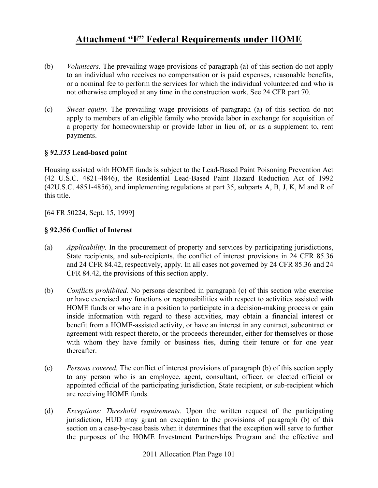- (b) *Volunteers.* The prevailing wage provisions of paragraph (a) of this section do not apply to an individual who receives no compensation or is paid expenses, reasonable benefits, or a nominal fee to perform the services for which the individual volunteered and who is not otherwise employed at any time in the construction work. See 24 CFR part 70.
- (c) *Sweat equity.* The prevailing wage provisions of paragraph (a) of this section do not apply to members of an eligible family who provide labor in exchange for acquisition of a property for homeownership or provide labor in lieu of, or as a supplement to, rent payments.

### **§** *92.355* **Lead-based paint**

Housing assisted with HOME funds is subject to the Lead-Based Paint Poisoning Prevention Act (42 U.S.C. 4821-4846), the Residential Lead-Based Paint Hazard Reduction Act of 1992 (42U.S.C. 4851-4856), and implementing regulations at part 35, subparts A, B, J, K, M and R of this title.

[64 FR 50224, Sept. 15, 1999]

### **§ 92.356 Conflict of Interest**

- (a) *Applicability.* In the procurement of property and services by participating jurisdictions, State recipients, and sub-recipients, the conflict of interest provisions in 24 CFR 85.36 and 24 CFR 84.42, respectively, apply. In all cases not governed by 24 CFR 85.36 and 24 CFR 84.42, the provisions of this section apply.
- (b) *Conflicts prohibited.* No persons described in paragraph (c) of this section who exercise or have exercised any functions or responsibilities with respect to activities assisted with HOME funds or who are in a position to participate in a decision-making process or gain inside information with regard to these activities, may obtain a financial interest or benefit from a HOME-assisted activity, or have an interest in any contract, subcontract or agreement with respect thereto, or the proceeds thereunder, either for themselves or those with whom they have family or business ties, during their tenure or for one year thereafter.
- (c) *Persons covered.* The conflict of interest provisions of paragraph (b) of this section apply to any person who is an employee, agent, consultant, officer, or elected official or appointed official of the participating jurisdiction, State recipient, or sub-recipient which are receiving HOME funds.
- (d) *Exceptions: Threshold requirements.* Upon the written request of the participating jurisdiction, HUD may grant an exception to the provisions of paragraph (b) of this section on a case-by-case basis when it determines that the exception will serve to further the purposes of the HOME Investment Partnerships Program and the effective and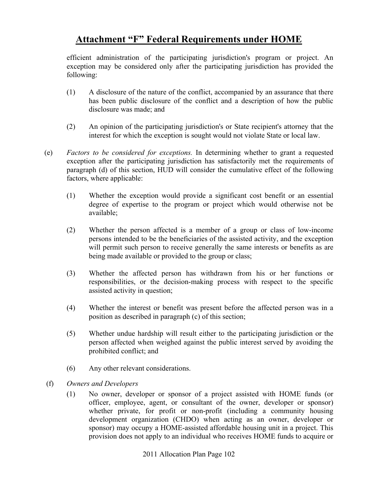efficient administration of the participating jurisdiction's program or project. An exception may be considered only after the participating jurisdiction has provided the following:

- (1) A disclosure of the nature of the conflict, accompanied by an assurance that there has been public disclosure of the conflict and a description of how the public disclosure was made; and
- (2) An opinion of the participating jurisdiction's or State recipient's attorney that the interest for which the exception is sought would not violate State or local law.
- (e) *Factors to be considered for exceptions.* In determining whether to grant a requested exception after the participating jurisdiction has satisfactorily met the requirements of paragraph (d) of this section, HUD will consider the cumulative effect of the following factors, where applicable:
	- (1) Whether the exception would provide a significant cost benefit or an essential degree of expertise to the program or project which would otherwise not be available;
	- (2) Whether the person affected is a member of a group or class of low-income persons intended to be the beneficiaries of the assisted activity, and the exception will permit such person to receive generally the same interests or benefits as are being made available or provided to the group or class;
	- (3) Whether the affected person has withdrawn from his or her functions or responsibilities, or the decision-making process with respect to the specific assisted activity in question;
	- (4) Whether the interest or benefit was present before the affected person was in a position as described in paragraph (c) of this section;
	- (5) Whether undue hardship will result either to the participating jurisdiction or the person affected when weighed against the public interest served by avoiding the prohibited conflict; and
	- (6) Any other relevant considerations.
- (f) *Owners and Developers* 
	- (1) No owner, developer or sponsor of a project assisted with HOME funds (or officer, employee, agent, or consultant of the owner, developer or sponsor) whether private, for profit or non-profit (including a community housing development organization (CHDO) when acting as an owner, developer or sponsor) may occupy a HOME-assisted affordable housing unit in a project. This provision does not apply to an individual who receives HOME funds to acquire or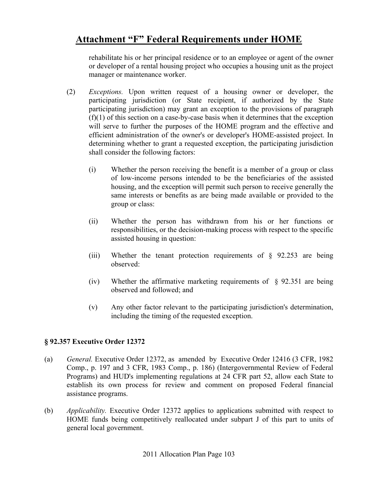rehabilitate his or her principal residence or to an employee or agent of the owner or developer of a rental housing project who occupies a housing unit as the project manager or maintenance worker.

- (2) *Exceptions.* Upon written request of a housing owner or developer, the participating jurisdiction (or State recipient, if authorized by the State participating jurisdiction) may grant an exception to the provisions of paragraph (f)(1) of this section on a case-by-case basis when it determines that the exception will serve to further the purposes of the HOME program and the effective and efficient administration of the owner's or developer's HOME-assisted project. In determining whether to grant a requested exception, the participating jurisdiction shall consider the following factors:
	- (i) Whether the person receiving the benefit is a member of a group or class of low-income persons intended to be the beneficiaries of the assisted housing, and the exception will permit such person to receive generally the same interests or benefits as are being made available or provided to the group or class:
	- (ii) Whether the person has withdrawn from his or her functions or responsibilities, or the decision-making process with respect to the specific assisted housing in question:
	- (iii) Whether the tenant protection requirements of  $\S$  92.253 are being observed:
	- (iv) Whether the affirmative marketing requirements of § 92.351 are being observed and followed; and
	- (v) Any other factor relevant to the participating jurisdiction's determination, including the timing of the requested exception.

### **§ 92.357 Executive Order 12372**

- (a) *General.* Executive Order 12372, as amended by Executive Order 12416 (3 CFR, 1982 Comp., p. 197 and 3 CFR, 1983 Comp., p. 186) (Intergovernmental Review of Federal Programs) and HUD's implementing regulations at 24 CFR part 52, allow each State to establish its own process for review and comment on proposed Federal financial assistance programs.
- (b) *Applicability.* Executive Order 12372 applies to applications submitted with respect to HOME funds being competitively reallocated under subpart J of this part to units of general local government.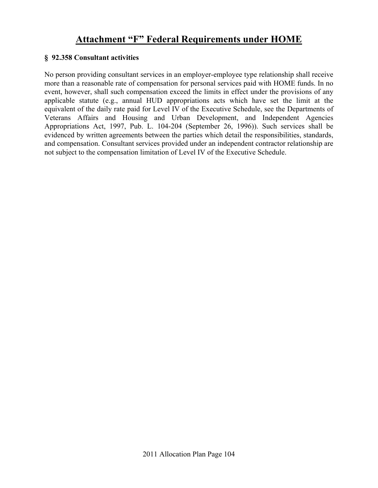### **§ 92.358 Consultant activities**

No person providing consultant services in an employer-employee type relationship shall receive more than a reasonable rate of compensation for personal services paid with HOME funds. In no event, however, shall such compensation exceed the limits in effect under the provisions of any applicable statute (e.g., annual HUD appropriations acts which have set the limit at the equivalent of the daily rate paid for Level IV of the Executive Schedule, see the Departments of Veterans Affairs and Housing and Urban Development, and Independent Agencies Appropriations Act, 1997, Pub. L. 104-204 (September 26, 1996)). Such services shall be evidenced by written agreements between the parties which detail the responsibilities, standards, and compensation. Consultant services provided under an independent contractor relationship are not subject to the compensation limitation of Level IV of the Executive Schedule.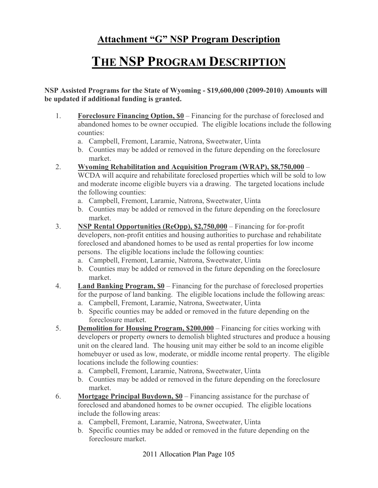# **THE NSP PROGRAM DESCRIPTION**

**NSP Assisted Programs for the State of Wyoming - \$19,600,000 (2009-2010) Amounts will be updated if additional funding is granted.** 

- 1. **Foreclosure Financing Option, \$0** Financing for the purchase of foreclosed and abandoned homes to be owner occupied. The eligible locations include the following counties:
	- a. Campbell, Fremont, Laramie, Natrona, Sweetwater, Uinta
	- b. Counties may be added or removed in the future depending on the foreclosure market.
- 2. **Wyoming Rehabilitation and Acquisition Program (WRAP), \$8,750,000** WCDA will acquire and rehabilitate foreclosed properties which will be sold to low and moderate income eligible buyers via a drawing. The targeted locations include the following counties:
	- a. Campbell, Fremont, Laramie, Natrona, Sweetwater, Uinta
	- b. Counties may be added or removed in the future depending on the foreclosure market.
- 3. **NSP Rental Opportunities (ReOpp), \$2,750,000** Financing for for-profit developers, non-profit entities and housing authorities to purchase and rehabilitate foreclosed and abandoned homes to be used as rental properties for low income persons. The eligible locations include the following counties:
	- a. Campbell, Fremont, Laramie, Natrona, Sweetwater, Uinta
	- b. Counties may be added or removed in the future depending on the foreclosure market.
- 4. **Land Banking Program, \$0** Financing for the purchase of foreclosed properties for the purpose of land banking. The eligible locations include the following areas:
	- a. Campbell, Fremont, Laramie, Natrona, Sweetwater, Uinta
	- b. Specific counties may be added or removed in the future depending on the foreclosure market.
- 5. **Demolition for Housing Program, \$200,000** Financing for cities working with developers or property owners to demolish blighted structures and produce a housing unit on the cleared land. The housing unit may either be sold to an income eligible homebuyer or used as low, moderate, or middle income rental property. The eligible locations include the following counties:
	- a. Campbell, Fremont, Laramie, Natrona, Sweetwater, Uinta
	- b. Counties may be added or removed in the future depending on the foreclosure market.
- 6. **Mortgage Principal Buydown, \$0** Financing assistance for the purchase of foreclosed and abandoned homes to be owner occupied. The eligible locations include the following areas:
	- a. Campbell, Fremont, Laramie, Natrona, Sweetwater, Uinta
	- b. Specific counties may be added or removed in the future depending on the foreclosure market.

2011 Allocation Plan Page 105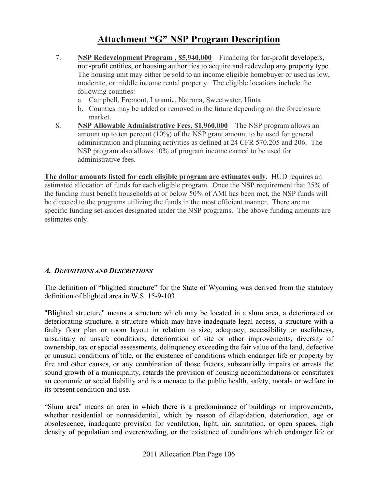- 7. **NSP Redevelopment Program , \$5,940,000** Financing for for-profit developers, non-profit entities, or housing authorities to acquire and redevelop any property type. The housing unit may either be sold to an income eligible homebuyer or used as low, moderate, or middle income rental property. The eligible locations include the following counties:
	- a. Campbell, Fremont, Laramie, Natrona, Sweetwater, Uinta
	- b. Counties may be added or removed in the future depending on the foreclosure market.
- 8. **NSP Allowable Administrative Fees, \$1,960,000** The NSP program allows an amount up to ten percent  $(10\%)$  of the NSP grant amount to be used for general administration and planning activities as defined at 24 CFR 570.205 and 206. The NSP program also allows 10% of program income earned to be used for administrative fees.

**The dollar amounts listed for each eligible program are estimates only**. HUD requires an estimated allocation of funds for each eligible program. Once the NSP requirement that 25% of the funding must benefit households at or below 50% of AMI has been met, the NSP funds will be directed to the programs utilizing the funds in the most efficient manner. There are no specific funding set-asides designated under the NSP programs. The above funding amounts are estimates only.

### *A. DEFINITIONS AND DESCRIPTIONS*

The definition of "blighted structure" for the State of Wyoming was derived from the statutory definition of blighted area in W.S. 15-9-103.

"Blighted structure" means a structure which may be located in a slum area, a deteriorated or deteriorating structure, a structure which may have inadequate legal access, a structure with a faulty floor plan or room layout in relation to size, adequacy, accessibility or usefulness, unsanitary or unsafe conditions, deterioration of site or other improvements, diversity of ownership, tax or special assessments, delinquency exceeding the fair value of the land, defective or unusual conditions of title, or the existence of conditions which endanger life or property by fire and other causes, or any combination of those factors, substantially impairs or arrests the sound growth of a municipality, retards the provision of housing accommodations or constitutes an economic or social liability and is a menace to the public health, safety, morals or welfare in its present condition and use.

"Slum area" means an area in which there is a predominance of buildings or improvements, whether residential or nonresidential, which by reason of dilapidation, deterioration, age or obsolescence, inadequate provision for ventilation, light, air, sanitation, or open spaces, high density of population and overcrowding, or the existence of conditions which endanger life or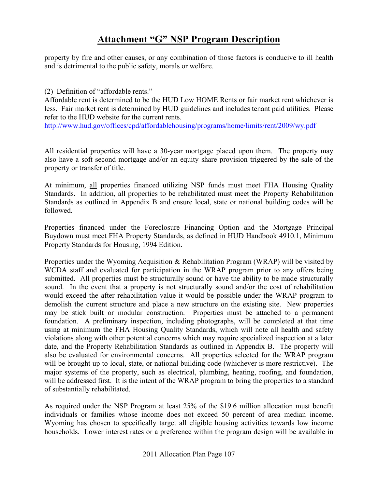property by fire and other causes, or any combination of those factors is conducive to ill health and is detrimental to the public safety, morals or welfare.

(2) Definition of "affordable rents."

Affordable rent is determined to be the HUD Low HOME Rents or fair market rent whichever is less. Fair market rent is determined by HUD guidelines and includes tenant paid utilities. Please refer to the HUD website for the current rents.

http://www.hud.gov/offices/cpd/affordablehousing/programs/home/limits/rent/2009/wy.pdf

All residential properties will have a 30-year mortgage placed upon them. The property may also have a soft second mortgage and/or an equity share provision triggered by the sale of the property or transfer of title.

At minimum, all properties financed utilizing NSP funds must meet FHA Housing Quality Standards. In addition, all properties to be rehabilitated must meet the Property Rehabilitation Standards as outlined in Appendix B and ensure local, state or national building codes will be followed.

Properties financed under the Foreclosure Financing Option and the Mortgage Principal Buydown must meet FHA Property Standards, as defined in HUD Handbook 4910.1, Minimum Property Standards for Housing, 1994 Edition.

Properties under the Wyoming Acquisition & Rehabilitation Program (WRAP) will be visited by WCDA staff and evaluated for participation in the WRAP program prior to any offers being submitted. All properties must be structurally sound or have the ability to be made structurally sound. In the event that a property is not structurally sound and/or the cost of rehabilitation would exceed the after rehabilitation value it would be possible under the WRAP program to demolish the current structure and place a new structure on the existing site. New properties may be stick built or modular construction. Properties must be attached to a permanent foundation. A preliminary inspection, including photographs, will be completed at that time using at minimum the FHA Housing Quality Standards, which will note all health and safety violations along with other potential concerns which may require specialized inspection at a later date, and the Property Rehabilitation Standards as outlined in Appendix B. The property will also be evaluated for environmental concerns. All properties selected for the WRAP program will be brought up to local, state, or national building code (whichever is more restrictive). The major systems of the property, such as electrical, plumbing, heating, roofing, and foundation, will be addressed first. It is the intent of the WRAP program to bring the properties to a standard of substantially rehabilitated.

As required under the NSP Program at least 25% of the \$19.6 million allocation must benefit individuals or families whose income does not exceed 50 percent of area median income. Wyoming has chosen to specifically target all eligible housing activities towards low income households. Lower interest rates or a preference within the program design will be available in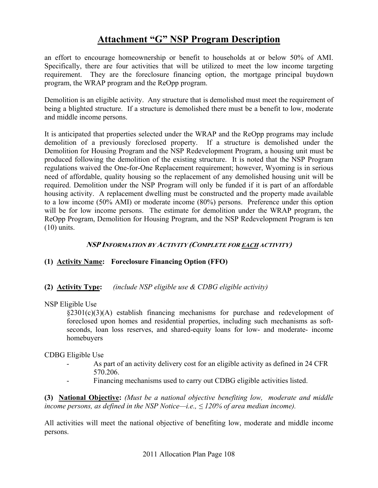an effort to encourage homeownership or benefit to households at or below 50% of AMI. Specifically, there are four activities that will be utilized to meet the low income targeting requirement. They are the foreclosure financing option, the mortgage principal buydown program, the WRAP program and the ReOpp program.

Demolition is an eligible activity. Any structure that is demolished must meet the requirement of being a blighted structure. If a structure is demolished there must be a benefit to low, moderate and middle income persons.

It is anticipated that properties selected under the WRAP and the ReOpp programs may include demolition of a previously foreclosed property. If a structure is demolished under the Demolition for Housing Program and the NSP Redevelopment Program, a housing unit must be produced following the demolition of the existing structure. It is noted that the NSP Program regulations waived the One-for-One Replacement requirement; however, Wyoming is in serious need of affordable, quality housing so the replacement of any demolished housing unit will be required. Demolition under the NSP Program will only be funded if it is part of an affordable housing activity. A replacement dwelling must be constructed and the property made available to a low income (50% AMI) or moderate income (80%) persons. Preference under this option will be for low income persons. The estimate for demolition under the WRAP program, the ReOpp Program, Demolition for Housing Program, and the NSP Redevelopment Program is ten (10) units.

### **NSP INFORMATION BY ACTIVITY (COMPLETE FOR EACH ACTIVITY)**

### **(1) Activity Name: Foreclosure Financing Option (FFO)**

### **(2) Activity Type:** *(include NSP eligible use & CDBG eligible activity)*

NSP Eligible Use

 $\S2301(c)(3)(A)$  establish financing mechanisms for purchase and redevelopment of foreclosed upon homes and residential properties, including such mechanisms as softseconds, loan loss reserves, and shared-equity loans for low- and moderate- income homebuyers

#### CDBG Eligible Use

- As part of an activity delivery cost for an eligible activity as defined in 24 CFR 570.206.
- Financing mechanisms used to carry out CDBG eligible activities listed.

**(3) National Objective:** *(Must be a national objective benefiting low, moderate and middle income persons, as defined in the NSP Notice—i.e.,*  $\leq$  120% of area median income).

All activities will meet the national objective of benefiting low, moderate and middle income persons.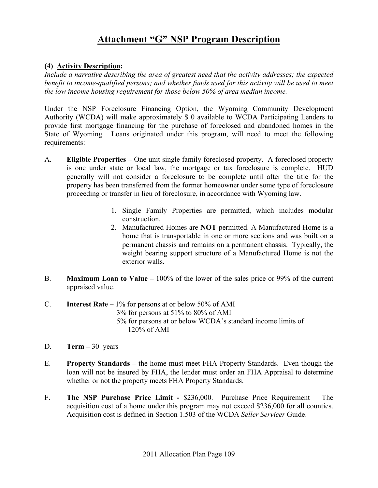### **(4) Activity Description:**

*Include a narrative describing the area of greatest need that the activity addresses; the expected benefit to income-qualified persons; and whether funds used for this activity will be used to meet the low income housing requirement for those below 50% of area median income.* 

Under the NSP Foreclosure Financing Option, the Wyoming Community Development Authority (WCDA) will make approximately \$ 0 available to WCDA Participating Lenders to provide first mortgage financing for the purchase of foreclosed and abandoned homes in the State of Wyoming. Loans originated under this program, will need to meet the following requirements:

- A. **Eligible Properties –** One unit single family foreclosed property. A foreclosed property is one under state or local law, the mortgage or tax foreclosure is complete. HUD generally will not consider a foreclosure to be complete until after the title for the property has been transferred from the former homeowner under some type of foreclosure proceeding or transfer in lieu of foreclosure, in accordance with Wyoming law.
	- 1. Single Family Properties are permitted, which includes modular construction.
	- 2. Manufactured Homes are **NOT** permitted. A Manufactured Home is a home that is transportable in one or more sections and was built on a permanent chassis and remains on a permanent chassis. Typically, the weight bearing support structure of a Manufactured Home is not the exterior walls.
- B. **Maximum Loan to Value** 100% of the lower of the sales price or 99% of the current appraised value.
- C. **Interest Rate** 1% for persons at or below 50% of AMI 3% for persons at 51% to 80% of AMI 5% for persons at or below WCDA's standard income limits of 120% of AMI
- D. **Term –** 30 years
- E. **Property Standards –** the home must meet FHA Property Standards. Even though the loan will not be insured by FHA, the lender must order an FHA Appraisal to determine whether or not the property meets FHA Property Standards.
- F. **The NSP Purchase Price Limit -** \$236,000. Purchase Price Requirement The acquisition cost of a home under this program may not exceed \$236,000 for all counties. Acquisition cost is defined in Section 1.503 of the WCDA *Seller Servicer* Guide.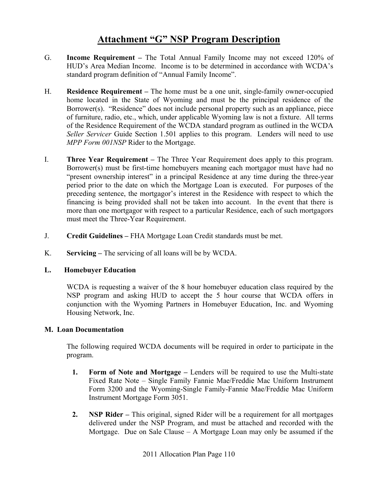- G. **Income Requirement –** The Total Annual Family Income may not exceed 120% of HUD's Area Median Income. Income is to be determined in accordance with WCDA's standard program definition of "Annual Family Income".
- H. **Residence Requirement –** The home must be a one unit, single-family owner-occupied home located in the State of Wyoming and must be the principal residence of the Borrower(s). "Residence" does not include personal property such as an appliance, piece of furniture, radio, etc., which, under applicable Wyoming law is not a fixture. All terms of the Residence Requirement of the WCDA standard program as outlined in the WCDA *Seller Servicer* Guide Section 1.501 applies to this program. Lenders will need to use *MPP Form 001NSP* Rider to the Mortgage.
- I. **Three Year Requirement** The Three Year Requirement does apply to this program. Borrower(s) must be first-time homebuyers meaning each mortgagor must have had no "present ownership interest" in a principal Residence at any time during the three-year period prior to the date on which the Mortgage Loan is executed. For purposes of the preceding sentence, the mortgagor's interest in the Residence with respect to which the financing is being provided shall not be taken into account. In the event that there is more than one mortgagor with respect to a particular Residence, each of such mortgagors must meet the Three-Year Requirement.
- J. **Credit Guidelines** FHA Mortgage Loan Credit standards must be met.
- K. **Servicing –** The servicing of all loans will be by WCDA.

### **L. Homebuyer Education**

WCDA is requesting a waiver of the 8 hour homebuyer education class required by the NSP program and asking HUD to accept the 5 hour course that WCDA offers in conjunction with the Wyoming Partners in Homebuyer Education, Inc. and Wyoming Housing Network, Inc.

### **M. Loan Documentation**

The following required WCDA documents will be required in order to participate in the program.

- **1. Form of Note and Mortgage** Lenders will be required to use the Multi-state Fixed Rate Note – Single Family Fannie Mae/Freddie Mac Uniform Instrument Form 3200 and the Wyoming-Single Family-Fannie Mae/Freddie Mac Uniform Instrument Mortgage Form 3051.
- **2. NSP Rider** This original, signed Rider will be a requirement for all mortgages delivered under the NSP Program, and must be attached and recorded with the Mortgage. Due on Sale Clause – A Mortgage Loan may only be assumed if the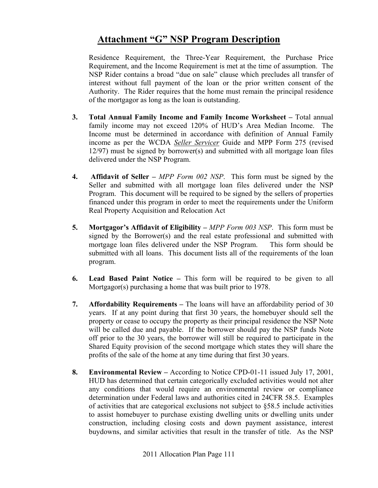Residence Requirement, the Three-Year Requirement, the Purchase Price Requirement, and the Income Requirement is met at the time of assumption. The NSP Rider contains a broad "due on sale" clause which precludes all transfer of interest without full payment of the loan or the prior written consent of the Authority. The Rider requires that the home must remain the principal residence of the mortgagor as long as the loan is outstanding.

- **3. Total Annual Family Income and Family Income Worksheet** Total annual family income may not exceed 120% of HUD's Area Median Income. The Income must be determined in accordance with definition of Annual Family income as per the WCDA *Seller Servicer* Guide and MPP Form 275 (revised 12/97) must be signed by borrower(s) and submitted with all mortgage loan files delivered under the NSP Program.
- **4. Affidavit of Seller –** *MPP Form 002 NSP*. This form must be signed by the Seller and submitted with all mortgage loan files delivered under the NSP Program. This document will be required to be signed by the sellers of properties financed under this program in order to meet the requirements under the Uniform Real Property Acquisition and Relocation Act
- **5. Mortgagor's Affidavit of Eligibility –** *MPP Form 003 NSP*. This form must be signed by the Borrower(s) and the real estate professional and submitted with mortgage loan files delivered under the NSP Program. This form should be submitted with all loans. This document lists all of the requirements of the loan program.
- **6. Lead Based Paint Notice –** This form will be required to be given to all Mortgagor(s) purchasing a home that was built prior to 1978.
- **7. Affordability Requirements** The loans will have an affordability period of 30 years. If at any point during that first 30 years, the homebuyer should sell the property or cease to occupy the property as their principal residence the NSP Note will be called due and payable. If the borrower should pay the NSP funds Note off prior to the 30 years, the borrower will still be required to participate in the Shared Equity provision of the second mortgage which states they will share the profits of the sale of the home at any time during that first 30 years.
- **8. Environmental Review** According to Notice CPD-01-11 issued July 17, 2001, HUD has determined that certain categorically excluded activities would not alter any conditions that would require an environmental review or compliance determination under Federal laws and authorities cited in 24CFR 58.5. Examples of activities that are categorical exclusions not subject to §58.5 include activities to assist homebuyer to purchase existing dwelling units or dwelling units under construction, including closing costs and down payment assistance, interest buydowns, and similar activities that result in the transfer of title. As the NSP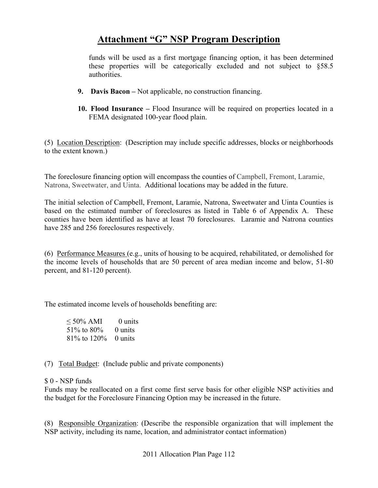funds will be used as a first mortgage financing option, it has been determined these properties will be categorically excluded and not subject to §58.5 authorities.

- **9. Davis Bacon** Not applicable, no construction financing.
- **10. Flood Insurance** Flood Insurance will be required on properties located in a FEMA designated 100-year flood plain.

(5) Location Description: (Description may include specific addresses, blocks or neighborhoods to the extent known.)

The foreclosure financing option will encompass the counties of Campbell, Fremont, Laramie, Natrona, Sweetwater, and Uinta. Additional locations may be added in the future.

The initial selection of Campbell, Fremont, Laramie, Natrona, Sweetwater and Uinta Counties is based on the estimated number of foreclosures as listed in Table 6 of Appendix A. These counties have been identified as have at least 70 foreclosures. Laramie and Natrona counties have 285 and 256 foreclosures respectively.

(6) Performance Measures (e.g., units of housing to be acquired, rehabilitated, or demolished for the income levels of households that are 50 percent of area median income and below, 51-80 percent, and 81-120 percent).

The estimated income levels of households benefiting are:

| $\leq 50\%$ AMI           | 0 units   |
|---------------------------|-----------|
| $51\%$ to 80%             | $0$ units |
| $81\%$ to $120\%$ 0 units |           |

(7) Total Budget: (Include public and private components)

### \$ 0 - NSP funds

Funds may be reallocated on a first come first serve basis for other eligible NSP activities and the budget for the Foreclosure Financing Option may be increased in the future.

(8) Responsible Organization: (Describe the responsible organization that will implement the NSP activity, including its name, location, and administrator contact information)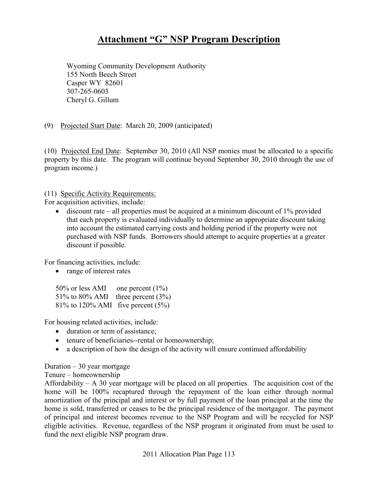Wyoming Community Development Authority 155 North Beech Street Casper WY 82601 307-265-0603 Cheryl G. Gillum

(9) Projected Start Date: March 20, 2009 (anticipated)

(10) Projected End Date: September 30, 2010 (All NSP monies must be allocated to a specific property by this date. The program will continue beyond September 30, 2010 through the use of program income.)

(11) Specific Activity Requirements:

For acquisition activities, include:

• discount rate – all properties must be acquired at a minimum discount of  $1\%$  provided that each property is evaluated individually to determine an appropriate discount taking into account the estimated carrying costs and holding period if the property were not purchased with NSP funds. Borrowers should attempt to acquire properties at a greater discount if possible.

For financing activities, include:

• range of interest rates

50% or less AMI one percent (1%) 51% to 80% AMI three percent (3%) 81% to 120% AMI five percent (5%)

For housing related activities, include:

- duration or term of assistance;
- tenure of beneficiaries--rental or homeownership;
- a description of how the design of the activity will ensure continued affordability

Duration  $-30$  year mortgage

Tenure – homeownership

Affordability – A 30 year mortgage will be placed on all properties. The acquisition cost of the home will be 100% recaptured through the repayment of the loan either through normal amortization of the principal and interest or by full payment of the loan principal at the time the home is sold, transferred or ceases to be the principal residence of the mortgagor. The payment of principal and interest becomes revenue to the NSP Program and will be recycled for NSP eligible activities. Revenue, regardless of the NSP program it originated from must be used to fund the next eligible NSP program draw.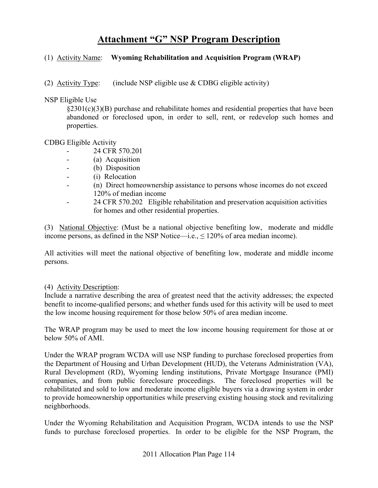### (1) Activity Name: **Wyoming Rehabilitation and Acquisition Program (WRAP)**

(2) Activity Type: (include NSP eligible use  $&$  CDBG eligible activity)

NSP Eligible Use

 $\S2301(c)(3)(B)$  purchase and rehabilitate homes and residential properties that have been abandoned or foreclosed upon, in order to sell, rent, or redevelop such homes and properties.

#### CDBG Eligible Activity

- 24 CFR 570.201
- (a) Acquisition
- (b) Disposition
- (i) Relocation
- (n) Direct homeownership assistance to persons whose incomes do not exceed 120% of median income
- 24 CFR 570.202 Eligible rehabilitation and preservation acquisition activities for homes and other residential properties.

(3) National Objective: (Must be a national objective benefiting low, moderate and middle income persons, as defined in the NSP Notice—i.e.,  $\leq 120\%$  of area median income).

All activities will meet the national objective of benefiting low, moderate and middle income persons.

### (4) Activity Description:

Include a narrative describing the area of greatest need that the activity addresses; the expected benefit to income-qualified persons; and whether funds used for this activity will be used to meet the low income housing requirement for those below 50% of area median income.

The WRAP program may be used to meet the low income housing requirement for those at or below 50% of AMI.

Under the WRAP program WCDA will use NSP funding to purchase foreclosed properties from the Department of Housing and Urban Development (HUD), the Veterans Administration (VA), Rural Development (RD), Wyoming lending institutions, Private Mortgage Insurance (PMI) companies, and from public foreclosure proceedings. The foreclosed properties will be rehabilitated and sold to low and moderate income eligible buyers via a drawing system in order to provide homeownership opportunities while preserving existing housing stock and revitalizing neighborhoods.

Under the Wyoming Rehabilitation and Acquisition Program, WCDA intends to use the NSP funds to purchase foreclosed properties. In order to be eligible for the NSP Program, the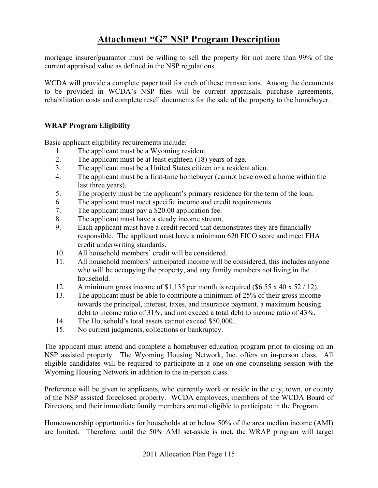mortgage insurer/guarantor must be willing to sell the property for not more than 99% of the current appraised value as defined in the NSP regulations.

WCDA will provide a complete paper trail for each of these transactions. Among the documents to be provided in WCDA's NSP files will be current appraisals, purchase agreements, rehabilitation costs and complete resell documents for the sale of the property to the homebuyer.

### **WRAP Program Eligibility**

Basic applicant eligibility requirements include:

- 1. The applicant must be a Wyoming resident.
- 2. The applicant must be at least eighteen (18) years of age.
- 3. The applicant must be a United States citizen or a resident alien.
- 4. The applicant must be a first-time homebuyer (cannot have owed a home within the last three years).
- 5. The property must be the applicant's primary residence for the term of the loan.
- 6. The applicant must meet specific income and credit requirements.
- 7. The applicant must pay a \$20.00 application fee.
- 8. The applicant must have a steady income stream.
- 9. Each applicant must have a credit record that demonstrates they are financially responsible. The applicant must have a minimum 620 FICO score and meet FHA credit underwriting standards.
- 10. All household members' credit will be considered.
- 11. All household members' anticipated income will be considered, this includes anyone who will be occupying the property, and any family members not living in the household.
- 12. A minimum gross income of \$1,135 per month is required (\$6.55 x 40 x 52 / 12).
- 13. The applicant must be able to contribute a minimum of 25% of their gross income towards the principal, interest, taxes, and insurance payment, a maximum housing debt to income ratio of 31%, and not exceed a total debt to income ratio of 43%.
- 14. The Household's total assets cannot exceed \$50,000.
- 15. No current judgments, collections or bankruptcy.

The applicant must attend and complete a homebuyer education program prior to closing on an NSP assisted property. The Wyoming Housing Network, Inc. offers an in-person class. All eligible candidates will be required to participate in a one-on-one counseling session with the Wyoming Housing Network in addition to the in-person class.

Preference will be given to applicants, who currently work or reside in the city, town, or county of the NSP assisted foreclosed property. WCDA employees, members of the WCDA Board of Directors, and their immediate family members are not eligible to participate in the Program.

Homeownership opportunities for households at or below 50% of the area median income (AMI) are limited. Therefore, until the 50% AMI set-aside is met, the WRAP program will target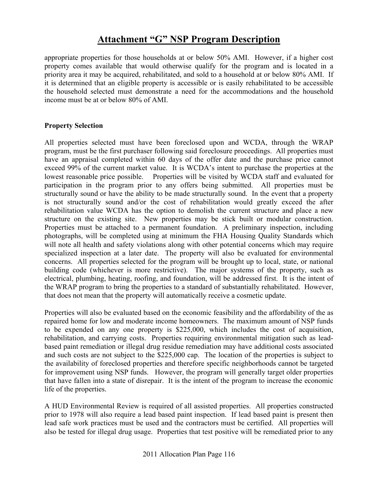appropriate properties for those households at or below 50% AMI. However, if a higher cost property comes available that would otherwise qualify for the program and is located in a priority area it may be acquired, rehabilitated, and sold to a household at or below 80% AMI. If it is determined that an eligible property is accessible or is easily rehabilitated to be accessible the household selected must demonstrate a need for the accommodations and the household income must be at or below 80% of AMI.

### **Property Selection**

All properties selected must have been foreclosed upon and WCDA, through the WRAP program, must be the first purchaser following said foreclosure proceedings. All properties must have an appraisal completed within 60 days of the offer date and the purchase price cannot exceed 99% of the current market value. It is WCDA's intent to purchase the properties at the lowest reasonable price possible. Properties will be visited by WCDA staff and evaluated for participation in the program prior to any offers being submitted. All properties must be structurally sound or have the ability to be made structurally sound. In the event that a property is not structurally sound and/or the cost of rehabilitation would greatly exceed the after rehabilitation value WCDA has the option to demolish the current structure and place a new structure on the existing site. New properties may be stick built or modular construction. Properties must be attached to a permanent foundation. A preliminary inspection, including photographs, will be completed using at minimum the FHA Housing Quality Standards which will note all health and safety violations along with other potential concerns which may require specialized inspection at a later date. The property will also be evaluated for environmental concerns. All properties selected for the program will be brought up to local, state, or national building code (whichever is more restrictive). The major systems of the property, such as electrical, plumbing, heating, roofing, and foundation, will be addressed first. It is the intent of the WRAP program to bring the properties to a standard of substantially rehabilitated. However, that does not mean that the property will automatically receive a cosmetic update.

Properties will also be evaluated based on the economic feasibility and the affordability of the as repaired home for low and moderate income homeowners. The maximum amount of NSP funds to be expended on any one property is \$225,000, which includes the cost of acquisition, rehabilitation, and carrying costs. Properties requiring environmental mitigation such as leadbased paint remediation or illegal drug residue remediation may have additional costs associated and such costs are not subject to the \$225,000 cap. The location of the properties is subject to the availability of foreclosed properties and therefore specific neighborhoods cannot be targeted for improvement using NSP funds. However, the program will generally target older properties that have fallen into a state of disrepair. It is the intent of the program to increase the economic life of the properties.

A HUD Environmental Review is required of all assisted properties. All properties constructed prior to 1978 will also require a lead based paint inspection. If lead based paint is present then lead safe work practices must be used and the contractors must be certified. All properties will also be tested for illegal drug usage. Properties that test positive will be remediated prior to any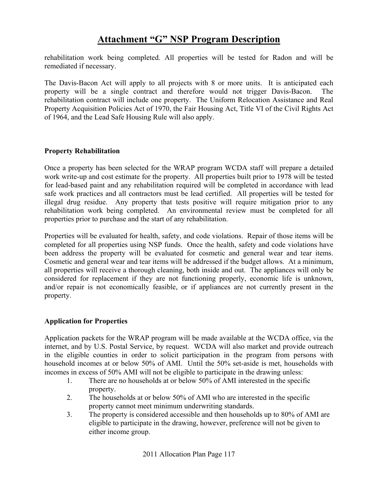rehabilitation work being completed. All properties will be tested for Radon and will be remediated if necessary.

The Davis-Bacon Act will apply to all projects with 8 or more units. It is anticipated each property will be a single contract and therefore would not trigger Davis-Bacon. The rehabilitation contract will include one property. The Uniform Relocation Assistance and Real Property Acquisition Policies Act of 1970, the Fair Housing Act, Title VI of the Civil Rights Act of 1964, and the Lead Safe Housing Rule will also apply.

### **Property Rehabilitation**

Once a property has been selected for the WRAP program WCDA staff will prepare a detailed work write-up and cost estimate for the property. All properties built prior to 1978 will be tested for lead-based paint and any rehabilitation required will be completed in accordance with lead safe work practices and all contractors must be lead certified. All properties will be tested for illegal drug residue. Any property that tests positive will require mitigation prior to any rehabilitation work being completed. An environmental review must be completed for all properties prior to purchase and the start of any rehabilitation.

Properties will be evaluated for health, safety, and code violations. Repair of those items will be completed for all properties using NSP funds. Once the health, safety and code violations have been address the property will be evaluated for cosmetic and general wear and tear items. Cosmetic and general wear and tear items will be addressed if the budget allows. At a minimum, all properties will receive a thorough cleaning, both inside and out. The appliances will only be considered for replacement if they are not functioning properly, economic life is unknown, and/or repair is not economically feasible, or if appliances are not currently present in the property.

### **Application for Properties**

Application packets for the WRAP program will be made available at the WCDA office, via the internet, and by U.S. Postal Service, by request. WCDA will also market and provide outreach in the eligible counties in order to solicit participation in the program from persons with household incomes at or below 50% of AMI. Until the 50% set-aside is met, households with incomes in excess of 50% AMI will not be eligible to participate in the drawing unless:

- 1. There are no households at or below 50% of AMI interested in the specific property.
- 2. The households at or below 50% of AMI who are interested in the specific property cannot meet minimum underwriting standards.
- 3. The property is considered accessible and then households up to 80% of AMI are eligible to participate in the drawing, however, preference will not be given to either income group.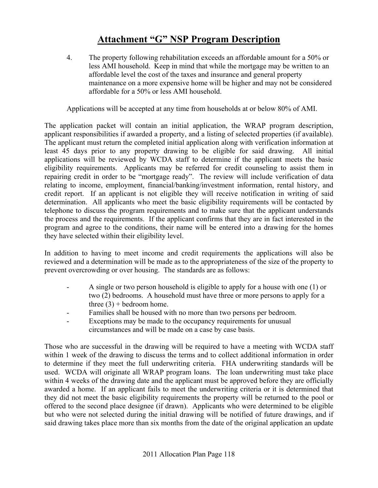4. The property following rehabilitation exceeds an affordable amount for a 50% or less AMI household. Keep in mind that while the mortgage may be written to an affordable level the cost of the taxes and insurance and general property maintenance on a more expensive home will be higher and may not be considered affordable for a 50% or less AMI household.

Applications will be accepted at any time from households at or below 80% of AMI.

The application packet will contain an initial application, the WRAP program description, applicant responsibilities if awarded a property, and a listing of selected properties (if available). The applicant must return the completed initial application along with verification information at least 45 days prior to any property drawing to be eligible for said drawing. All initial applications will be reviewed by WCDA staff to determine if the applicant meets the basic eligibility requirements. Applicants may be referred for credit counseling to assist them in repairing credit in order to be "mortgage ready". The review will include verification of data relating to income, employment, financial/banking/investment information, rental history, and credit report. If an applicant is not eligible they will receive notification in writing of said determination. All applicants who meet the basic eligibility requirements will be contacted by telephone to discuss the program requirements and to make sure that the applicant understands the process and the requirements. If the applicant confirms that they are in fact interested in the program and agree to the conditions, their name will be entered into a drawing for the homes they have selected within their eligibility level.

In addition to having to meet income and credit requirements the applications will also be reviewed and a determination will be made as to the appropriateness of the size of the property to prevent overcrowding or over housing. The standards are as follows:

- A single or two person household is eligible to apply for a house with one (1) or two (2) bedrooms. A household must have three or more persons to apply for a three  $(3)$  + bedroom home.
- Families shall be housed with no more than two persons per bedroom.
- Exceptions may be made to the occupancy requirements for unusual circumstances and will be made on a case by case basis.

Those who are successful in the drawing will be required to have a meeting with WCDA staff within 1 week of the drawing to discuss the terms and to collect additional information in order to determine if they meet the full underwriting criteria. FHA underwriting standards will be used. WCDA will originate all WRAP program loans. The loan underwriting must take place within 4 weeks of the drawing date and the applicant must be approved before they are officially awarded a home. If an applicant fails to meet the underwriting criteria or it is determined that they did not meet the basic eligibility requirements the property will be returned to the pool or offered to the second place designee (if drawn). Applicants who were determined to be eligible but who were not selected during the initial drawing will be notified of future drawings, and if said drawing takes place more than six months from the date of the original application an update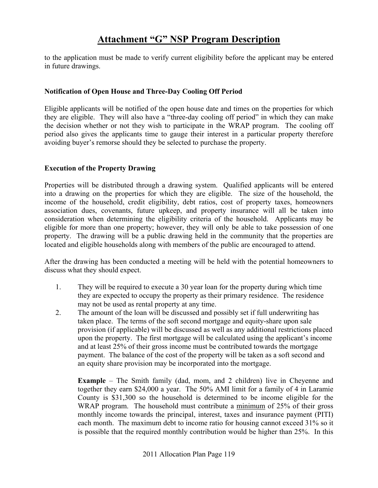to the application must be made to verify current eligibility before the applicant may be entered in future drawings.

### **Notification of Open House and Three-Day Cooling Off Period**

Eligible applicants will be notified of the open house date and times on the properties for which they are eligible. They will also have a "three-day cooling off period" in which they can make the decision whether or not they wish to participate in the WRAP program. The cooling off period also gives the applicants time to gauge their interest in a particular property therefore avoiding buyer's remorse should they be selected to purchase the property.

### **Execution of the Property Drawing**

Properties will be distributed through a drawing system. Qualified applicants will be entered into a drawing on the properties for which they are eligible. The size of the household, the income of the household, credit eligibility, debt ratios, cost of property taxes, homeowners association dues, covenants, future upkeep, and property insurance will all be taken into consideration when determining the eligibility criteria of the household. Applicants may be eligible for more than one property; however, they will only be able to take possession of one property. The drawing will be a public drawing held in the community that the properties are located and eligible households along with members of the public are encouraged to attend.

After the drawing has been conducted a meeting will be held with the potential homeowners to discuss what they should expect.

- 1. They will be required to execute a 30 year loan for the property during which time they are expected to occupy the property as their primary residence. The residence may not be used as rental property at any time.
- 2. The amount of the loan will be discussed and possibly set if full underwriting has taken place. The terms of the soft second mortgage and equity-share upon sale provision (if applicable) will be discussed as well as any additional restrictions placed upon the property. The first mortgage will be calculated using the applicant's income and at least 25% of their gross income must be contributed towards the mortgage payment. The balance of the cost of the property will be taken as a soft second and an equity share provision may be incorporated into the mortgage.

**Example** – The Smith family (dad, mom, and 2 children) live in Cheyenne and together they earn \$24,000 a year. The 50% AMI limit for a family of 4 in Laramie County is \$31,300 so the household is determined to be income eligible for the WRAP program. The household must contribute a minimum of 25% of their gross monthly income towards the principal, interest, taxes and insurance payment (PITI) each month. The maximum debt to income ratio for housing cannot exceed 31% so it is possible that the required monthly contribution would be higher than 25%. In this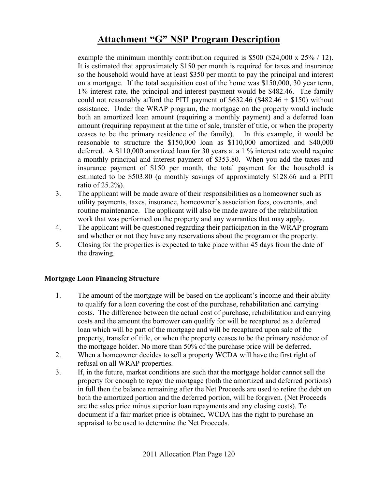example the minimum monthly contribution required is \$500 (\$24,000 x 25% / 12). It is estimated that approximately \$150 per month is required for taxes and insurance so the household would have at least \$350 per month to pay the principal and interest on a mortgage. If the total acquisition cost of the home was \$150,000, 30 year term, 1% interest rate, the principal and interest payment would be \$482.46. The family could not reasonably afford the PITI payment of  $$632.46 ($482.46 + $150)$  without assistance. Under the WRAP program, the mortgage on the property would include both an amortized loan amount (requiring a monthly payment) and a deferred loan amount (requiring repayment at the time of sale, transfer of title, or when the property ceases to be the primary residence of the family). In this example, it would be reasonable to structure the \$150,000 loan as \$110,000 amortized and \$40,000 deferred. A \$110,000 amortized loan for 30 years at a 1 % interest rate would require a monthly principal and interest payment of \$353.80. When you add the taxes and insurance payment of \$150 per month, the total payment for the household is estimated to be \$503.80 (a monthly savings of approximately \$128.66 and a PITI ratio of 25.2%).

- 3. The applicant will be made aware of their responsibilities as a homeowner such as utility payments, taxes, insurance, homeowner's association fees, covenants, and routine maintenance. The applicant will also be made aware of the rehabilitation work that was performed on the property and any warranties that may apply.
- 4. The applicant will be questioned regarding their participation in the WRAP program and whether or not they have any reservations about the program or the property.
- 5. Closing for the properties is expected to take place within 45 days from the date of the drawing.

### **Mortgage Loan Financing Structure**

- 1. The amount of the mortgage will be based on the applicant's income and their ability to qualify for a loan covering the cost of the purchase, rehabilitation and carrying costs. The difference between the actual cost of purchase, rehabilitation and carrying costs and the amount the borrower can qualify for will be recaptured as a deferred loan which will be part of the mortgage and will be recaptured upon sale of the property, transfer of title, or when the property ceases to be the primary residence of the mortgage holder. No more than 50% of the purchase price will be deferred.
- 2. When a homeowner decides to sell a property WCDA will have the first right of refusal on all WRAP properties.
- 3. If, in the future, market conditions are such that the mortgage holder cannot sell the property for enough to repay the mortgage (both the amortized and deferred portions) in full then the balance remaining after the Net Proceeds are used to retire the debt on both the amortized portion and the deferred portion, will be forgiven. (Net Proceeds are the sales price minus superior loan repayments and any closing costs). To document if a fair market price is obtained, WCDA has the right to purchase an appraisal to be used to determine the Net Proceeds.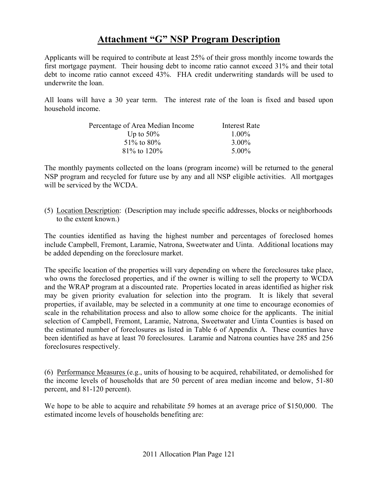Applicants will be required to contribute at least 25% of their gross monthly income towards the first mortgage payment. Their housing debt to income ratio cannot exceed 31% and their total debt to income ratio cannot exceed 43%. FHA credit underwriting standards will be used to underwrite the loan.

All loans will have a 30 year term. The interest rate of the loan is fixed and based upon household income.

| Percentage of Area Median Income | Interest Rate |
|----------------------------------|---------------|
| Up to $50\%$                     | $1.00\%$      |
| $51\%$ to 80%                    | $3.00\%$      |
| 81\% to 120\%                    | 5.00%         |

The monthly payments collected on the loans (program income) will be returned to the general NSP program and recycled for future use by any and all NSP eligible activities. All mortgages will be serviced by the WCDA.

(5) Location Description: (Description may include specific addresses, blocks or neighborhoods to the extent known.)

The counties identified as having the highest number and percentages of foreclosed homes include Campbell, Fremont, Laramie, Natrona, Sweetwater and Uinta. Additional locations may be added depending on the foreclosure market.

The specific location of the properties will vary depending on where the foreclosures take place, who owns the foreclosed properties, and if the owner is willing to sell the property to WCDA and the WRAP program at a discounted rate. Properties located in areas identified as higher risk may be given priority evaluation for selection into the program. It is likely that several properties, if available, may be selected in a community at one time to encourage economies of scale in the rehabilitation process and also to allow some choice for the applicants. The initial selection of Campbell, Fremont, Laramie, Natrona, Sweetwater and Uinta Counties is based on the estimated number of foreclosures as listed in Table 6 of Appendix A. These counties have been identified as have at least 70 foreclosures. Laramie and Natrona counties have 285 and 256 foreclosures respectively.

(6) Performance Measures (e.g., units of housing to be acquired, rehabilitated, or demolished for the income levels of households that are 50 percent of area median income and below, 51-80 percent, and 81-120 percent).

We hope to be able to acquire and rehabilitate 59 homes at an average price of \$150,000. The estimated income levels of households benefiting are: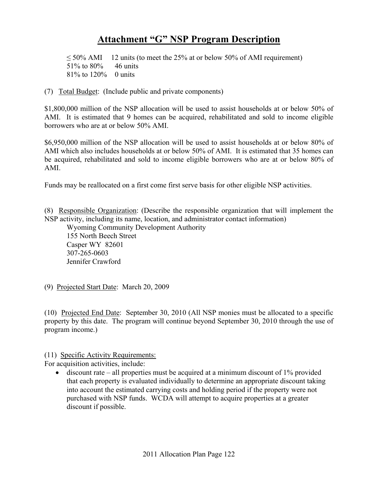$\leq$  50% AMI 12 units (to meet the 25% at or below 50% of AMI requirement) 51% to 80% 46 units 81% to 120% 0 units

(7) Total Budget: (Include public and private components)

\$1,800,000 million of the NSP allocation will be used to assist households at or below 50% of AMI. It is estimated that 9 homes can be acquired, rehabilitated and sold to income eligible borrowers who are at or below 50% AMI.

\$6,950,000 million of the NSP allocation will be used to assist households at or below 80% of AMI which also includes households at or below 50% of AMI. It is estimated that 35 homes can be acquired, rehabilitated and sold to income eligible borrowers who are at or below 80% of AMI.

Funds may be reallocated on a first come first serve basis for other eligible NSP activities.

(8) Responsible Organization: (Describe the responsible organization that will implement the NSP activity, including its name, location, and administrator contact information)

Wyoming Community Development Authority 155 North Beech Street Casper WY 82601 307-265-0603 Jennifer Crawford

(9) Projected Start Date: March 20, 2009

(10) Projected End Date: September 30, 2010 (All NSP monies must be allocated to a specific property by this date. The program will continue beyond September 30, 2010 through the use of program income.)

(11) Specific Activity Requirements:

For acquisition activities, include:

• discount rate – all properties must be acquired at a minimum discount of  $1\%$  provided that each property is evaluated individually to determine an appropriate discount taking into account the estimated carrying costs and holding period if the property were not purchased with NSP funds. WCDA will attempt to acquire properties at a greater discount if possible.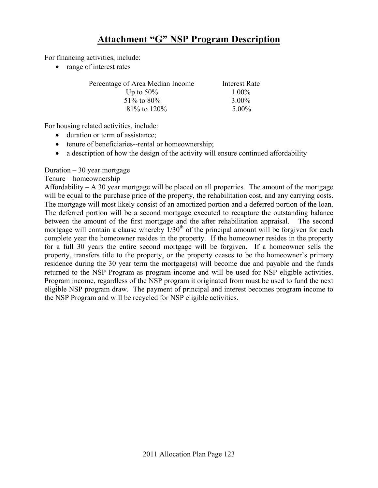For financing activities, include:

• range of interest rates

| Percentage of Area Median Income | Interest Rate |
|----------------------------------|---------------|
| Up to $50\%$                     | $1.00\%$      |
| $51\%$ to 80%                    | $3.00\%$      |
| $81\%$ to $120\%$                | $5.00\%$      |

For housing related activities, include:

- duration or term of assistance;
- tenure of beneficiaries--rental or homeownership;
- a description of how the design of the activity will ensure continued affordability

Duration  $-30$  year mortgage

Tenure – homeownership

Affordability – A 30 year mortgage will be placed on all properties. The amount of the mortgage will be equal to the purchase price of the property, the rehabilitation cost, and any carrying costs. The mortgage will most likely consist of an amortized portion and a deferred portion of the loan. The deferred portion will be a second mortgage executed to recapture the outstanding balance between the amount of the first mortgage and the after rehabilitation appraisal. The second mortgage will contain a clause whereby  $1/30<sup>th</sup>$  of the principal amount will be forgiven for each complete year the homeowner resides in the property. If the homeowner resides in the property for a full 30 years the entire second mortgage will be forgiven. If a homeowner sells the property, transfers title to the property, or the property ceases to be the homeowner's primary residence during the 30 year term the mortgage(s) will become due and payable and the funds returned to the NSP Program as program income and will be used for NSP eligible activities. Program income, regardless of the NSP program it originated from must be used to fund the next eligible NSP program draw. The payment of principal and interest becomes program income to the NSP Program and will be recycled for NSP eligible activities.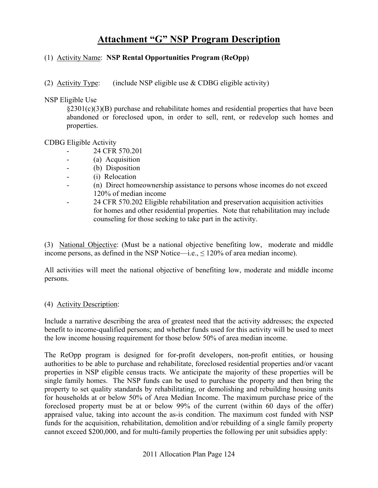### (1) Activity Name: **NSP Rental Opportunities Program (ReOpp)**

(2) Activity Type: (include NSP eligible use  $& CDBG$  eligible activity)

NSP Eligible Use

 $\S2301(c)(3)(B)$  purchase and rehabilitate homes and residential properties that have been abandoned or foreclosed upon, in order to sell, rent, or redevelop such homes and properties.

### CDBG Eligible Activity

- 24 CFR 570.201
- (a) Acquisition
- (b) Disposition
- (i) Relocation
- (n) Direct homeownership assistance to persons whose incomes do not exceed 120% of median income
- 24 CFR 570.202 Eligible rehabilitation and preservation acquisition activities for homes and other residential properties. Note that rehabilitation may include counseling for those seeking to take part in the activity.

(3) National Objective: (Must be a national objective benefiting low, moderate and middle income persons, as defined in the NSP Notice—i.e.,  $\leq 120\%$  of area median income).

All activities will meet the national objective of benefiting low, moderate and middle income persons.

### (4) Activity Description:

Include a narrative describing the area of greatest need that the activity addresses; the expected benefit to income-qualified persons; and whether funds used for this activity will be used to meet the low income housing requirement for those below 50% of area median income.

The ReOpp program is designed for for-profit developers, non-profit entities, or housing authorities to be able to purchase and rehabilitate, foreclosed residential properties and/or vacant properties in NSP eligible census tracts. We anticipate the majority of these properties will be single family homes. The NSP funds can be used to purchase the property and then bring the property to set quality standards by rehabilitating, or demolishing and rebuilding housing units for households at or below 50% of Area Median Income. The maximum purchase price of the foreclosed property must be at or below 99% of the current (within 60 days of the offer) appraised value, taking into account the as-is condition. The maximum cost funded with NSP funds for the acquisition, rehabilitation, demolition and/or rebuilding of a single family property cannot exceed \$200,000, and for multi-family properties the following per unit subsidies apply: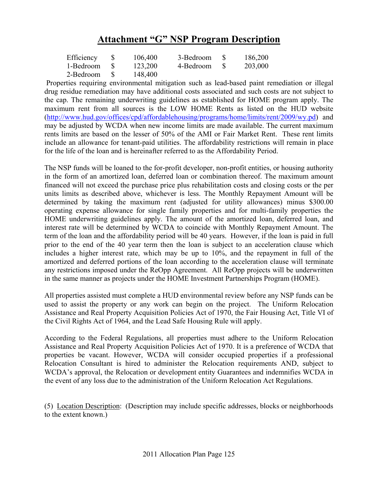| Efficiency | 106,400 | 3-Bedroom    | $\mathbf{S}$ | 186,200 |
|------------|---------|--------------|--------------|---------|
| 1-Bedroom  | 123,200 | 4-Bedroom \$ |              | 203,000 |
| 2-Bedroom  | 148,400 |              |              |         |

 Properties requiring environmental mitigation such as lead-based paint remediation or illegal drug residue remediation may have additional costs associated and such costs are not subject to the cap. The remaining underwriting guidelines as established for HOME program apply. The maximum rent from all sources is the LOW HOME Rents as listed on the HUD website (http://www.hud.gov/offices/cpd/affordablehousing/programs/home/limits/rent/2009/wy.pd) and may be adjusted by WCDA when new income limits are made available. The current maximum rents limits are based on the lesser of 50% of the AMI or Fair Market Rent. These rent limits include an allowance for tenant-paid utilities. The affordability restrictions will remain in place for the life of the loan and is hereinafter referred to as the Affordability Period.

The NSP funds will be loaned to the for-profit developer, non-profit entities, or housing authority in the form of an amortized loan, deferred loan or combination thereof. The maximum amount financed will not exceed the purchase price plus rehabilitation costs and closing costs or the per units limits as described above, whichever is less. The Monthly Repayment Amount will be determined by taking the maximum rent (adjusted for utility allowances) minus \$300.00 operating expense allowance for single family properties and for multi-family properties the HOME underwriting guidelines apply. The amount of the amortized loan, deferred loan, and interest rate will be determined by WCDA to coincide with Monthly Repayment Amount. The term of the loan and the affordability period will be 40 years. However, if the loan is paid in full prior to the end of the 40 year term then the loan is subject to an acceleration clause which includes a higher interest rate, which may be up to 10%, and the repayment in full of the amortized and deferred portions of the loan according to the acceleration clause will terminate any restrictions imposed under the ReOpp Agreement. All ReOpp projects will be underwritten in the same manner as projects under the HOME Investment Partnerships Program (HOME).

All properties assisted must complete a HUD environmental review before any NSP funds can be used to assist the property or any work can begin on the project. The Uniform Relocation Assistance and Real Property Acquisition Policies Act of 1970, the Fair Housing Act, Title VI of the Civil Rights Act of 1964, and the Lead Safe Housing Rule will apply.

According to the Federal Regulations, all properties must adhere to the Uniform Relocation Assistance and Real Property Acquisition Policies Act of 1970. It is a preference of WCDA that properties be vacant. However, WCDA will consider occupied properties if a professional Relocation Consultant is hired to administer the Relocation requirements AND, subject to WCDA's approval, the Relocation or development entity Guarantees and indemnifies WCDA in the event of any loss due to the administration of the Uniform Relocation Act Regulations.

(5) Location Description: (Description may include specific addresses, blocks or neighborhoods to the extent known.)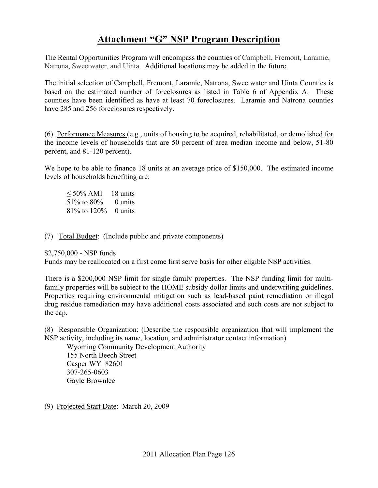The Rental Opportunities Program will encompass the counties of Campbell, Fremont, Laramie, Natrona, Sweetwater, and Uinta. Additional locations may be added in the future.

The initial selection of Campbell, Fremont, Laramie, Natrona, Sweetwater and Uinta Counties is based on the estimated number of foreclosures as listed in Table 6 of Appendix A. These counties have been identified as have at least 70 foreclosures. Laramie and Natrona counties have 285 and 256 foreclosures respectively.

(6) Performance Measures (e.g., units of housing to be acquired, rehabilitated, or demolished for the income levels of households that are 50 percent of area median income and below, 51-80 percent, and 81-120 percent).

We hope to be able to finance 18 units at an average price of \$150,000. The estimated income levels of households benefiting are:

 $\leq 50\%$  AMI 18 units 51\% to 80\% 0 units 81% to 120% 0 units

(7) Total Budget: (Include public and private components)

\$2,750,000 - NSP funds

Funds may be reallocated on a first come first serve basis for other eligible NSP activities.

There is a \$200,000 NSP limit for single family properties. The NSP funding limit for multifamily properties will be subject to the HOME subsidy dollar limits and underwriting guidelines. Properties requiring environmental mitigation such as lead-based paint remediation or illegal drug residue remediation may have additional costs associated and such costs are not subject to the cap.

(8) Responsible Organization: (Describe the responsible organization that will implement the NSP activity, including its name, location, and administrator contact information)

Wyoming Community Development Authority 155 North Beech Street Casper WY 82601 307-265-0603 Gayle Brownlee

(9) Projected Start Date: March 20, 2009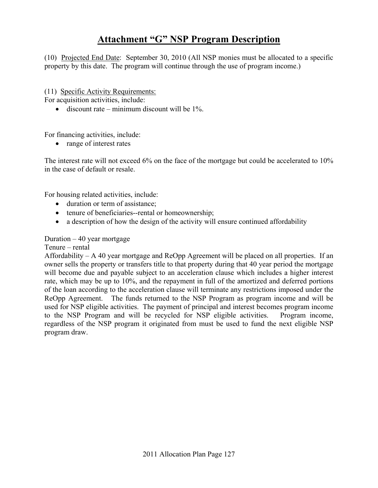(10) Projected End Date: September 30, 2010 (All NSP monies must be allocated to a specific property by this date. The program will continue through the use of program income.)

(11) Specific Activity Requirements:

For acquisition activities, include:

• discount rate – minimum discount will be  $1\%$ .

For financing activities, include:

• range of interest rates

The interest rate will not exceed 6% on the face of the mortgage but could be accelerated to 10% in the case of default or resale.

For housing related activities, include:

- duration or term of assistance;
- tenure of beneficiaries--rental or homeownership;
- a description of how the design of the activity will ensure continued affordability

Duration  $-40$  year mortgage

Tenure – rental

Affordability – A 40 year mortgage and ReOpp Agreement will be placed on all properties. If an owner sells the property or transfers title to that property during that 40 year period the mortgage will become due and payable subject to an acceleration clause which includes a higher interest rate, which may be up to 10%, and the repayment in full of the amortized and deferred portions of the loan according to the acceleration clause will terminate any restrictions imposed under the ReOpp Agreement. The funds returned to the NSP Program as program income and will be used for NSP eligible activities. The payment of principal and interest becomes program income to the NSP Program and will be recycled for NSP eligible activities. Program income, regardless of the NSP program it originated from must be used to fund the next eligible NSP program draw.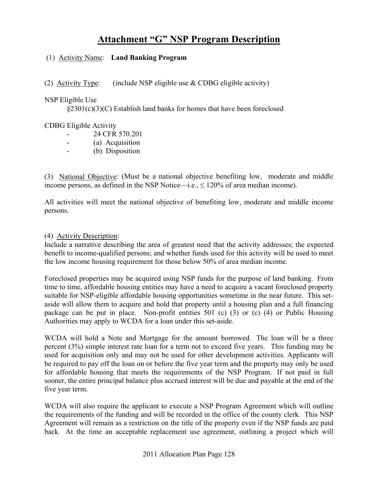### (1) Activity Name: **Land Banking Program**

(2) Activity Type: (include NSP eligible use  $&$  CDBG eligible activity)

### NSP Eligible Use

§2301(c)(3)(C) Establish land banks for homes that have been foreclosed

### CDBG Eligible Activity

- 24 CFR 570.201
	- (a) Acquisition
- (b) Disposition

(3) National Objective: (Must be a national objective benefiting low, moderate and middle income persons, as defined in the NSP Notice—i.e.,  $\leq 120\%$  of area median income).

All activities will meet the national objective of benefiting low, moderate and middle income persons.

### (4) Activity Description:

Include a narrative describing the area of greatest need that the activity addresses; the expected benefit to income-qualified persons; and whether funds used for this activity will be used to meet the low income housing requirement for those below 50% of area median income.

Foreclosed properties may be acquired using NSP funds for the purpose of land banking. From time to time, affordable housing entities may have a need to acquire a vacant foreclosed property suitable for NSP-eligible affordable housing opportunities sometime in the near future. This setaside will allow them to acquire and hold that property until a housing plan and a full financing package can be put in place. Non-profit entities 501 (c) (3) or (c) (4) or Public Housing Authorities may apply to WCDA for a loan under this set-aside.

WCDA will hold a Note and Mortgage for the amount borrowed. The loan will be a three percent (3%) simple interest rate loan for a term not to exceed five years. This funding may be used for acquisition only and may not be used for other development activities. Applicants will be required to pay off the loan on or before the five year term and the property may only be used for affordable housing that meets the requirements of the NSP Program. If not paid in full sooner, the entire principal balance plus accrued interest will be due and payable at the end of the five year term.

WCDA will also require the applicant to execute a NSP Program Agreement which will outline the requirements of the funding and will be recorded in the office of the county clerk. This NSP Agreement will remain as a restriction on the title of the property even if the NSP funds are paid back. At the time an acceptable replacement use agreement, outlining a project which will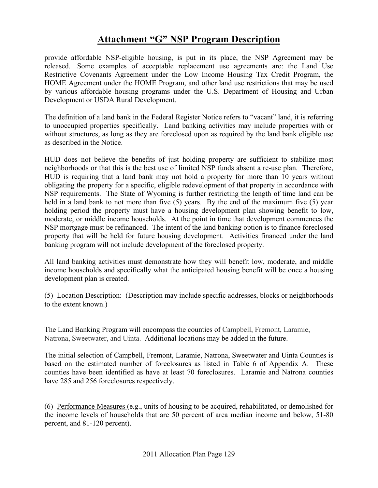provide affordable NSP-eligible housing, is put in its place, the NSP Agreement may be released. Some examples of acceptable replacement use agreements are: the Land Use Restrictive Covenants Agreement under the Low Income Housing Tax Credit Program, the HOME Agreement under the HOME Program, and other land use restrictions that may be used by various affordable housing programs under the U.S. Department of Housing and Urban Development or USDA Rural Development.

The definition of a land bank in the Federal Register Notice refers to "vacant" land, it is referring to unoccupied properties specifically. Land banking activities may include properties with or without structures, as long as they are foreclosed upon as required by the land bank eligible use as described in the Notice.

HUD does not believe the benefits of just holding property are sufficient to stabilize most neighborhoods or that this is the best use of limited NSP funds absent a re-use plan. Therefore, HUD is requiring that a land bank may not hold a property for more than 10 years without obligating the property for a specific, eligible redevelopment of that property in accordance with NSP requirements. The State of Wyoming is further restricting the length of time land can be held in a land bank to not more than five (5) years. By the end of the maximum five (5) year holding period the property must have a housing development plan showing benefit to low, moderate, or middle income households. At the point in time that development commences the NSP mortgage must be refinanced. The intent of the land banking option is to finance foreclosed property that will be held for future housing development. Activities financed under the land banking program will not include development of the foreclosed property.

All land banking activities must demonstrate how they will benefit low, moderate, and middle income households and specifically what the anticipated housing benefit will be once a housing development plan is created.

(5) Location Description: (Description may include specific addresses, blocks or neighborhoods to the extent known.)

The Land Banking Program will encompass the counties of Campbell, Fremont, Laramie, Natrona, Sweetwater, and Uinta. Additional locations may be added in the future.

The initial selection of Campbell, Fremont, Laramie, Natrona, Sweetwater and Uinta Counties is based on the estimated number of foreclosures as listed in Table 6 of Appendix A. These counties have been identified as have at least 70 foreclosures. Laramie and Natrona counties have 285 and 256 foreclosures respectively.

(6) Performance Measures (e.g., units of housing to be acquired, rehabilitated, or demolished for the income levels of households that are 50 percent of area median income and below, 51-80 percent, and 81-120 percent).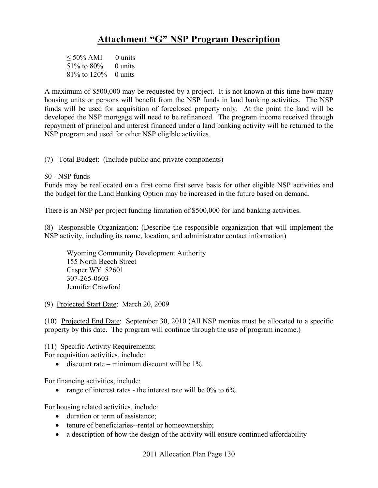$\leq 50\%$  AMI 0 units 51% to  $80\%$  0 units 81% to 120% 0 units

A maximum of \$500,000 may be requested by a project. It is not known at this time how many housing units or persons will benefit from the NSP funds in land banking activities. The NSP funds will be used for acquisition of foreclosed property only. At the point the land will be developed the NSP mortgage will need to be refinanced. The program income received through repayment of principal and interest financed under a land banking activity will be returned to the NSP program and used for other NSP eligible activities.

(7) Total Budget: (Include public and private components)

\$0 - NSP funds

Funds may be reallocated on a first come first serve basis for other eligible NSP activities and the budget for the Land Banking Option may be increased in the future based on demand.

There is an NSP per project funding limitation of \$500,000 for land banking activities.

(8) Responsible Organization: (Describe the responsible organization that will implement the NSP activity, including its name, location, and administrator contact information)

Wyoming Community Development Authority 155 North Beech Street Casper WY 82601 307-265-0603 Jennifer Crawford

(9) Projected Start Date: March 20, 2009

(10) Projected End Date: September 30, 2010 (All NSP monies must be allocated to a specific property by this date. The program will continue through the use of program income.)

(11) Specific Activity Requirements:

For acquisition activities, include:

• discount rate – minimum discount will be  $1\%$ 

For financing activities, include:

• range of interest rates - the interest rate will be  $0\%$  to  $6\%$ .

For housing related activities, include:

- duration or term of assistance;
- tenure of beneficiaries--rental or homeownership;
- a description of how the design of the activity will ensure continued affordability

2011 Allocation Plan Page 130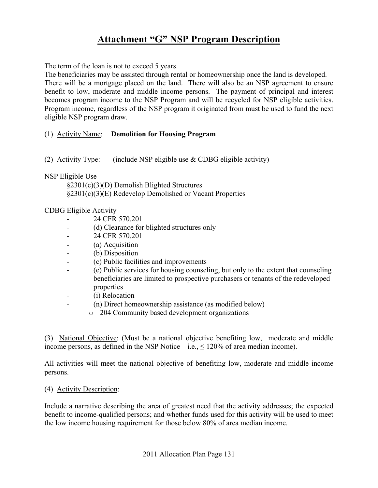The term of the loan is not to exceed 5 years.

The beneficiaries may be assisted through rental or homeownership once the land is developed. There will be a mortgage placed on the land. There will also be an NSP agreement to ensure benefit to low, moderate and middle income persons. The payment of principal and interest becomes program income to the NSP Program and will be recycled for NSP eligible activities. Program income, regardless of the NSP program it originated from must be used to fund the next eligible NSP program draw.

### (1) Activity Name: **Demolition for Housing Program**

(2) Activity Type: (include NSP eligible use & CDBG eligible activity)

### NSP Eligible Use

§2301(c)(3)(D) Demolish Blighted Structures §2301(c)(3)(E) Redevelop Demolished or Vacant Properties

### CDBG Eligible Activity

- 24 CFR 570.201
- (d) Clearance for blighted structures only
- 24 CFR 570.201
- (a) Acquisition
- (b) Disposition
- (c) Public facilities and improvements
- (e) Public services for housing counseling, but only to the extent that counseling beneficiaries are limited to prospective purchasers or tenants of the redeveloped properties
- (i) Relocation
- (n) Direct homeownership assistance (as modified below)
	- o 204 Community based development organizations

(3) National Objective: (Must be a national objective benefiting low, moderate and middle income persons, as defined in the NSP Notice—i.e.,  $\leq 120\%$  of area median income).

All activities will meet the national objective of benefiting low, moderate and middle income persons.

### (4) Activity Description:

Include a narrative describing the area of greatest need that the activity addresses; the expected benefit to income-qualified persons; and whether funds used for this activity will be used to meet the low income housing requirement for those below 80% of area median income.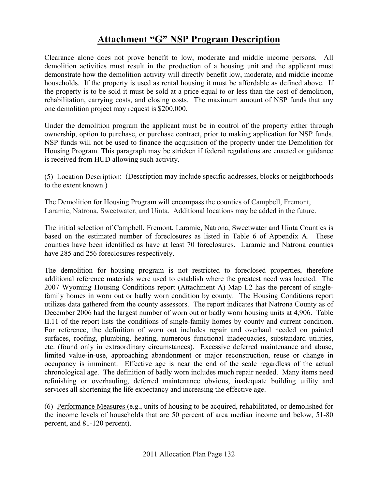Clearance alone does not prove benefit to low, moderate and middle income persons. All demolition activities must result in the production of a housing unit and the applicant must demonstrate how the demolition activity will directly benefit low, moderate, and middle income households. If the property is used as rental housing it must be affordable as defined above. If the property is to be sold it must be sold at a price equal to or less than the cost of demolition, rehabilitation, carrying costs, and closing costs. The maximum amount of NSP funds that any one demolition project may request is \$200,000.

Under the demolition program the applicant must be in control of the property either through ownership, option to purchase, or purchase contract, prior to making application for NSP funds. NSP funds will not be used to finance the acquisition of the property under the Demolition for Housing Program. This paragraph may be stricken if federal regulations are enacted or guidance is received from HUD allowing such activity.

(5) Location Description: (Description may include specific addresses, blocks or neighborhoods to the extent known.)

The Demolition for Housing Program will encompass the counties of Campbell, Fremont, Laramie, Natrona, Sweetwater, and Uinta. Additional locations may be added in the future.

The initial selection of Campbell, Fremont, Laramie, Natrona, Sweetwater and Uinta Counties is based on the estimated number of foreclosures as listed in Table 6 of Appendix A. These counties have been identified as have at least 70 foreclosures. Laramie and Natrona counties have 285 and 256 foreclosures respectively.

The demolition for housing program is not restricted to foreclosed properties, therefore additional reference materials were used to establish where the greatest need was located. The 2007 Wyoming Housing Conditions report (Attachment A) Map I.2 has the percent of singlefamily homes in worn out or badly worn condition by county. The Housing Conditions report utilizes data gathered from the county assessors. The report indicates that Natrona County as of December 2006 had the largest number of worn out or badly worn housing units at 4,906. Table II.11 of the report lists the conditions of single-family homes by county and current condition. For reference, the definition of worn out includes repair and overhaul needed on painted surfaces, roofing, plumbing, heating, numerous functional inadequacies, substandard utilities, etc. (found only in extraordinary circumstances). Excessive deferred maintenance and abuse, limited value-in-use, approaching abandonment or major reconstruction, reuse or change in occupancy is imminent. Effective age is near the end of the scale regardless of the actual chronological age. The definition of badly worn includes much repair needed. Many items need refinishing or overhauling, deferred maintenance obvious, inadequate building utility and services all shortening the life expectancy and increasing the effective age.

(6) Performance Measures (e.g., units of housing to be acquired, rehabilitated, or demolished for the income levels of households that are 50 percent of area median income and below, 51-80 percent, and 81-120 percent).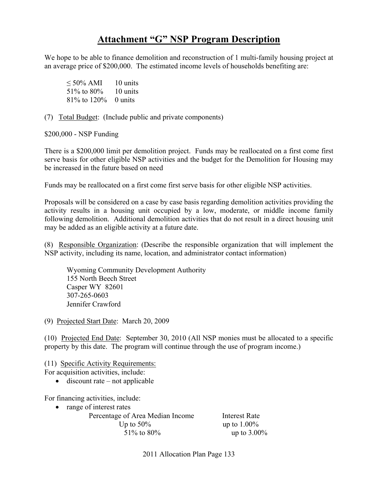We hope to be able to finance demolition and reconstruction of 1 multi-family housing project at an average price of \$200,000. The estimated income levels of households benefiting are:

 $\leq 50\%$  AMI 10 units 51% to 80% 10 units 81% to 120% 0 units

(7) Total Budget: (Include public and private components)

\$200,000 - NSP Funding

There is a \$200,000 limit per demolition project. Funds may be reallocated on a first come first serve basis for other eligible NSP activities and the budget for the Demolition for Housing may be increased in the future based on need

Funds may be reallocated on a first come first serve basis for other eligible NSP activities.

Proposals will be considered on a case by case basis regarding demolition activities providing the activity results in a housing unit occupied by a low, moderate, or middle income family following demolition. Additional demolition activities that do not result in a direct housing unit may be added as an eligible activity at a future date.

(8) Responsible Organization: (Describe the responsible organization that will implement the NSP activity, including its name, location, and administrator contact information)

Wyoming Community Development Authority 155 North Beech Street Casper WY 82601 307-265-0603 Jennifer Crawford

(9) Projected Start Date: March 20, 2009

(10) Projected End Date: September 30, 2010 (All NSP monies must be allocated to a specific property by this date. The program will continue through the use of program income.)

(11) Specific Activity Requirements: For acquisition activities, include:

 $\bullet$  discount rate – not applicable

For financing activities, include:

• range of interest rates

Percentage of Area Median Income Interest Rate Up to  $50\%$  up to  $1.00\%$ 51% to 80% up to 3.00%

2011 Allocation Plan Page 133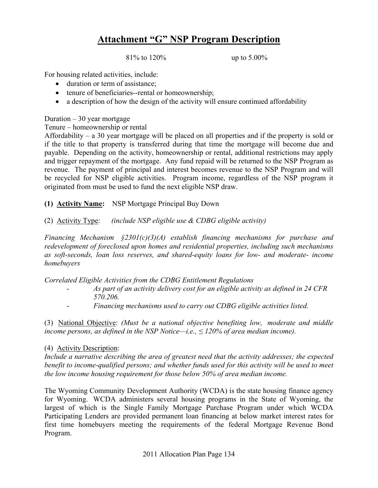81% to 120% up to 5.00%

For housing related activities, include:

- duration or term of assistance;
- tenure of beneficiaries--rental or homeownership;
- a description of how the design of the activity will ensure continued affordability

Duration – 30 year mortgage

Tenure – homeownership or rental

Affordability – a 30 year mortgage will be placed on all properties and if the property is sold or if the title to that property is transferred during that time the mortgage will become due and payable. Depending on the activity, homeownership or rental, additional restrictions may apply and trigger repayment of the mortgage. Any fund repaid will be returned to the NSP Program as revenue. The payment of principal and interest becomes revenue to the NSP Program and will be recycled for NSP eligible activities. Program income, regardless of the NSP program it originated from must be used to fund the next eligible NSP draw.

- **(1) Activity Name:** NSP Mortgage Principal Buy Down
- (2) Activity Type: *(include NSP eligible use & CDBG eligible activity)*

*Financing Mechanism §2301(c)(3)(A) establish financing mechanisms for purchase and redevelopment of foreclosed upon homes and residential properties, including such mechanisms as soft-seconds, loan loss reserves, and shared-equity loans for low- and moderate- income homebuyers* 

*Correlated Eligible Activities from the CDBG Entitlement Regulations* 

- *As part of an activity delivery cost for an eligible activity as defined in 24 CFR 570.206.*
- *Financing mechanisms used to carry out CDBG eligible activities listed.*

(3) National Objective: *(Must be a national objective benefiting low, moderate and middle income persons, as defined in the NSP Notice—i.e.,*  $\leq$  120% of area median income).

### (4) Activity Description:

*Include a narrative describing the area of greatest need that the activity addresses; the expected benefit to income-qualified persons; and whether funds used for this activity will be used to meet the low income housing requirement for those below 50% of area median income.* 

The Wyoming Community Development Authority (WCDA) is the state housing finance agency for Wyoming. WCDA administers several housing programs in the State of Wyoming, the largest of which is the Single Family Mortgage Purchase Program under which WCDA Participating Lenders are provided permanent loan financing at below market interest rates for first time homebuyers meeting the requirements of the federal Mortgage Revenue Bond Program.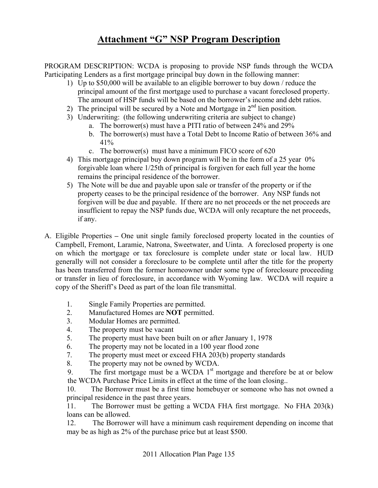PROGRAM DESCRIPTION: WCDA is proposing to provide NSP funds through the WCDA Participating Lenders as a first mortgage principal buy down in the following manner:

- 1) Up to \$50,000 will be available to an eligible borrower to buy down / reduce the principal amount of the first mortgage used to purchase a vacant foreclosed property. The amount of HSP funds will be based on the borrower's income and debt ratios.
- 2) The principal will be secured by a Note and Mortgage in  $2<sup>nd</sup>$  lien position.
- 3) Underwriting: (the following underwriting criteria are subject to change)
	- a. The borrower(s) must have a PITI ratio of between 24% and 29%
	- b. The borrower(s) must have a Total Debt to Income Ratio of between 36% and 41%
	- c. The borrower(s) must have a minimum FICO score of 620
- 4) This mortgage principal buy down program will be in the form of a 25 year 0% forgivable loan where 1/25th of principal is forgiven for each full year the home remains the principal residence of the borrower.
- 5) The Note will be due and payable upon sale or transfer of the property or if the property ceases to be the principal residence of the borrower. Any NSP funds not forgiven will be due and payable. If there are no net proceeds or the net proceeds are insufficient to repay the NSP funds due, WCDA will only recapture the net proceeds, if any.
- A. Eligible Properties **–** One unit single family foreclosed property located in the counties of Campbell, Fremont, Laramie, Natrona, Sweetwater, and Uinta. A foreclosed property is one on which the mortgage or tax foreclosure is complete under state or local law. HUD generally will not consider a foreclosure to be complete until after the title for the property has been transferred from the former homeowner under some type of foreclosure proceeding or transfer in lieu of foreclosure, in accordance with Wyoming law. WCDA will require a copy of the Sheriff's Deed as part of the loan file transmittal.
	- 1. Single Family Properties are permitted.
	- 2. Manufactured Homes are **NOT** permitted.
	- 3. Modular Homes are permitted.
	- 4. The property must be vacant
	- 5. The property must have been built on or after January 1, 1978
	- 6. The property may not be located in a 100 year flood zone
	- 7. The property must meet or exceed FHA 203(b) property standards
	- 8. The property may not be owned by WCDA.

9. The first mortgage must be a WCDA  $1<sup>st</sup>$  mortgage and therefore be at or below the WCDA Purchase Price Limits in effect at the time of the loan closing..

10. The Borrower must be a first time homebuyer or someone who has not owned a principal residence in the past three years.

11. The Borrower must be getting a WCDA FHA first mortgage. No FHA 203(k) loans can be allowed.

12. The Borrower will have a minimum cash requirement depending on income that may be as high as 2% of the purchase price but at least \$500.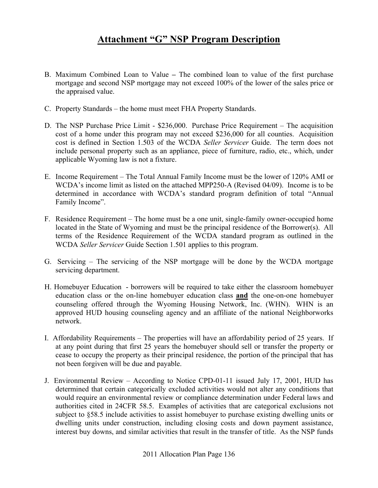- B. Maximum Combined Loan to ValueThe combined loan to value of the first purchase mortgage and second NSP mortgage may not exceed 100% of the lower of the sales price or the appraised value.
- C. Property Standards the home must meet FHA Property Standards.
- D. The NSP Purchase Price Limit \$236,000. Purchase Price Requirement The acquisition cost of a home under this program may not exceed \$236,000 for all counties. Acquisition cost is defined in Section 1.503 of the WCDA *Seller Servicer* Guide. The term does not include personal property such as an appliance, piece of furniture, radio, etc., which, under applicable Wyoming law is not a fixture.
- E. Income Requirement The Total Annual Family Income must be the lower of 120% AMI or WCDA's income limit as listed on the attached MPP250-A (Revised 04/09). Income is to be determined in accordance with WCDA's standard program definition of total "Annual Family Income".
- F. Residence Requirement The home must be a one unit, single-family owner-occupied home located in the State of Wyoming and must be the principal residence of the Borrower(s). All terms of the Residence Requirement of the WCDA standard program as outlined in the WCDA *Seller Servicer* Guide Section 1.501 applies to this program.
- G. Servicing The servicing of the NSP mortgage will be done by the WCDA mortgage servicing department.
- H. Homebuyer Education borrowers will be required to take either the classroom homebuyer education class or the on-line homebuyer education class **and** the one-on-one homebuyer counseling offered through the Wyoming Housing Network, Inc. (WHN). WHN is an approved HUD housing counseling agency and an affiliate of the national Neighborworks network.
- I. Affordability Requirements The properties will have an affordability period of 25 years. If at any point during that first 25 years the homebuyer should sell or transfer the property or cease to occupy the property as their principal residence, the portion of the principal that has not been forgiven will be due and payable.
- J. Environmental Review According to Notice CPD-01-11 issued July 17, 2001, HUD has determined that certain categorically excluded activities would not alter any conditions that would require an environmental review or compliance determination under Federal laws and authorities cited in 24CFR 58.5. Examples of activities that are categorical exclusions not subject to §58.5 include activities to assist homebuyer to purchase existing dwelling units or dwelling units under construction, including closing costs and down payment assistance, interest buy downs, and similar activities that result in the transfer of title. As the NSP funds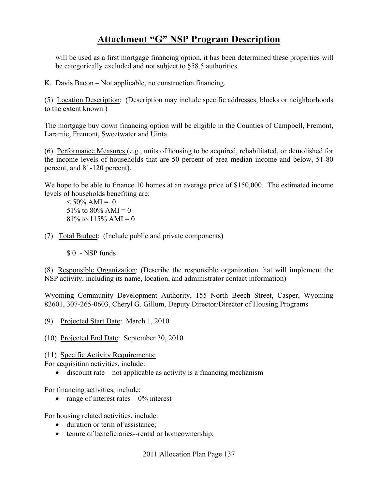will be used as a first mortgage financing option, it has been determined these properties will be categorically excluded and not subject to §58.5 authorities.

K. Davis Bacon – Not applicable, no construction financing.

(5) Location Description: (Description may include specific addresses, blocks or neighborhoods to the extent known.)

The mortgage buy down financing option will be eligible in the Counties of Campbell, Fremont, Laramie, Fremont, Sweetwater and Uinta.

(6) Performance Measures (e.g., units of housing to be acquired, rehabilitated, or demolished for the income levels of households that are 50 percent of area median income and below, 51-80 percent, and 81-120 percent).

We hope to be able to finance 10 homes at an average price of \$150,000. The estimated income levels of households benefiting are:

 $< 50\%$  AMI = 0 51\% to 80\% AMI = 0 81\% to 115\% AMI = 0

- (7) Total Budget: (Include public and private components)
	- \$ 0 NSP funds

(8) Responsible Organization: (Describe the responsible organization that will implement the NSP activity, including its name, location, and administrator contact information)

Wyoming Community Development Authority, 155 North Beech Street, Casper, Wyoming 82601, 307-265-0603, Cheryl G. Gillum, Deputy Director/Director of Housing Programs

- (9) Projected Start Date: March 1, 2010
- (10) Projected End Date: September 30, 2010

(11) Specific Activity Requirements:

For acquisition activities, include:

• discount rate – not applicable as activity is a financing mechanism

For financing activities, include:

• range of interest rates  $-0\%$  interest

For housing related activities, include:

- duration or term of assistance;
- tenure of beneficiaries--rental or homeownership;

2011 Allocation Plan Page 137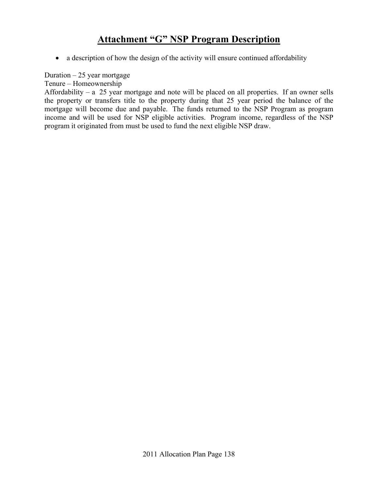• a description of how the design of the activity will ensure continued affordability

Duration  $-25$  year mortgage

Tenure – Homeownership

Affordability – a 25 year mortgage and note will be placed on all properties. If an owner sells the property or transfers title to the property during that 25 year period the balance of the mortgage will become due and payable. The funds returned to the NSP Program as program income and will be used for NSP eligible activities. Program income, regardless of the NSP program it originated from must be used to fund the next eligible NSP draw.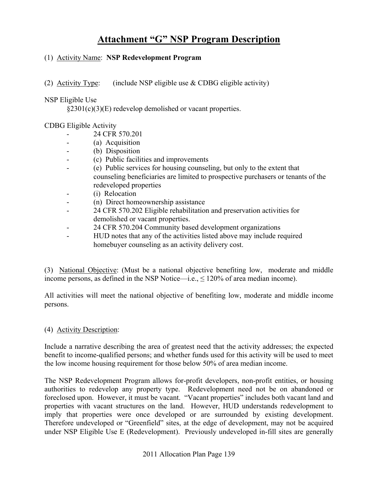### (1) Activity Name: **NSP Redevelopment Program**

(2) Activity Type: (include NSP eligible use  $&$  CDBG eligible activity)

### NSP Eligible Use

§2301(c)(3)(E) redevelop demolished or vacant properties.

### CDBG Eligible Activity

- 24 CFR 570.201
- (a) Acquisition
- (b) Disposition
	- (c) Public facilities and improvements
- (e) Public services for housing counseling, but only to the extent that counseling beneficiaries are limited to prospective purchasers or tenants of the redeveloped properties
- (i) Relocation
- (n) Direct homeownership assistance
- 24 CFR 570.202 Eligible rehabilitation and preservation activities for demolished or vacant properties.
- 24 CFR 570.204 Community based development organizations
- HUD notes that any of the activities listed above may include required homebuyer counseling as an activity delivery cost.

(3) National Objective: (Must be a national objective benefiting low, moderate and middle income persons, as defined in the NSP Notice—i.e.,  $\leq 120\%$  of area median income).

All activities will meet the national objective of benefiting low, moderate and middle income persons.

### (4) Activity Description:

Include a narrative describing the area of greatest need that the activity addresses; the expected benefit to income-qualified persons; and whether funds used for this activity will be used to meet the low income housing requirement for those below 50% of area median income.

The NSP Redevelopment Program allows for-profit developers, non-profit entities, or housing authorities to redevelop any property type. Redevelopment need not be on abandoned or foreclosed upon. However, it must be vacant. "Vacant properties" includes both vacant land and properties with vacant structures on the land. However, HUD understands redevelopment to imply that properties were once developed or are surrounded by existing development. Therefore undeveloped or "Greenfield" sites, at the edge of development, may not be acquired under NSP Eligible Use E (Redevelopment). Previously undeveloped in-fill sites are generally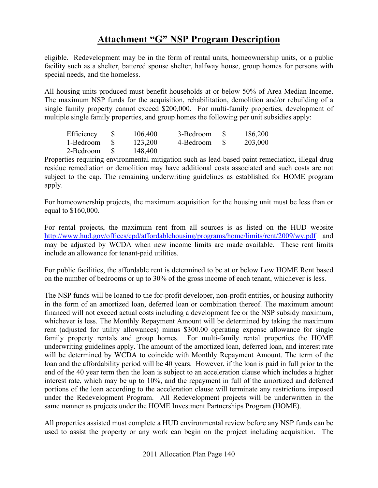eligible. Redevelopment may be in the form of rental units, homeownership units, or a public facility such as a shelter, battered spouse shelter, halfway house, group homes for persons with special needs, and the homeless.

All housing units produced must benefit households at or below 50% of Area Median Income. The maximum NSP funds for the acquisition, rehabilitation, demolition and/or rebuilding of a single family property cannot exceed \$200,000. For multi-family properties, development of multiple single family properties, and group homes the following per unit subsidies apply:

| Efficiency | 106,400 | 3-Bedroom | 186,200 |
|------------|---------|-----------|---------|
| 1-Bedroom  | 123,200 | 4-Bedroom | 203,000 |
| 2-Bedroom  | 148,400 |           |         |

Properties requiring environmental mitigation such as lead-based paint remediation, illegal drug residue remediation or demolition may have additional costs associated and such costs are not subject to the cap. The remaining underwriting guidelines as established for HOME program apply.

For homeownership projects, the maximum acquisition for the housing unit must be less than or equal to \$160,000.

For rental projects, the maximum rent from all sources is as listed on the HUD website http://www.hud.gov/offices/cpd/affordablehousing/programs/home/limits/rent/2009/wy.pdf and may be adjusted by WCDA when new income limits are made available. These rent limits include an allowance for tenant-paid utilities.

For public facilities, the affordable rent is determined to be at or below Low HOME Rent based on the number of bedrooms or up to 30% of the gross income of each tenant, whichever is less.

The NSP funds will be loaned to the for-profit developer, non-profit entities, or housing authority in the form of an amortized loan, deferred loan or combination thereof. The maximum amount financed will not exceed actual costs including a development fee or the NSP subsidy maximum, whichever is less. The Monthly Repayment Amount will be determined by taking the maximum rent (adjusted for utility allowances) minus \$300.00 operating expense allowance for single family property rentals and group homes. For multi-family rental properties the HOME underwriting guidelines apply. The amount of the amortized loan, deferred loan, and interest rate will be determined by WCDA to coincide with Monthly Repayment Amount. The term of the loan and the affordability period will be 40 years. However, if the loan is paid in full prior to the end of the 40 year term then the loan is subject to an acceleration clause which includes a higher interest rate, which may be up to 10%, and the repayment in full of the amortized and deferred portions of the loan according to the acceleration clause will terminate any restrictions imposed under the Redevelopment Program. All Redevelopment projects will be underwritten in the same manner as projects under the HOME Investment Partnerships Program (HOME).

All properties assisted must complete a HUD environmental review before any NSP funds can be used to assist the property or any work can begin on the project including acquisition. The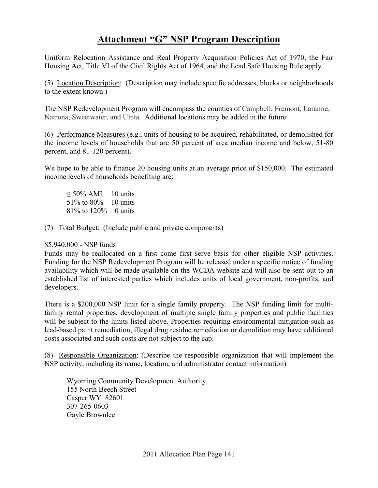Uniform Relocation Assistance and Real Property Acquisition Policies Act of 1970, the Fair Housing Act, Title VI of the Civil Rights Act of 1964, and the Lead Safe Housing Rule apply.

(5) Location Description: (Description may include specific addresses, blocks or neighborhoods to the extent known.)

The NSP Redevelopment Program will encompass the counties of Campbell, Fremont, Laramie, Natrona, Sweetwater, and Uinta. Additional locations may be added in the future.

(6) Performance Measures (e.g., units of housing to be acquired, rehabilitated, or demolished for the income levels of households that are 50 percent of area median income and below, 51-80 percent, and 81-120 percent).

We hope to be able to finance 20 housing units at an average price of \$150,000. The estimated income levels of households benefiting are:

 $\leq 50\%$  AMI 10 units 51% to 80% 10 units 81% to 120% 0 units

(7) Total Budget: (Include public and private components)

### \$5,940,000 - NSP funds

Funds may be reallocated on a first come first serve basis for other eligible NSP activities. Funding for the NSP Redevelopment Program will be released under a specific notice of funding availability which will be made available on the WCDA website and will also be sent out to an established list of interested parties which includes units of local government, non-profits, and developers.

There is a \$200,000 NSP limit for a single family property. The NSP funding limit for multifamily rental properties, development of multiple single family properties and public facilities will be subject to the limits listed above. Properties requiring environmental mitigation such as lead-based paint remediation, illegal drug residue remediation or demolition may have additional costs associated and such costs are not subject to the cap.

(8) Responsible Organization: (Describe the responsible organization that will implement the NSP activity, including its name, location, and administrator contact information)

Wyoming Community Development Authority 155 North Beech Street Casper WY 82601 307-265-0603 Gayle Brownlee